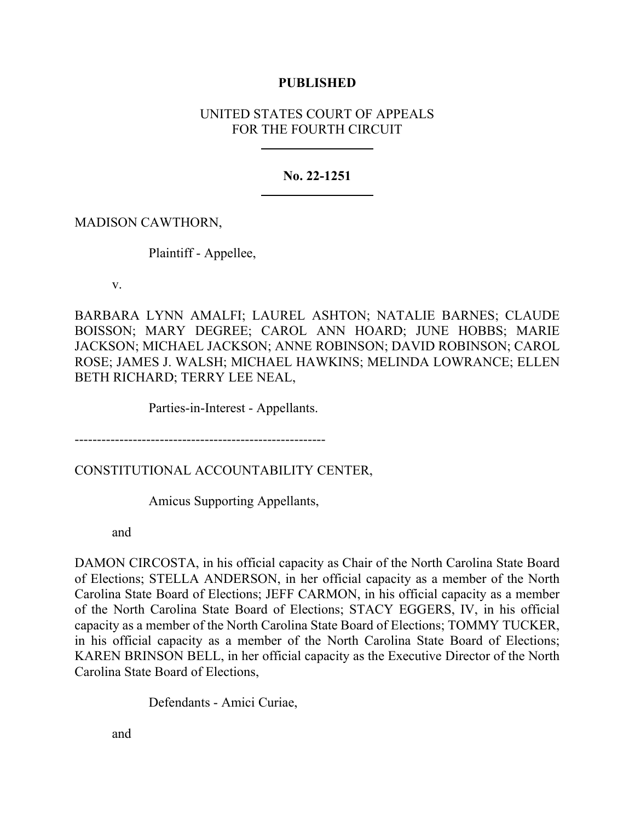## **PUBLISHED**

# UNITED STATES COURT OF APPEALS FOR THE FOURTH CIRCUIT

## **No. 22-1251**

## MADISON CAWTHORN,

Plaintiff - Appellee,

v.

BARBARA LYNN AMALFI; LAUREL ASHTON; NATALIE BARNES; CLAUDE BOISSON; MARY DEGREE; CAROL ANN HOARD; JUNE HOBBS; MARIE JACKSON; MICHAEL JACKSON; ANNE ROBINSON; DAVID ROBINSON; CAROL ROSE; JAMES J. WALSH; MICHAEL HAWKINS; MELINDA LOWRANCE; ELLEN BETH RICHARD; TERRY LEE NEAL,

Parties-in-Interest - Appellants.

--------------------------------------------------------

CONSTITUTIONAL ACCOUNTABILITY CENTER,

Amicus Supporting Appellants,

and

DAMON CIRCOSTA, in his official capacity as Chair of the North Carolina State Board of Elections; STELLA ANDERSON, in her official capacity as a member of the North Carolina State Board of Elections; JEFF CARMON, in his official capacity as a member of the North Carolina State Board of Elections; STACY EGGERS, IV, in his official capacity as a member of the North Carolina State Board of Elections; TOMMY TUCKER, in his official capacity as a member of the North Carolina State Board of Elections; KAREN BRINSON BELL, in her official capacity as the Executive Director of the North Carolina State Board of Elections,

Defendants - Amici Curiae,

and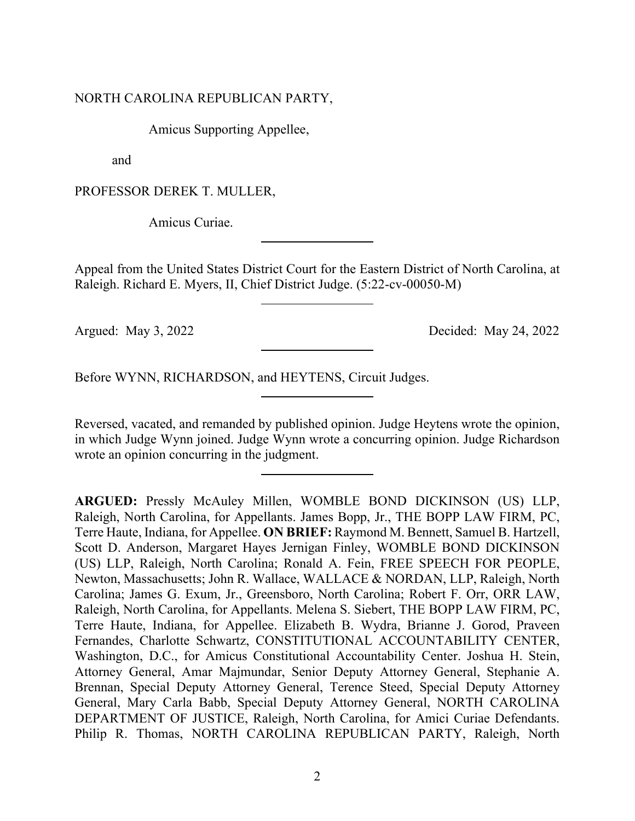### NORTH CAROLINA REPUBLICAN PARTY,

Amicus Supporting Appellee,

and

PROFESSOR DEREK T. MULLER,

Amicus Curiae.

Appeal from the United States District Court for the Eastern District of North Carolina, at Raleigh. Richard E. Myers, II, Chief District Judge. (5:22-cv-00050-M)

Argued: May 3, 2022 Decided: May 24, 2022

Before WYNN, RICHARDSON, and HEYTENS, Circuit Judges.

Reversed, vacated, and remanded by published opinion. Judge Heytens wrote the opinion, in which Judge Wynn joined. Judge Wynn wrote a concurring opinion. Judge Richardson wrote an opinion concurring in the judgment.

**ARGUED:** Pressly McAuley Millen, WOMBLE BOND DICKINSON (US) LLP, Raleigh, North Carolina, for Appellants. James Bopp, Jr., THE BOPP LAW FIRM, PC, Terre Haute, Indiana, for Appellee. **ON BRIEF:** Raymond M. Bennett, Samuel B. Hartzell, Scott D. Anderson, Margaret Hayes Jernigan Finley, WOMBLE BOND DICKINSON (US) LLP, Raleigh, North Carolina; Ronald A. Fein, FREE SPEECH FOR PEOPLE, Newton, Massachusetts; John R. Wallace, WALLACE & NORDAN, LLP, Raleigh, North Carolina; James G. Exum, Jr., Greensboro, North Carolina; Robert F. Orr, ORR LAW, Raleigh, North Carolina, for Appellants. Melena S. Siebert, THE BOPP LAW FIRM, PC, Terre Haute, Indiana, for Appellee. Elizabeth B. Wydra, Brianne J. Gorod, Praveen Fernandes, Charlotte Schwartz, CONSTITUTIONAL ACCOUNTABILITY CENTER, Washington, D.C., for Amicus Constitutional Accountability Center. Joshua H. Stein, Attorney General, Amar Majmundar, Senior Deputy Attorney General, Stephanie A. Brennan, Special Deputy Attorney General, Terence Steed, Special Deputy Attorney General, Mary Carla Babb, Special Deputy Attorney General, NORTH CAROLINA DEPARTMENT OF JUSTICE, Raleigh, North Carolina, for Amici Curiae Defendants. Philip R. Thomas, NORTH CAROLINA REPUBLICAN PARTY, Raleigh, North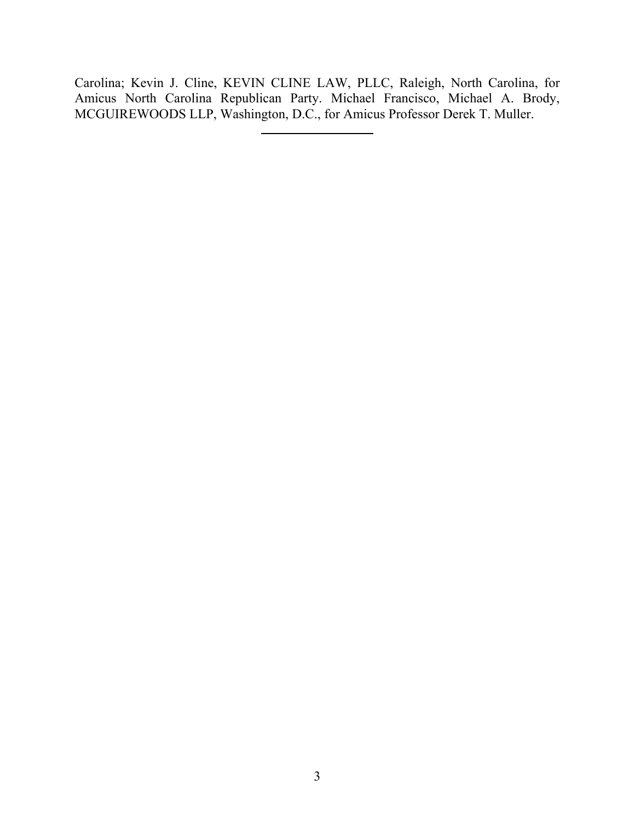Carolina; Kevin J. Cline, KEVIN CLINE LAW, PLLC, Raleigh, North Carolina, for Amicus North Carolina Republican Party. Michael Francisco, Michael A. Brody, MCGUIREWOODS LLP, Washington, D.C., for Amicus Professor Derek T. Muller.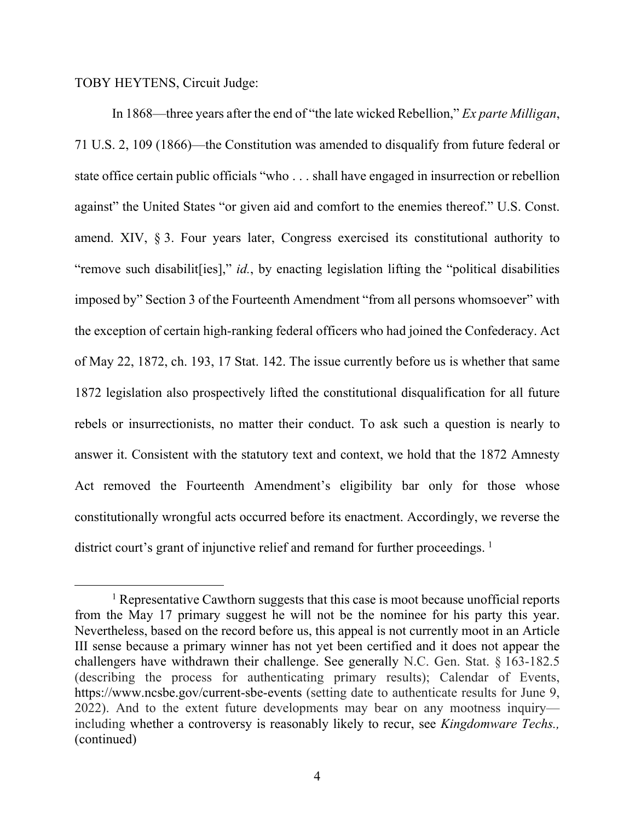TOBY HEYTENS, Circuit Judge:

In 1868—three years after the end of "the late wicked Rebellion," *Ex parte Milligan*, 71 U.S. 2, 109 (1866)—the Constitution was amended to disqualify from future federal or state office certain public officials "who . . . shall have engaged in insurrection or rebellion against" the United States "or given aid and comfort to the enemies thereof." U.S. Const. amend. XIV, § 3. Four years later, Congress exercised its constitutional authority to "remove such disabilit [ies]," *id.*, by enacting legislation lifting the "political disabilities" imposed by" Section 3 of the Fourteenth Amendment "from all persons whomsoever" with the exception of certain high-ranking federal officers who had joined the Confederacy. Act of May 22, 1872, ch. 193, 17 Stat. 142. The issue currently before us is whether that same 1872 legislation also prospectively lifted the constitutional disqualification for all future rebels or insurrectionists, no matter their conduct. To ask such a question is nearly to answer it. Consistent with the statutory text and context, we hold that the 1872 Amnesty Act removed the Fourteenth Amendment's eligibility bar only for those whose constitutionally wrongful acts occurred before its enactment. Accordingly, we reverse the district court's grant of injunctive relief and remand for further proceedings.  $<sup>1</sup>$  $<sup>1</sup>$  $<sup>1</sup>$ </sup>

<span id="page-3-0"></span><sup>&</sup>lt;sup>1</sup> Representative Cawthorn suggests that this case is moot because unofficial reports from the May 17 primary suggest he will not be the nominee for his party this year. Nevertheless, based on the record before us, this appeal is not currently moot in an Article III sense because a primary winner has not yet been certified and it does not appear the challengers have withdrawn their challenge. See generally N.C. Gen. Stat. § 163-182.5 (describing the process for authenticating primary results); Calendar of Events, https://www.ncsbe.gov/current-sbe-events (setting date to authenticate results for June 9, 2022). And to the extent future developments may bear on any mootness inquiry including whether a controversy is reasonably likely to recur, see *Kingdomware Techs.,*  (continued)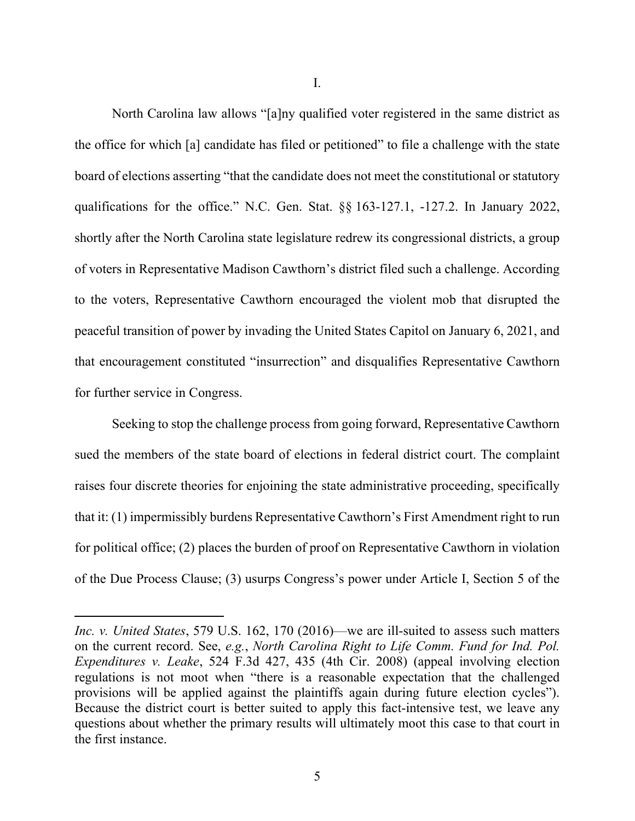I.

North Carolina law allows "[a]ny qualified voter registered in the same district as the office for which [a] candidate has filed or petitioned" to file a challenge with the state board of elections asserting "that the candidate does not meet the constitutional or statutory qualifications for the office." N.C. Gen. Stat. §§ 163-127.1, -127.2. In January 2022, shortly after the North Carolina state legislature redrew its congressional districts, a group of voters in Representative Madison Cawthorn's district filed such a challenge. According to the voters, Representative Cawthorn encouraged the violent mob that disrupted the peaceful transition of power by invading the United States Capitol on January 6, 2021, and that encouragement constituted "insurrection" and disqualifies Representative Cawthorn for further service in Congress.

Seeking to stop the challenge process from going forward, Representative Cawthorn sued the members of the state board of elections in federal district court. The complaint raises four discrete theories for enjoining the state administrative proceeding, specifically that it: (1) impermissibly burdens Representative Cawthorn's First Amendment right to run for political office; (2) places the burden of proof on Representative Cawthorn in violation of the Due Process Clause; (3) usurps Congress's power under Article I, Section 5 of the

*Inc. v. United States*, 579 U.S. 162, 170 (2016)—we are ill-suited to assess such matters on the current record. See, *e.g.*, *North Carolina Right to Life Comm. Fund for Ind. Pol. Expenditures v. Leake*, 524 F.3d 427, 435 (4th Cir. 2008) (appeal involving election regulations is not moot when "there is a reasonable expectation that the challenged provisions will be applied against the plaintiffs again during future election cycles"). Because the district court is better suited to apply this fact-intensive test, we leave any questions about whether the primary results will ultimately moot this case to that court in the first instance.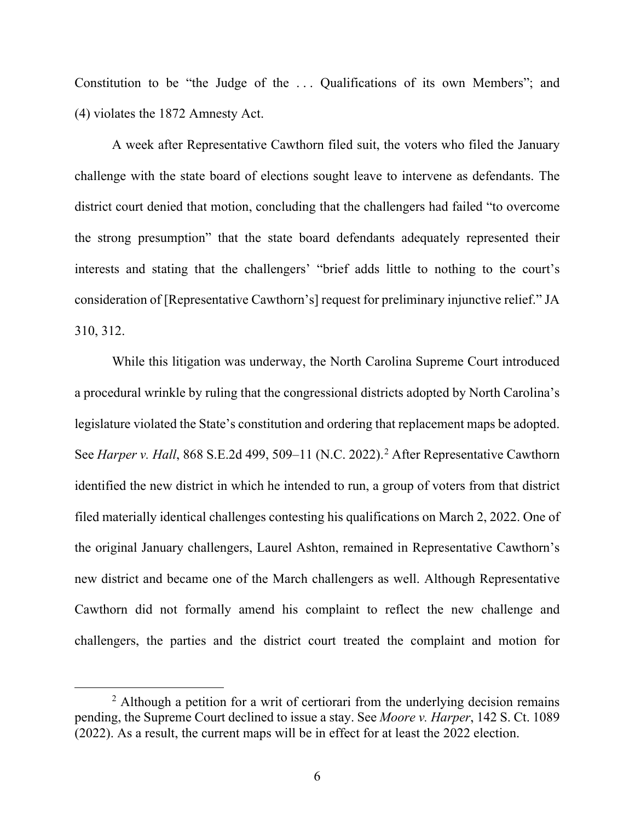Constitution to be "the Judge of the ... Qualifications of its own Members"; and (4) violates the 1872 Amnesty Act.

A week after Representative Cawthorn filed suit, the voters who filed the January challenge with the state board of elections sought leave to intervene as defendants. The district court denied that motion, concluding that the challengers had failed "to overcome the strong presumption" that the state board defendants adequately represented their interests and stating that the challengers' "brief adds little to nothing to the court's consideration of [Representative Cawthorn's] request for preliminary injunctive relief." JA 310, 312.

While this litigation was underway, the North Carolina Supreme Court introduced a procedural wrinkle by ruling that the congressional districts adopted by North Carolina's legislature violated the State's constitution and ordering that replacement maps be adopted. See *Harper v. Hall*, 868 S.E.[2](#page-5-0)d 499, 509–11 (N.C. 2022).<sup>2</sup> After Representative Cawthorn identified the new district in which he intended to run, a group of voters from that district filed materially identical challenges contesting his qualifications on March 2, 2022. One of the original January challengers, Laurel Ashton, remained in Representative Cawthorn's new district and became one of the March challengers as well. Although Representative Cawthorn did not formally amend his complaint to reflect the new challenge and challengers, the parties and the district court treated the complaint and motion for

<span id="page-5-0"></span> $2$  Although a petition for a writ of certiorari from the underlying decision remains pending, the Supreme Court declined to issue a stay. See *Moore v. Harper*, 142 S. Ct. 1089 (2022). As a result, the current maps will be in effect for at least the 2022 election.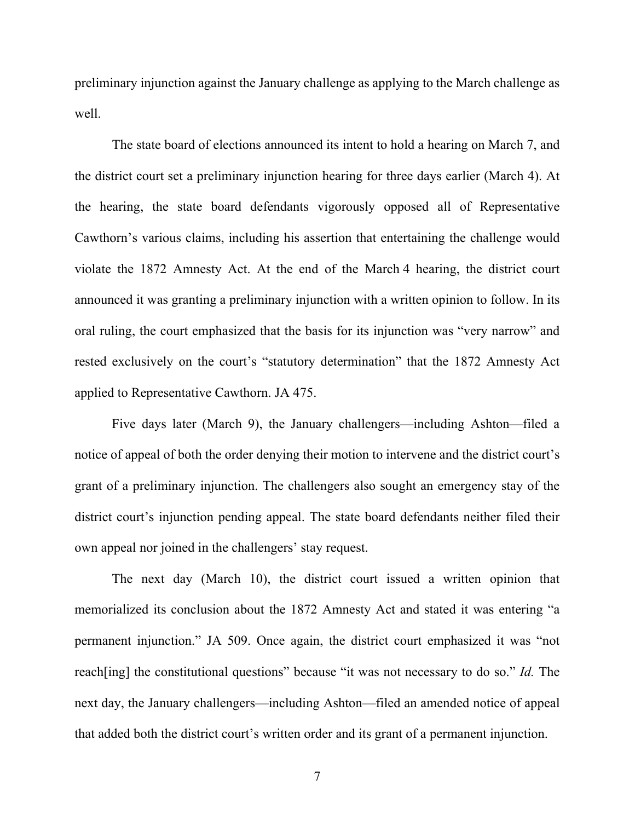preliminary injunction against the January challenge as applying to the March challenge as well.

The state board of elections announced its intent to hold a hearing on March 7, and the district court set a preliminary injunction hearing for three days earlier (March 4). At the hearing, the state board defendants vigorously opposed all of Representative Cawthorn's various claims, including his assertion that entertaining the challenge would violate the 1872 Amnesty Act. At the end of the March 4 hearing, the district court announced it was granting a preliminary injunction with a written opinion to follow. In its oral ruling, the court emphasized that the basis for its injunction was "very narrow" and rested exclusively on the court's "statutory determination" that the 1872 Amnesty Act applied to Representative Cawthorn. JA 475.

Five days later (March 9), the January challengers—including Ashton—filed a notice of appeal of both the order denying their motion to intervene and the district court's grant of a preliminary injunction. The challengers also sought an emergency stay of the district court's injunction pending appeal. The state board defendants neither filed their own appeal nor joined in the challengers' stay request.

The next day (March 10), the district court issued a written opinion that memorialized its conclusion about the 1872 Amnesty Act and stated it was entering "a permanent injunction." JA 509. Once again, the district court emphasized it was "not reach[ing] the constitutional questions" because "it was not necessary to do so." *Id.* The next day, the January challengers—including Ashton—filed an amended notice of appeal that added both the district court's written order and its grant of a permanent injunction.

7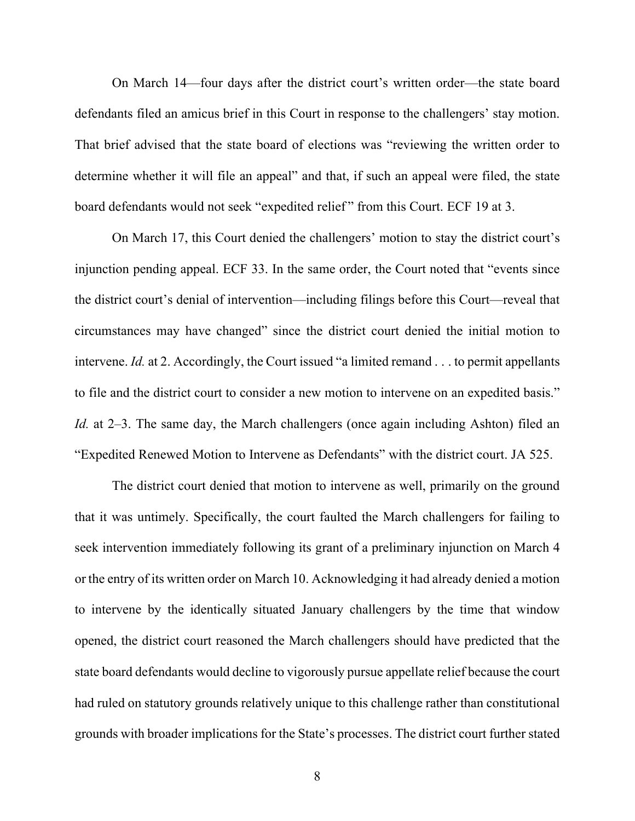On March 14—four days after the district court's written order—the state board defendants filed an amicus brief in this Court in response to the challengers' stay motion. That brief advised that the state board of elections was "reviewing the written order to determine whether it will file an appeal" and that, if such an appeal were filed, the state board defendants would not seek "expedited relief" from this Court. ECF 19 at 3.

On March 17, this Court denied the challengers' motion to stay the district court's injunction pending appeal. ECF 33. In the same order, the Court noted that "events since the district court's denial of intervention—including filings before this Court—reveal that circumstances may have changed" since the district court denied the initial motion to intervene. *Id.* at 2. Accordingly, the Court issued "a limited remand . . . to permit appellants to file and the district court to consider a new motion to intervene on an expedited basis." *Id.* at 2–3. The same day, the March challengers (once again including Ashton) filed an "Expedited Renewed Motion to Intervene as Defendants" with the district court. JA 525.

The district court denied that motion to intervene as well, primarily on the ground that it was untimely. Specifically, the court faulted the March challengers for failing to seek intervention immediately following its grant of a preliminary injunction on March 4 or the entry of its written order on March 10. Acknowledging it had already denied a motion to intervene by the identically situated January challengers by the time that window opened, the district court reasoned the March challengers should have predicted that the state board defendants would decline to vigorously pursue appellate relief because the court had ruled on statutory grounds relatively unique to this challenge rather than constitutional grounds with broader implications for the State's processes. The district court further stated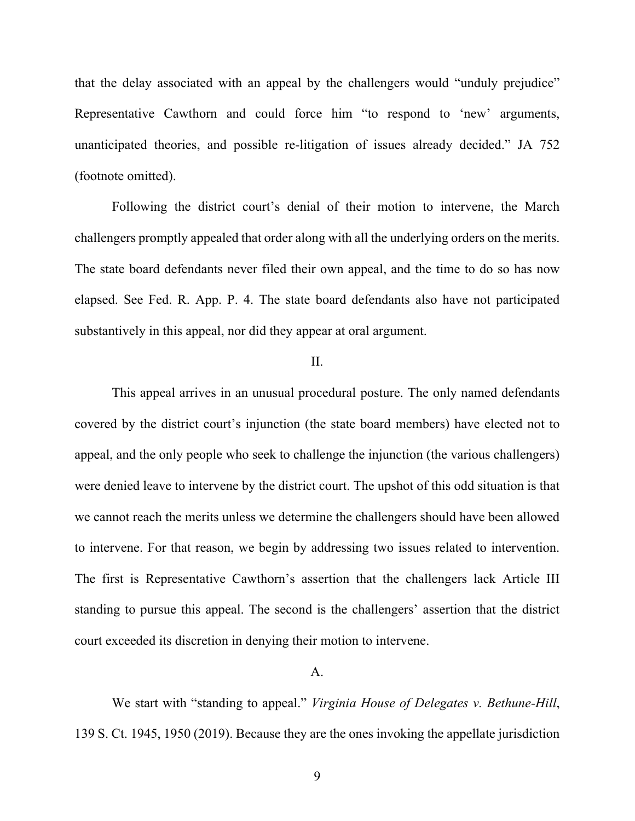that the delay associated with an appeal by the challengers would "unduly prejudice" Representative Cawthorn and could force him "to respond to 'new' arguments, unanticipated theories, and possible re-litigation of issues already decided." JA 752 (footnote omitted).

Following the district court's denial of their motion to intervene, the March challengers promptly appealed that order along with all the underlying orders on the merits. The state board defendants never filed their own appeal, and the time to do so has now elapsed. See Fed. R. App. P. 4. The state board defendants also have not participated substantively in this appeal, nor did they appear at oral argument.

### II.

This appeal arrives in an unusual procedural posture. The only named defendants covered by the district court's injunction (the state board members) have elected not to appeal, and the only people who seek to challenge the injunction (the various challengers) were denied leave to intervene by the district court. The upshot of this odd situation is that we cannot reach the merits unless we determine the challengers should have been allowed to intervene. For that reason, we begin by addressing two issues related to intervention. The first is Representative Cawthorn's assertion that the challengers lack Article III standing to pursue this appeal. The second is the challengers' assertion that the district court exceeded its discretion in denying their motion to intervene.

#### A.

We start with "standing to appeal." *Virginia House of Delegates v. Bethune-Hill*, 139 S. Ct. 1945, 1950 (2019). Because they are the ones invoking the appellate jurisdiction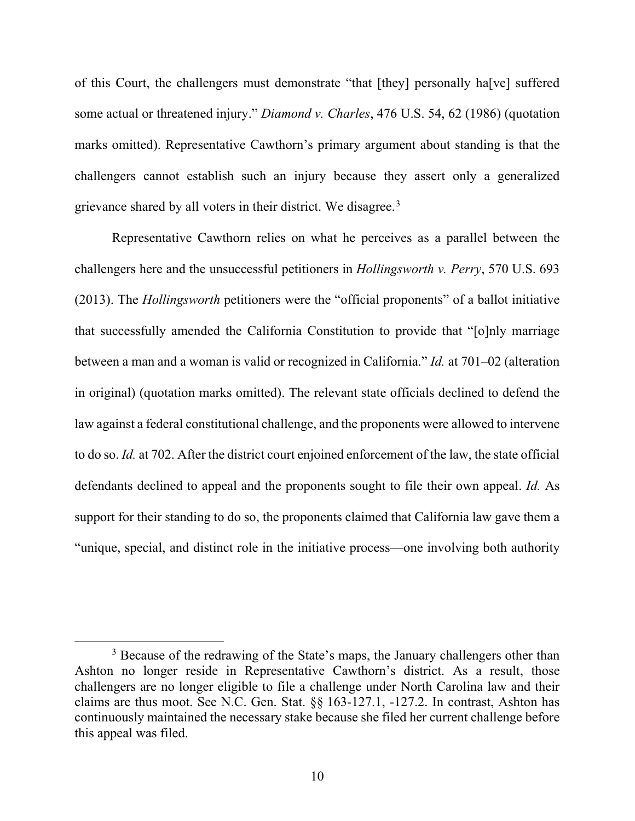of this Court, the challengers must demonstrate "that [they] personally ha[ve] suffered some actual or threatened injury." *Diamond v. Charles*, 476 U.S. 54, 62 (1986) (quotation marks omitted). Representative Cawthorn's primary argument about standing is that the challengers cannot establish such an injury because they assert only a generalized grievance shared by all voters in their district. We disagree.<sup>[3](#page-9-0)</sup>

Representative Cawthorn relies on what he perceives as a parallel between the challengers here and the unsuccessful petitioners in *Hollingsworth v. Perry*, 570 U.S. 693 (2013). The *Hollingsworth* petitioners were the "official proponents" of a ballot initiative that successfully amended the California Constitution to provide that "[o]nly marriage between a man and a woman is valid or recognized in California." *Id.* at 701–02 (alteration in original) (quotation marks omitted). The relevant state officials declined to defend the law against a federal constitutional challenge, and the proponents were allowed to intervene to do so. *Id.* at 702. After the district court enjoined enforcement of the law, the state official defendants declined to appeal and the proponents sought to file their own appeal. *Id.* As support for their standing to do so, the proponents claimed that California law gave them a "unique, special, and distinct role in the initiative process—one involving both authority

<span id="page-9-0"></span><sup>&</sup>lt;sup>3</sup> Because of the redrawing of the State's maps, the January challengers other than Ashton no longer reside in Representative Cawthorn's district. As a result, those challengers are no longer eligible to file a challenge under North Carolina law and their claims are thus moot. See N.C. Gen. Stat. §§ 163-127.1, -127.2. In contrast, Ashton has continuously maintained the necessary stake because she filed her current challenge before this appeal was filed.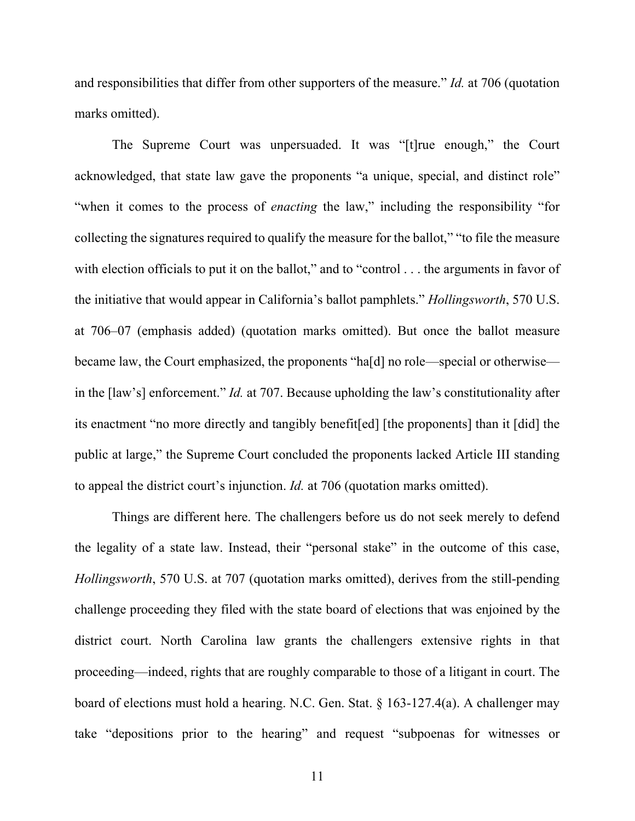and responsibilities that differ from other supporters of the measure." *Id.* at 706 (quotation marks omitted).

The Supreme Court was unpersuaded. It was "[t]rue enough," the Court acknowledged, that state law gave the proponents "a unique, special, and distinct role" "when it comes to the process of *enacting* the law," including the responsibility "for collecting the signatures required to qualify the measure for the ballot," "to file the measure with election officials to put it on the ballot," and to "control . . . the arguments in favor of the initiative that would appear in California's ballot pamphlets." *Hollingsworth*, 570 U.S. at 706–07 (emphasis added) (quotation marks omitted). But once the ballot measure became law, the Court emphasized, the proponents "ha[d] no role—special or otherwise in the [law's] enforcement." *Id.* at 707. Because upholding the law's constitutionality after its enactment "no more directly and tangibly benefit[ed] [the proponents] than it [did] the public at large," the Supreme Court concluded the proponents lacked Article III standing to appeal the district court's injunction. *Id.* at 706 (quotation marks omitted).

Things are different here. The challengers before us do not seek merely to defend the legality of a state law. Instead, their "personal stake" in the outcome of this case, *Hollingsworth*, 570 U.S. at 707 (quotation marks omitted), derives from the still-pending challenge proceeding they filed with the state board of elections that was enjoined by the district court. North Carolina law grants the challengers extensive rights in that proceeding—indeed, rights that are roughly comparable to those of a litigant in court. The board of elections must hold a hearing. N.C. Gen. Stat. § 163-127.4(a). A challenger may take "depositions prior to the hearing" and request "subpoenas for witnesses or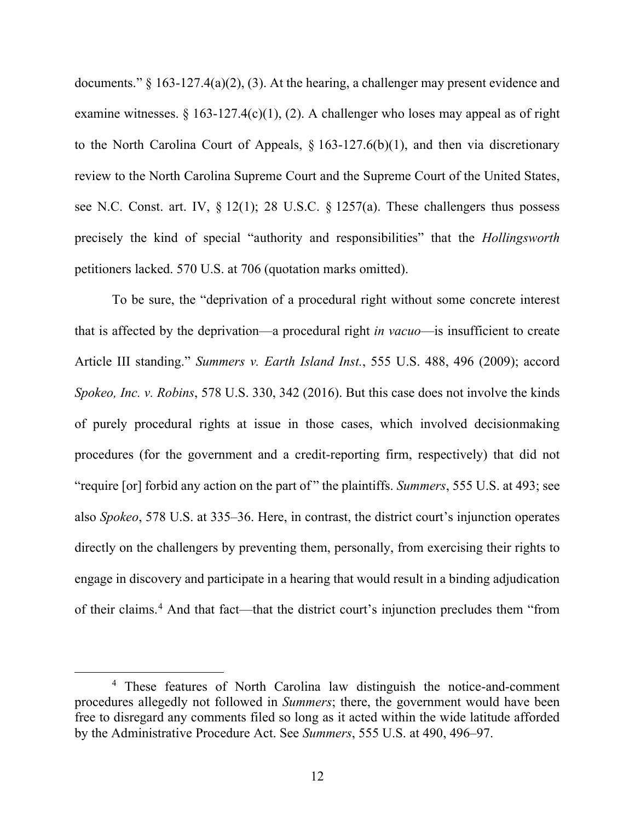documents." § 163-127.4(a)(2), (3). At the hearing, a challenger may present evidence and examine witnesses. § 163-127.4(c)(1), (2). A challenger who loses may appeal as of right to the North Carolina Court of Appeals,  $\S 163-127.6(b)(1)$ , and then via discretionary review to the North Carolina Supreme Court and the Supreme Court of the United States, see N.C. Const. art. IV, § 12(1); 28 U.S.C. § 1257(a). These challengers thus possess precisely the kind of special "authority and responsibilities" that the *Hollingsworth* petitioners lacked. 570 U.S. at 706 (quotation marks omitted).

To be sure, the "deprivation of a procedural right without some concrete interest that is affected by the deprivation—a procedural right *in vacuo*—is insufficient to create Article III standing." *Summers v. Earth Island Inst.*, 555 U.S. 488, 496 (2009); accord *Spokeo, Inc. v. Robins*, 578 U.S. 330, 342 (2016). But this case does not involve the kinds of purely procedural rights at issue in those cases, which involved decisionmaking procedures (for the government and a credit-reporting firm, respectively) that did not "require [or] forbid any action on the part of " the plaintiffs. *Summers*, 555 U.S. at 493; see also *Spokeo*, 578 U.S. at 335–36. Here, in contrast, the district court's injunction operates directly on the challengers by preventing them, personally, from exercising their rights to engage in discovery and participate in a hearing that would result in a binding adjudication of their claims. [4](#page-11-0) And that fact—that the district court's injunction precludes them "from

<span id="page-11-0"></span><sup>4</sup> These features of North Carolina law distinguish the notice-and-comment procedures allegedly not followed in *Summers*; there, the government would have been free to disregard any comments filed so long as it acted within the wide latitude afforded by the Administrative Procedure Act. See *Summers*, 555 U.S. at 490, 496–97.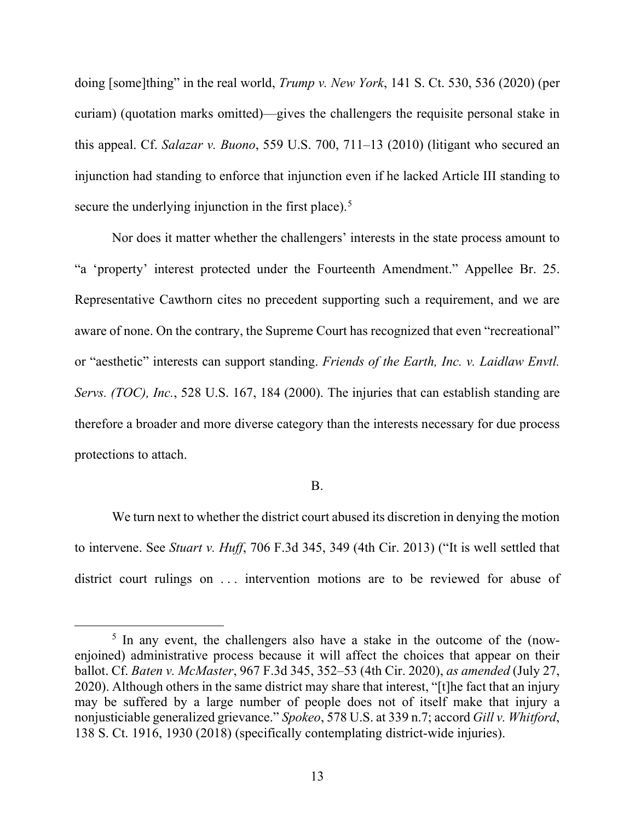doing [some]thing" in the real world, *Trump v. New York*, 141 S. Ct. 530, 536 (2020) (per curiam) (quotation marks omitted)—gives the challengers the requisite personal stake in this appeal. Cf. *Salazar v. Buono*, 559 U.S. 700, 711–13 (2010) (litigant who secured an injunction had standing to enforce that injunction even if he lacked Article III standing to secure the underlying injunction in the first place).<sup>[5](#page-12-0)</sup>

Nor does it matter whether the challengers' interests in the state process amount to "a 'property' interest protected under the Fourteenth Amendment." Appellee Br. 25. Representative Cawthorn cites no precedent supporting such a requirement, and we are aware of none. On the contrary, the Supreme Court has recognized that even "recreational" or "aesthetic" interests can support standing. *Friends of the Earth, Inc. v. Laidlaw Envtl. Servs. (TOC), Inc.*, 528 U.S. 167, 184 (2000). The injuries that can establish standing are therefore a broader and more diverse category than the interests necessary for due process protections to attach.

#### B.

We turn next to whether the district court abused its discretion in denying the motion to intervene. See *Stuart v. Huff*, 706 F.3d 345, 349 (4th Cir. 2013) ("It is well settled that district court rulings on ... intervention motions are to be reviewed for abuse of

<span id="page-12-0"></span> $<sup>5</sup>$  In any event, the challengers also have a stake in the outcome of the (now-</sup> enjoined) administrative process because it will affect the choices that appear on their ballot. Cf. *Baten v. McMaster*, 967 F.3d 345, 352–53 (4th Cir. 2020), *as amended* (July 27, 2020). Although others in the same district may share that interest, "[t]he fact that an injury may be suffered by a large number of people does not of itself make that injury a nonjusticiable generalized grievance." *Spokeo*, 578 U.S. at 339 n.7; accord *Gill v. Whitford*, 138 S. Ct. 1916, 1930 (2018) (specifically contemplating district-wide injuries).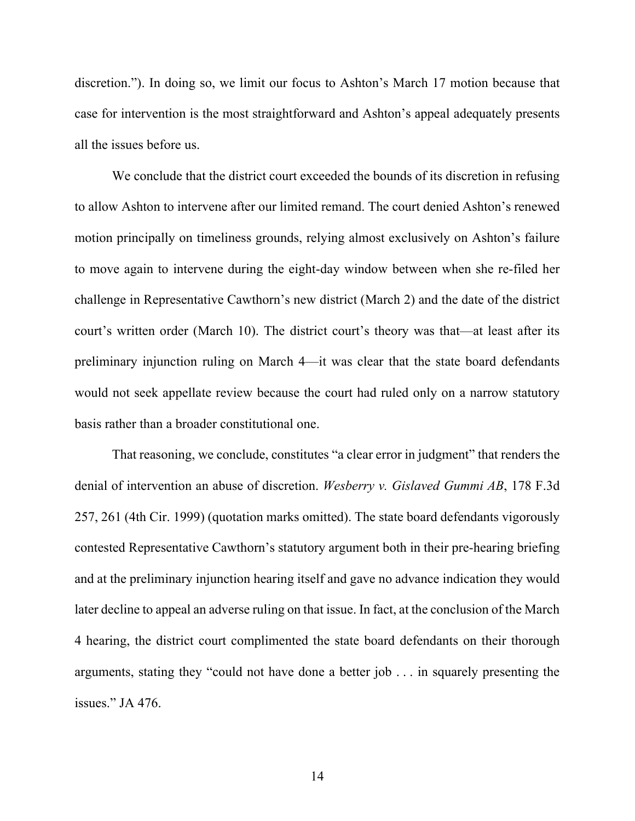discretion."). In doing so, we limit our focus to Ashton's March 17 motion because that case for intervention is the most straightforward and Ashton's appeal adequately presents all the issues before us.

We conclude that the district court exceeded the bounds of its discretion in refusing to allow Ashton to intervene after our limited remand. The court denied Ashton's renewed motion principally on timeliness grounds, relying almost exclusively on Ashton's failure to move again to intervene during the eight-day window between when she re-filed her challenge in Representative Cawthorn's new district (March 2) and the date of the district court's written order (March 10). The district court's theory was that—at least after its preliminary injunction ruling on March 4—it was clear that the state board defendants would not seek appellate review because the court had ruled only on a narrow statutory basis rather than a broader constitutional one.

That reasoning, we conclude, constitutes "a clear error in judgment" that renders the denial of intervention an abuse of discretion. *Wesberry v. Gislaved Gummi AB*, 178 F.3d 257, 261 (4th Cir. 1999) (quotation marks omitted). The state board defendants vigorously contested Representative Cawthorn's statutory argument both in their pre-hearing briefing and at the preliminary injunction hearing itself and gave no advance indication they would later decline to appeal an adverse ruling on that issue. In fact, at the conclusion of the March 4 hearing, the district court complimented the state board defendants on their thorough arguments, stating they "could not have done a better job . . . in squarely presenting the issues." JA 476.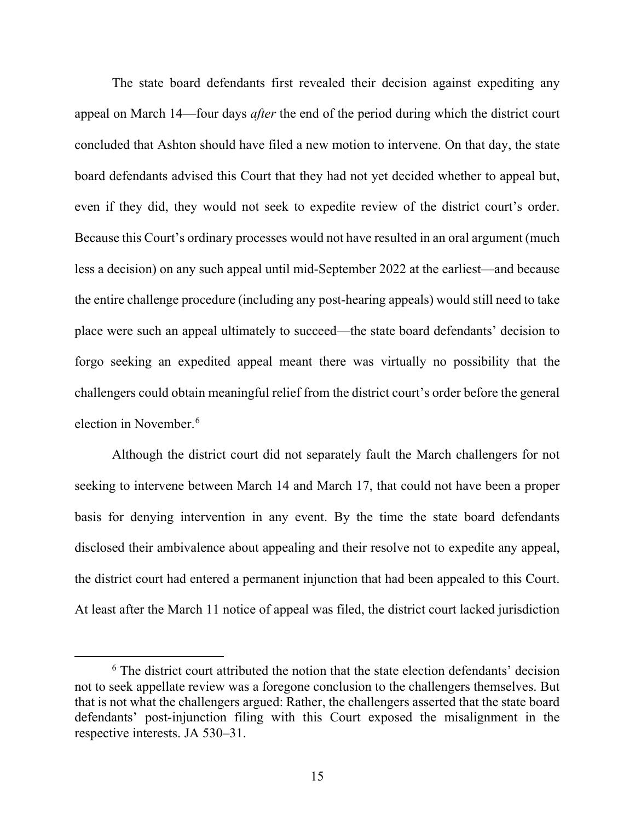The state board defendants first revealed their decision against expediting any appeal on March 14—four days *after* the end of the period during which the district court concluded that Ashton should have filed a new motion to intervene. On that day, the state board defendants advised this Court that they had not yet decided whether to appeal but, even if they did, they would not seek to expedite review of the district court's order. Because this Court's ordinary processes would not have resulted in an oral argument (much less a decision) on any such appeal until mid-September 2022 at the earliest—and because the entire challenge procedure (including any post-hearing appeals) would still need to take place were such an appeal ultimately to succeed—the state board defendants' decision to forgo seeking an expedited appeal meant there was virtually no possibility that the challengers could obtain meaningful relief from the district court's order before the general election in November. [6](#page-14-0)

Although the district court did not separately fault the March challengers for not seeking to intervene between March 14 and March 17, that could not have been a proper basis for denying intervention in any event. By the time the state board defendants disclosed their ambivalence about appealing and their resolve not to expedite any appeal, the district court had entered a permanent injunction that had been appealed to this Court. At least after the March 11 notice of appeal was filed, the district court lacked jurisdiction

<span id="page-14-0"></span><sup>&</sup>lt;sup>6</sup> The district court attributed the notion that the state election defendants' decision not to seek appellate review was a foregone conclusion to the challengers themselves. But that is not what the challengers argued: Rather, the challengers asserted that the state board defendants' post-injunction filing with this Court exposed the misalignment in the respective interests. JA 530–31.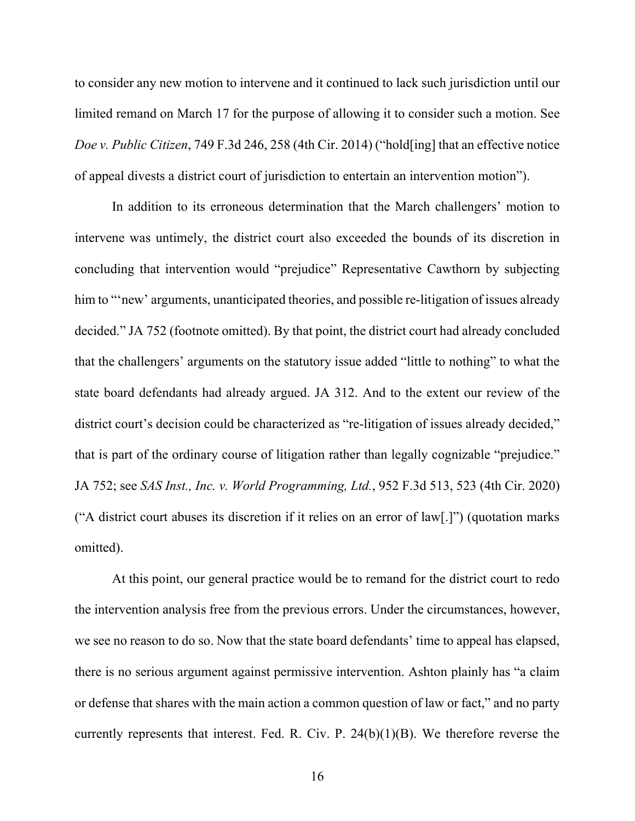to consider any new motion to intervene and it continued to lack such jurisdiction until our limited remand on March 17 for the purpose of allowing it to consider such a motion. See *Doe v. Public Citizen*, 749 F.3d 246, 258 (4th Cir. 2014) ("hold[ing] that an effective notice of appeal divests a district court of jurisdiction to entertain an intervention motion").

In addition to its erroneous determination that the March challengers' motion to intervene was untimely, the district court also exceeded the bounds of its discretion in concluding that intervention would "prejudice" Representative Cawthorn by subjecting him to "new' arguments, unanticipated theories, and possible re-litigation of issues already decided." JA 752 (footnote omitted). By that point, the district court had already concluded that the challengers' arguments on the statutory issue added "little to nothing" to what the state board defendants had already argued. JA 312. And to the extent our review of the district court's decision could be characterized as "re-litigation of issues already decided," that is part of the ordinary course of litigation rather than legally cognizable "prejudice." JA 752; see *SAS Inst., Inc. v. World Programming, Ltd.*, 952 F.3d 513, 523 (4th Cir. 2020) ("A district court abuses its discretion if it relies on an error of law[.]") (quotation marks omitted).

At this point, our general practice would be to remand for the district court to redo the intervention analysis free from the previous errors. Under the circumstances, however, we see no reason to do so. Now that the state board defendants' time to appeal has elapsed, there is no serious argument against permissive intervention. Ashton plainly has "a claim or defense that shares with the main action a common question of law or fact," and no party currently represents that interest. Fed. R. Civ. P. 24(b)(1)(B). We therefore reverse the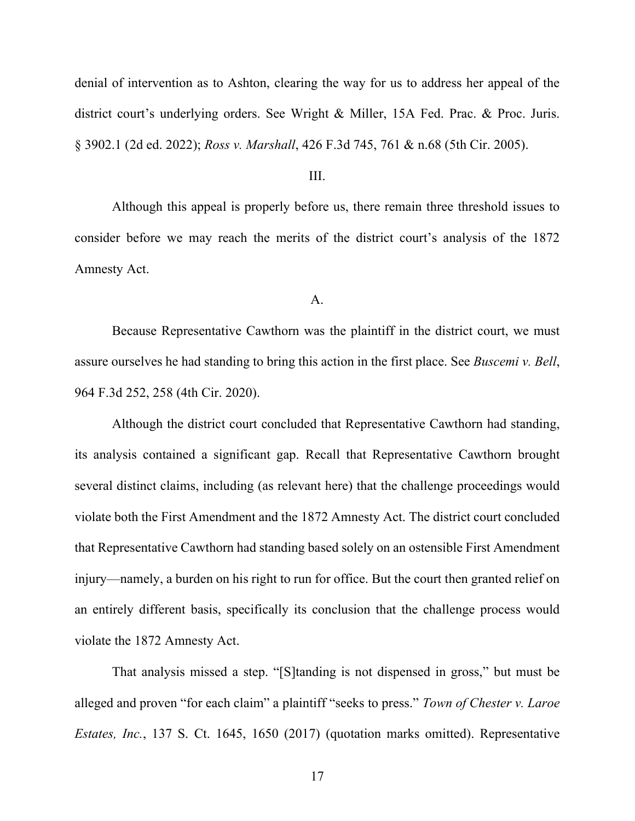denial of intervention as to Ashton, clearing the way for us to address her appeal of the district court's underlying orders. See Wright & Miller, 15A Fed. Prac. & Proc. Juris. § 3902.1 (2d ed. 2022); *Ross v. Marshall*, 426 F.3d 745, 761 & n.68 (5th Cir. 2005).

### III.

Although this appeal is properly before us, there remain three threshold issues to consider before we may reach the merits of the district court's analysis of the 1872 Amnesty Act.

#### A.

Because Representative Cawthorn was the plaintiff in the district court, we must assure ourselves he had standing to bring this action in the first place. See *Buscemi v. Bell*, 964 F.3d 252, 258 (4th Cir. 2020).

Although the district court concluded that Representative Cawthorn had standing, its analysis contained a significant gap. Recall that Representative Cawthorn brought several distinct claims, including (as relevant here) that the challenge proceedings would violate both the First Amendment and the 1872 Amnesty Act. The district court concluded that Representative Cawthorn had standing based solely on an ostensible First Amendment injury—namely, a burden on his right to run for office. But the court then granted relief on an entirely different basis, specifically its conclusion that the challenge process would violate the 1872 Amnesty Act.

That analysis missed a step. "[S]tanding is not dispensed in gross," but must be alleged and proven "for each claim" a plaintiff "seeks to press." *Town of Chester v. Laroe Estates, Inc.*, 137 S. Ct. 1645, 1650 (2017) (quotation marks omitted). Representative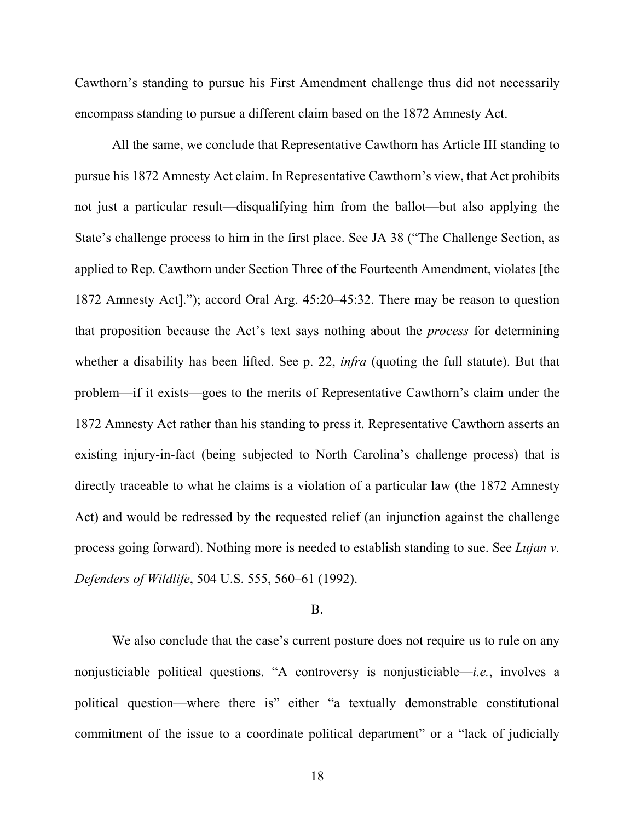Cawthorn's standing to pursue his First Amendment challenge thus did not necessarily encompass standing to pursue a different claim based on the 1872 Amnesty Act.

All the same, we conclude that Representative Cawthorn has Article III standing to pursue his 1872 Amnesty Act claim. In Representative Cawthorn's view, that Act prohibits not just a particular result—disqualifying him from the ballot—but also applying the State's challenge process to him in the first place. See JA 38 ("The Challenge Section, as applied to Rep. Cawthorn under Section Three of the Fourteenth Amendment, violates [the 1872 Amnesty Act]."); accord Oral Arg. 45:20–45:32. There may be reason to question that proposition because the Act's text says nothing about the *process* for determining whether a disability has been lifted. See p. 22, *infra* (quoting the full statute). But that problem—if it exists—goes to the merits of Representative Cawthorn's claim under the 1872 Amnesty Act rather than his standing to press it. Representative Cawthorn asserts an existing injury-in-fact (being subjected to North Carolina's challenge process) that is directly traceable to what he claims is a violation of a particular law (the 1872 Amnesty Act) and would be redressed by the requested relief (an injunction against the challenge process going forward). Nothing more is needed to establish standing to sue. See *Lujan v. Defenders of Wildlife*, 504 U.S. 555, 560–61 (1992).

#### B.

We also conclude that the case's current posture does not require us to rule on any nonjusticiable political questions. "A controversy is nonjusticiable—*i.e.*, involves a political question—where there is" either "a textually demonstrable constitutional commitment of the issue to a coordinate political department" or a "lack of judicially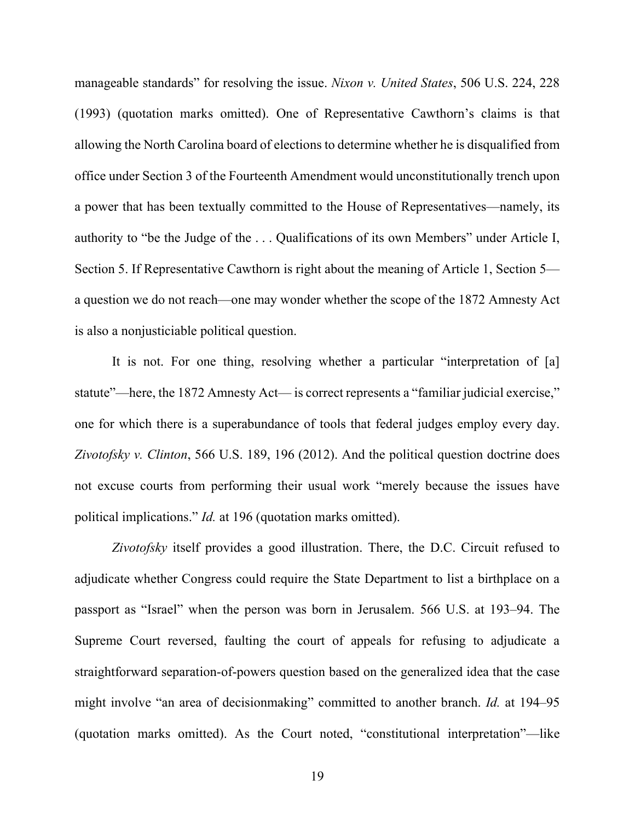manageable standards" for resolving the issue. *Nixon v. United States*, 506 U.S. 224, 228 (1993) (quotation marks omitted). One of Representative Cawthorn's claims is that allowing the North Carolina board of elections to determine whether he is disqualified from office under Section 3 of the Fourteenth Amendment would unconstitutionally trench upon a power that has been textually committed to the House of Representatives—namely, its authority to "be the Judge of the . . . Qualifications of its own Members" under Article I, Section 5. If Representative Cawthorn is right about the meaning of Article 1, Section 5 a question we do not reach—one may wonder whether the scope of the 1872 Amnesty Act is also a nonjusticiable political question.

It is not. For one thing, resolving whether a particular "interpretation of [a] statute"—here, the 1872 Amnesty Act— is correct represents a "familiar judicial exercise," one for which there is a superabundance of tools that federal judges employ every day. *Zivotofsky v. Clinton*, 566 U.S. 189, 196 (2012). And the political question doctrine does not excuse courts from performing their usual work "merely because the issues have political implications." *Id.* at 196 (quotation marks omitted).

*Zivotofsky* itself provides a good illustration. There, the D.C. Circuit refused to adjudicate whether Congress could require the State Department to list a birthplace on a passport as "Israel" when the person was born in Jerusalem. 566 U.S. at 193–94. The Supreme Court reversed, faulting the court of appeals for refusing to adjudicate a straightforward separation-of-powers question based on the generalized idea that the case might involve "an area of decisionmaking" committed to another branch. *Id.* at 194–95 (quotation marks omitted). As the Court noted, "constitutional interpretation"—like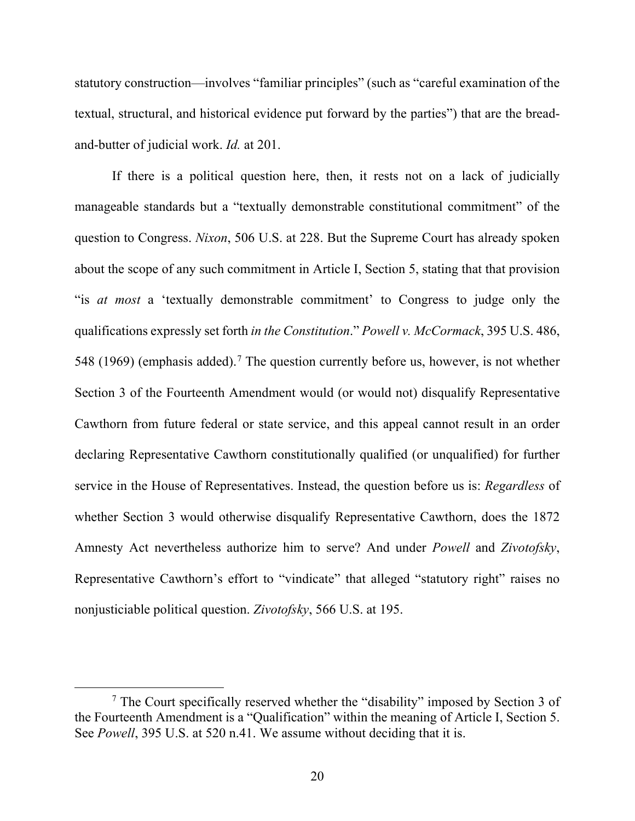statutory construction—involves "familiar principles" (such as "careful examination of the textual, structural, and historical evidence put forward by the parties") that are the breadand-butter of judicial work. *Id.* at 201.

If there is a political question here, then, it rests not on a lack of judicially manageable standards but a "textually demonstrable constitutional commitment" of the question to Congress. *Nixon*, 506 U.S. at 228. But the Supreme Court has already spoken about the scope of any such commitment in Article I, Section 5, stating that that provision "is *at most* a 'textually demonstrable commitment' to Congress to judge only the qualifications expressly set forth *in the Constitution*." *Powell v. McCormack*, 395 U.S. 486, 548 (1969) (emphasis added).<sup>[7](#page-19-0)</sup> The question currently before us, however, is not whether Section 3 of the Fourteenth Amendment would (or would not) disqualify Representative Cawthorn from future federal or state service, and this appeal cannot result in an order declaring Representative Cawthorn constitutionally qualified (or unqualified) for further service in the House of Representatives. Instead, the question before us is: *Regardless* of whether Section 3 would otherwise disqualify Representative Cawthorn, does the 1872 Amnesty Act nevertheless authorize him to serve? And under *Powell* and *Zivotofsky*, Representative Cawthorn's effort to "vindicate" that alleged "statutory right" raises no nonjusticiable political question. *Zivotofsky*, 566 U.S. at 195.

<span id="page-19-0"></span> $<sup>7</sup>$  The Court specifically reserved whether the "disability" imposed by Section 3 of</sup> the Fourteenth Amendment is a "Qualification" within the meaning of Article I, Section 5. See *Powell*, 395 U.S. at 520 n.41. We assume without deciding that it is.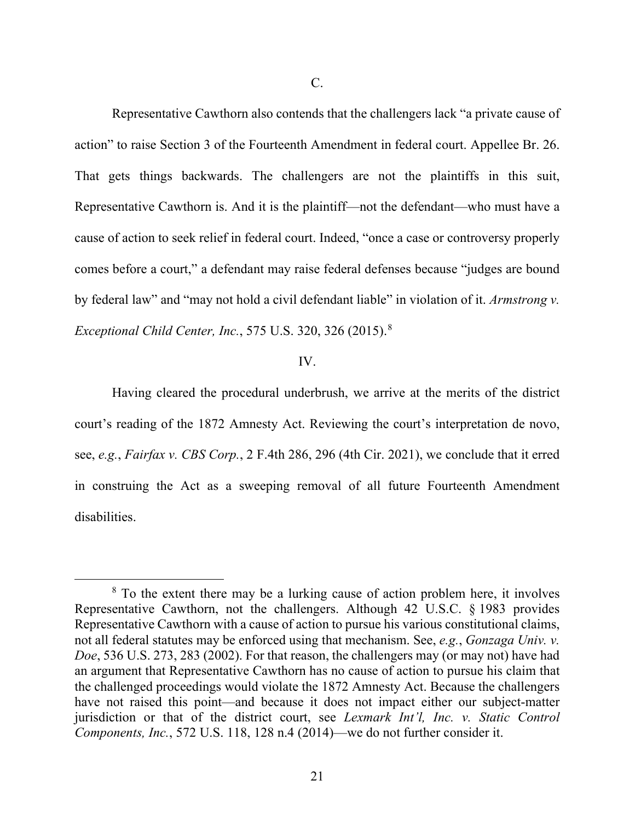C.

Representative Cawthorn also contends that the challengers lack "a private cause of action" to raise Section 3 of the Fourteenth Amendment in federal court. Appellee Br. 26. That gets things backwards. The challengers are not the plaintiffs in this suit, Representative Cawthorn is. And it is the plaintiff—not the defendant—who must have a cause of action to seek relief in federal court. Indeed, "once a case or controversy properly comes before a court," a defendant may raise federal defenses because "judges are bound by federal law" and "may not hold a civil defendant liable" in violation of it. *Armstrong v. Exceptional Child Center, Inc.*, 575 U.S. 320, 326 (2015). [8](#page-20-0)

#### IV.

Having cleared the procedural underbrush, we arrive at the merits of the district court's reading of the 1872 Amnesty Act. Reviewing the court's interpretation de novo, see, *e.g.*, *Fairfax v. CBS Corp.*, 2 F.4th 286, 296 (4th Cir. 2021), we conclude that it erred in construing the Act as a sweeping removal of all future Fourteenth Amendment disabilities.

<span id="page-20-0"></span><sup>&</sup>lt;sup>8</sup> To the extent there may be a lurking cause of action problem here, it involves Representative Cawthorn, not the challengers. Although 42 U.S.C. § 1983 provides Representative Cawthorn with a cause of action to pursue his various constitutional claims, not all federal statutes may be enforced using that mechanism. See, *e.g.*, *Gonzaga Univ. v. Doe*, 536 U.S. 273, 283 (2002). For that reason, the challengers may (or may not) have had an argument that Representative Cawthorn has no cause of action to pursue his claim that the challenged proceedings would violate the 1872 Amnesty Act. Because the challengers have not raised this point—and because it does not impact either our subject-matter jurisdiction or that of the district court, see *Lexmark Int'l, Inc. v. Static Control Components, Inc.*, 572 U.S. 118, 128 n.4 (2014)—we do not further consider it.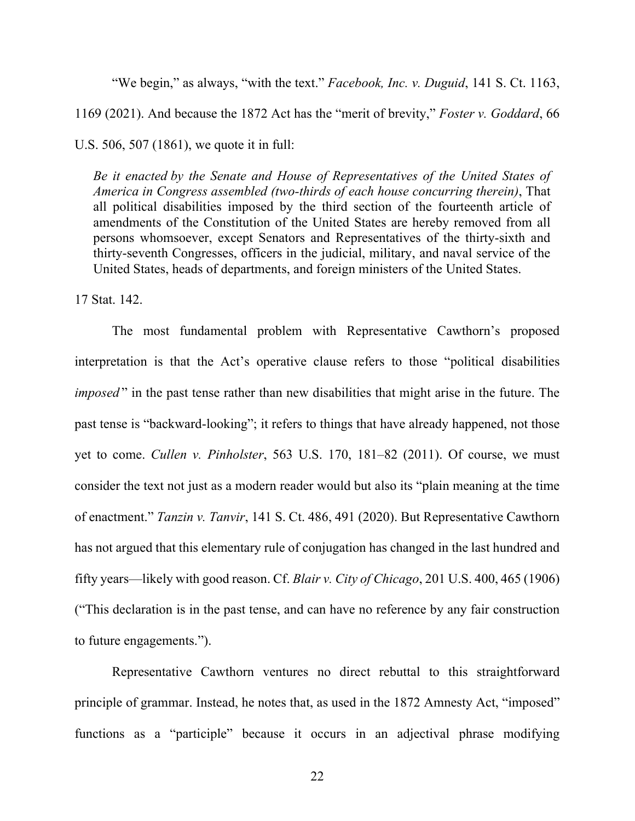"We begin," as always, "with the text." *Facebook, Inc. v. Duguid*, 141 S. Ct. 1163, 1169 (2021). And because the 1872 Act has the "merit of brevity," *Foster v. Goddard*, 66 U.S. 506, 507 (1861), we quote it in full:

*Be it enacted by the Senate and House of Representatives of the United States of America in Congress assembled (two-thirds of each house concurring therein)*, That all political disabilities imposed by the third section of the fourteenth article of amendments of the Constitution of the United States are hereby removed from all persons whomsoever, except Senators and Representatives of the thirty-sixth and thirty-seventh Congresses, officers in the judicial, military, and naval service of the United States, heads of departments, and foreign ministers of the United States.

17 Stat. 142.

The most fundamental problem with Representative Cawthorn's proposed interpretation is that the Act's operative clause refers to those "political disabilities *imposed* " in the past tense rather than new disabilities that might arise in the future. The past tense is "backward-looking"; it refers to things that have already happened, not those yet to come. *Cullen v. Pinholster*, 563 U.S. 170, 181–82 (2011). Of course, we must consider the text not just as a modern reader would but also its "plain meaning at the time of enactment." *Tanzin v. Tanvir*, 141 S. Ct. 486, 491 (2020). But Representative Cawthorn has not argued that this elementary rule of conjugation has changed in the last hundred and fifty years—likely with good reason. Cf. *Blair v. City of Chicago*, 201 U.S. 400, 465 (1906) ("This declaration is in the past tense, and can have no reference by any fair construction to future engagements.").

Representative Cawthorn ventures no direct rebuttal to this straightforward principle of grammar. Instead, he notes that, as used in the 1872 Amnesty Act, "imposed" functions as a "participle" because it occurs in an adjectival phrase modifying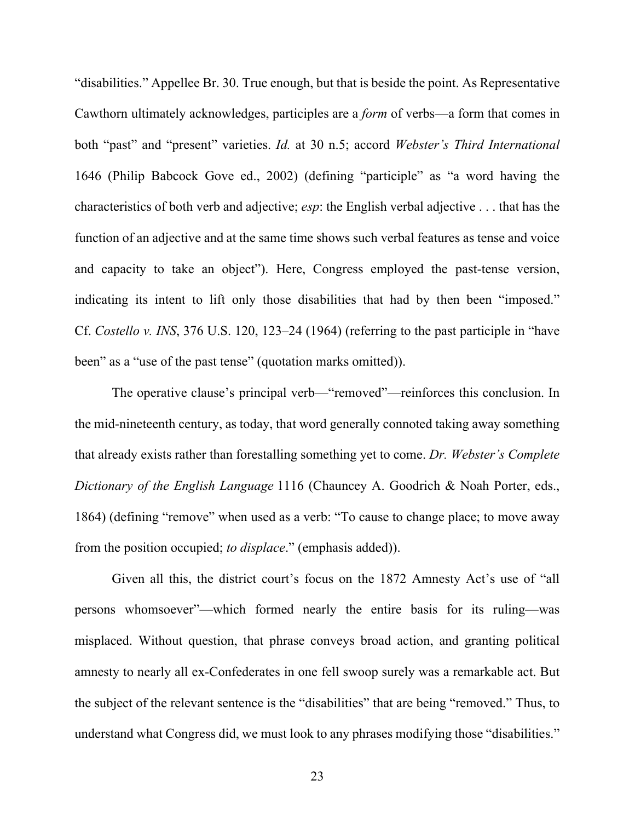"disabilities." Appellee Br. 30. True enough, but that is beside the point. As Representative Cawthorn ultimately acknowledges, participles are a *form* of verbs—a form that comes in both "past" and "present" varieties. *Id.* at 30 n.5; accord *Webster's Third International* 1646 (Philip Babcock Gove ed., 2002) (defining "participle" as "a word having the characteristics of both verb and adjective; *esp*: the English verbal adjective . . . that has the function of an adjective and at the same time shows such verbal features as tense and voice and capacity to take an object"). Here, Congress employed the past-tense version, indicating its intent to lift only those disabilities that had by then been "imposed." Cf. *Costello v. INS*, 376 U.S. 120, 123–24 (1964) (referring to the past participle in "have been" as a "use of the past tense" (quotation marks omitted)).

The operative clause's principal verb—"removed"—reinforces this conclusion. In the mid-nineteenth century, as today, that word generally connoted taking away something that already exists rather than forestalling something yet to come. *Dr. Webster's Complete Dictionary of the English Language* 1116 (Chauncey A. Goodrich & Noah Porter, eds., 1864) (defining "remove" when used as a verb: "To cause to change place; to move away from the position occupied; *to displace*." (emphasis added)).

Given all this, the district court's focus on the 1872 Amnesty Act's use of "all persons whomsoever"—which formed nearly the entire basis for its ruling—was misplaced. Without question, that phrase conveys broad action, and granting political amnesty to nearly all ex-Confederates in one fell swoop surely was a remarkable act. But the subject of the relevant sentence is the "disabilities" that are being "removed." Thus, to understand what Congress did, we must look to any phrases modifying those "disabilities."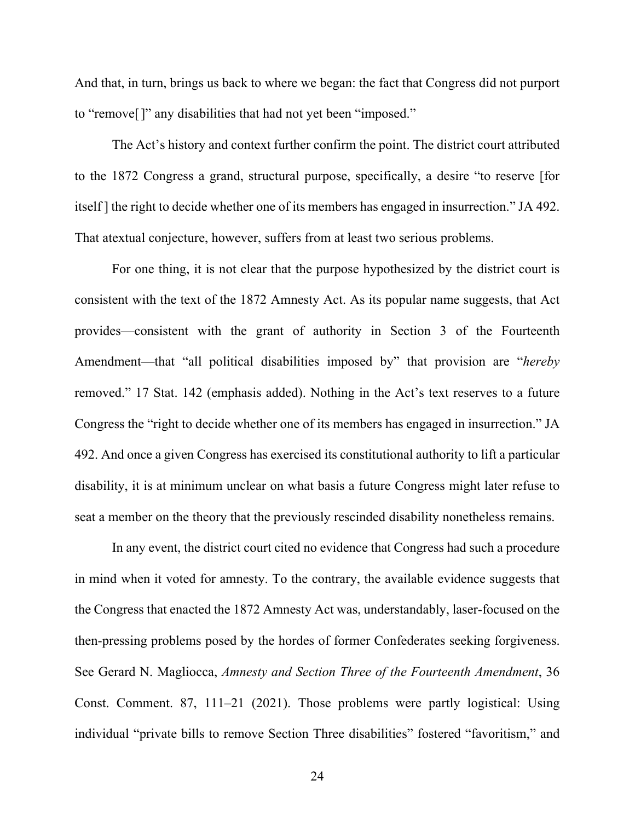And that, in turn, brings us back to where we began: the fact that Congress did not purport to "remove[]" any disabilities that had not yet been "imposed."

The Act's history and context further confirm the point. The district court attributed to the 1872 Congress a grand, structural purpose, specifically, a desire "to reserve [for itself ] the right to decide whether one of its members has engaged in insurrection." JA 492. That atextual conjecture, however, suffers from at least two serious problems.

For one thing, it is not clear that the purpose hypothesized by the district court is consistent with the text of the 1872 Amnesty Act. As its popular name suggests, that Act provides—consistent with the grant of authority in Section 3 of the Fourteenth Amendment—that "all political disabilities imposed by" that provision are "*hereby* removed." 17 Stat. 142 (emphasis added). Nothing in the Act's text reserves to a future Congress the "right to decide whether one of its members has engaged in insurrection." JA 492. And once a given Congress has exercised its constitutional authority to lift a particular disability, it is at minimum unclear on what basis a future Congress might later refuse to seat a member on the theory that the previously rescinded disability nonetheless remains.

In any event, the district court cited no evidence that Congress had such a procedure in mind when it voted for amnesty. To the contrary, the available evidence suggests that the Congress that enacted the 1872 Amnesty Act was, understandably, laser-focused on the then-pressing problems posed by the hordes of former Confederates seeking forgiveness. See Gerard N. Magliocca, *Amnesty and Section Three of the Fourteenth Amendment*, 36 Const. Comment. 87, 111–21 (2021). Those problems were partly logistical: Using individual "private bills to remove Section Three disabilities" fostered "favoritism," and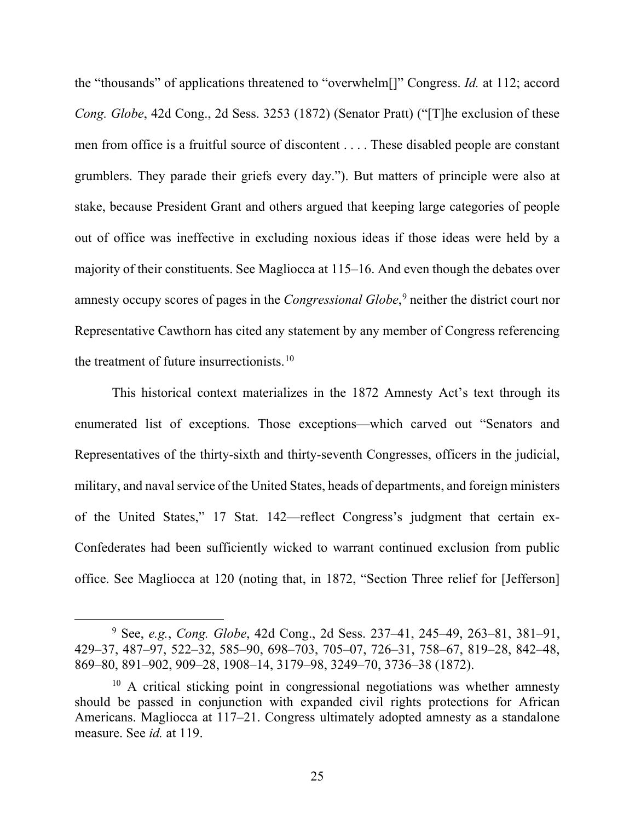the "thousands" of applications threatened to "overwhelm[]" Congress. *Id.* at 112; accord *Cong. Globe*, 42d Cong., 2d Sess. 3253 (1872) (Senator Pratt) ("[T]he exclusion of these men from office is a fruitful source of discontent . . . . These disabled people are constant grumblers. They parade their griefs every day."). But matters of principle were also at stake, because President Grant and others argued that keeping large categories of people out of office was ineffective in excluding noxious ideas if those ideas were held by a majority of their constituents. See Magliocca at 115–16. And even though the debates over amnesty occupy scores of pages in the *Congressional Globe*, [9](#page-24-0) neither the district court nor Representative Cawthorn has cited any statement by any member of Congress referencing the treatment of future insurrectionists. $10$ 

This historical context materializes in the 1872 Amnesty Act's text through its enumerated list of exceptions. Those exceptions—which carved out "Senators and Representatives of the thirty-sixth and thirty-seventh Congresses, officers in the judicial, military, and naval service of the United States, heads of departments, and foreign ministers of the United States," 17 Stat. 142—reflect Congress's judgment that certain ex-Confederates had been sufficiently wicked to warrant continued exclusion from public office. See Magliocca at 120 (noting that, in 1872, "Section Three relief for [Jefferson]

<span id="page-24-0"></span><sup>9</sup> See, *e.g.*, *Cong. Globe*, 42d Cong., 2d Sess. 237–41, 245–49, 263–81, 381–91, 429–37, 487–97, 522–32, 585–90, 698–703, 705–07, 726–31, 758–67, 819–28, 842–48, 869–80, 891–902, 909–28, 1908–14, 3179–98, 3249–70, 3736–38 (1872).

<span id="page-24-1"></span> $10$  A critical sticking point in congressional negotiations was whether amnesty should be passed in conjunction with expanded civil rights protections for African Americans. Magliocca at 117–21. Congress ultimately adopted amnesty as a standalone measure. See *id.* at 119.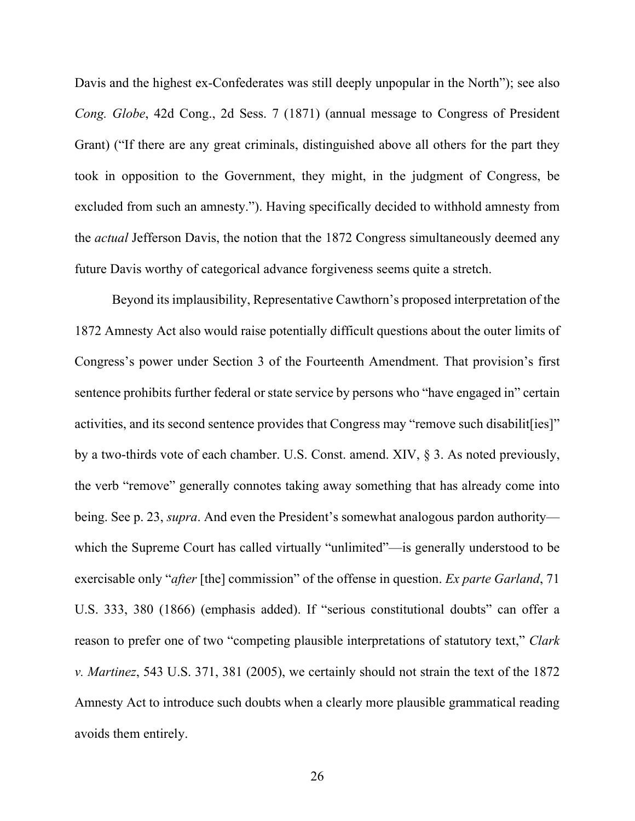Davis and the highest ex-Confederates was still deeply unpopular in the North"); see also *Cong. Globe*, 42d Cong., 2d Sess. 7 (1871) (annual message to Congress of President Grant) ("If there are any great criminals, distinguished above all others for the part they took in opposition to the Government, they might, in the judgment of Congress, be excluded from such an amnesty."). Having specifically decided to withhold amnesty from the *actual* Jefferson Davis, the notion that the 1872 Congress simultaneously deemed any future Davis worthy of categorical advance forgiveness seems quite a stretch.

Beyond its implausibility, Representative Cawthorn's proposed interpretation of the 1872 Amnesty Act also would raise potentially difficult questions about the outer limits of Congress's power under Section 3 of the Fourteenth Amendment. That provision's first sentence prohibits further federal or state service by persons who "have engaged in" certain activities, and its second sentence provides that Congress may "remove such disabilit [ies]" by a two-thirds vote of each chamber. U.S. Const. amend. XIV, § 3. As noted previously, the verb "remove" generally connotes taking away something that has already come into being. See p. 23, *supra*. And even the President's somewhat analogous pardon authority which the Supreme Court has called virtually "unlimited"—is generally understood to be exercisable only "*after* [the] commission" of the offense in question. *Ex parte Garland*, 71 U.S. 333, 380 (1866) (emphasis added). If "serious constitutional doubts" can offer a reason to prefer one of two "competing plausible interpretations of statutory text," *Clark v. Martinez*, 543 U.S. 371, 381 (2005), we certainly should not strain the text of the 1872 Amnesty Act to introduce such doubts when a clearly more plausible grammatical reading avoids them entirely.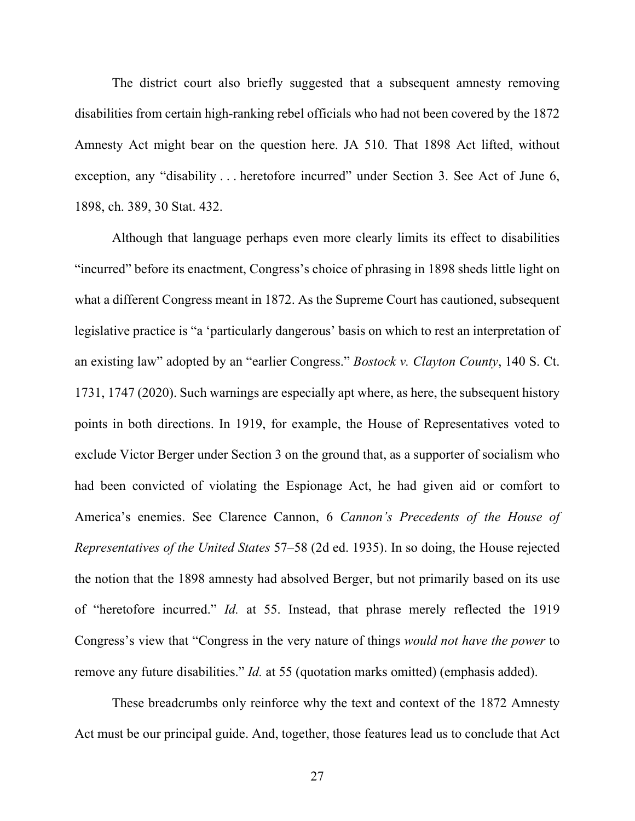The district court also briefly suggested that a subsequent amnesty removing disabilities from certain high-ranking rebel officials who had not been covered by the 1872 Amnesty Act might bear on the question here. JA 510. That 1898 Act lifted, without exception, any "disability . . . heretofore incurred" under Section 3. See Act of June 6, 1898, ch. 389, 30 Stat. 432.

Although that language perhaps even more clearly limits its effect to disabilities "incurred" before its enactment, Congress's choice of phrasing in 1898 sheds little light on what a different Congress meant in 1872. As the Supreme Court has cautioned, subsequent legislative practice is "a 'particularly dangerous' basis on which to rest an interpretation of an existing law" adopted by an "earlier Congress." *Bostock v. Clayton County*, 140 S. Ct. 1731, 1747 (2020). Such warnings are especially apt where, as here, the subsequent history points in both directions. In 1919, for example, the House of Representatives voted to exclude Victor Berger under Section 3 on the ground that, as a supporter of socialism who had been convicted of violating the Espionage Act, he had given aid or comfort to America's enemies. See Clarence Cannon, 6 *Cannon's Precedents of the House of Representatives of the United States* 57–58 (2d ed. 1935). In so doing, the House rejected the notion that the 1898 amnesty had absolved Berger, but not primarily based on its use of "heretofore incurred." *Id.* at 55. Instead, that phrase merely reflected the 1919 Congress's view that "Congress in the very nature of things *would not have the power* to remove any future disabilities." *Id.* at 55 (quotation marks omitted) (emphasis added).

These breadcrumbs only reinforce why the text and context of the 1872 Amnesty Act must be our principal guide. And, together, those features lead us to conclude that Act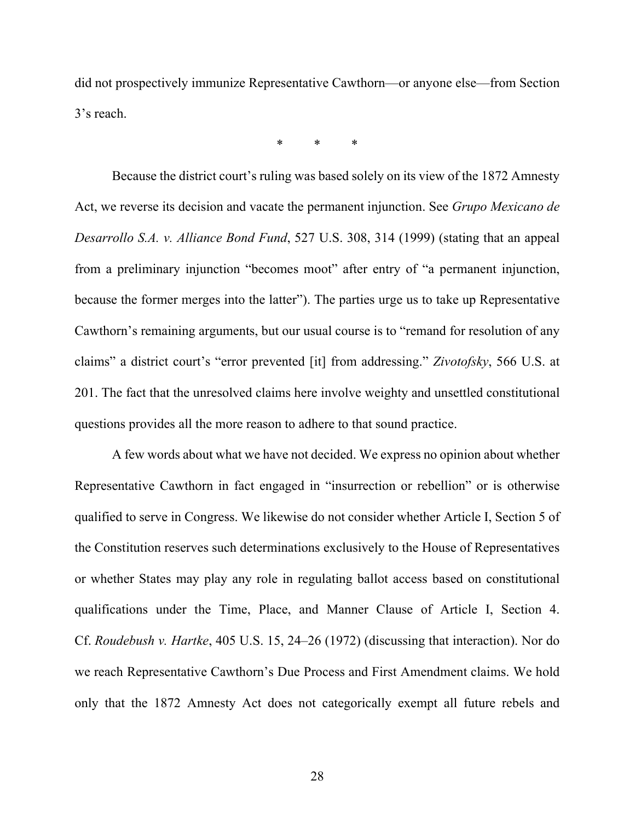did not prospectively immunize Representative Cawthorn—or anyone else—from Section 3's reach.

\* \* \*

Because the district court's ruling was based solely on its view of the 1872 Amnesty Act, we reverse its decision and vacate the permanent injunction. See *Grupo Mexicano de Desarrollo S.A. v. Alliance Bond Fund*, 527 U.S. 308, 314 (1999) (stating that an appeal from a preliminary injunction "becomes moot" after entry of "a permanent injunction, because the former merges into the latter"). The parties urge us to take up Representative Cawthorn's remaining arguments, but our usual course is to "remand for resolution of any claims" a district court's "error prevented [it] from addressing." *Zivotofsky*, 566 U.S. at 201. The fact that the unresolved claims here involve weighty and unsettled constitutional questions provides all the more reason to adhere to that sound practice.

A few words about what we have not decided. We express no opinion about whether Representative Cawthorn in fact engaged in "insurrection or rebellion" or is otherwise qualified to serve in Congress. We likewise do not consider whether Article I, Section 5 of the Constitution reserves such determinations exclusively to the House of Representatives or whether States may play any role in regulating ballot access based on constitutional qualifications under the Time, Place, and Manner Clause of Article I, Section 4. Cf. *Roudebush v. Hartke*, 405 U.S. 15, 24–26 (1972) (discussing that interaction). Nor do we reach Representative Cawthorn's Due Process and First Amendment claims. We hold only that the 1872 Amnesty Act does not categorically exempt all future rebels and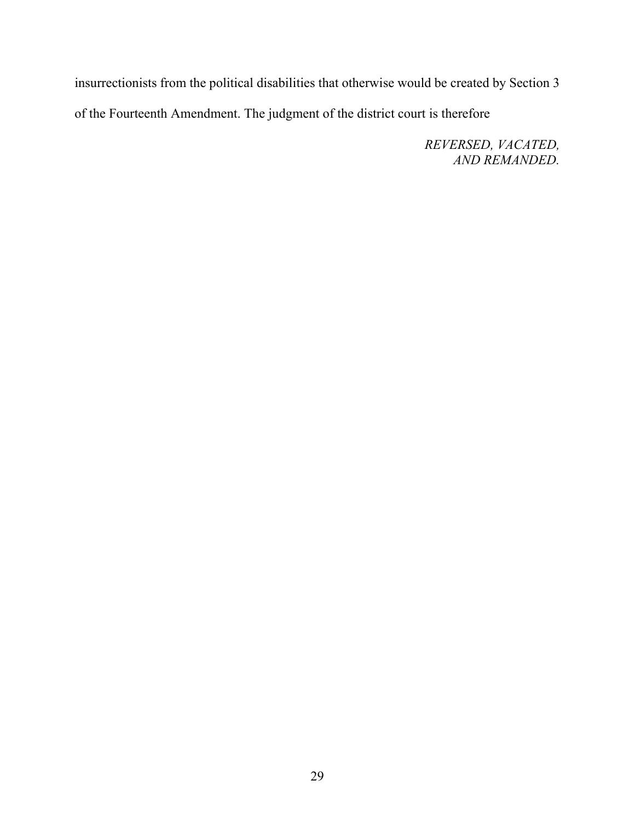insurrectionists from the political disabilities that otherwise would be created by Section 3 of the Fourteenth Amendment. The judgment of the district court is therefore

> *REVERSED, VACATED, AND REMANDED.*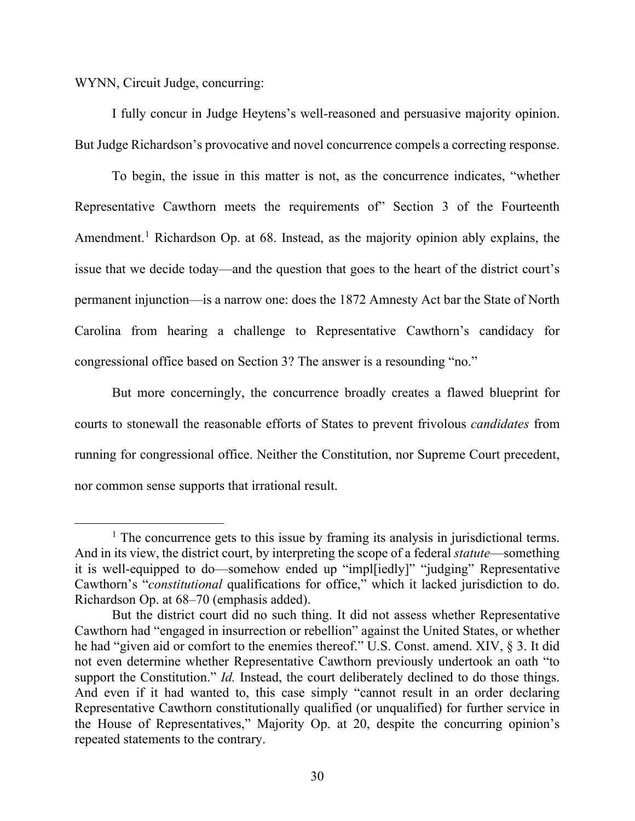WYNN, Circuit Judge, concurring:

I fully concur in Judge Heytens's well-reasoned and persuasive majority opinion. But Judge Richardson's provocative and novel concurrence compels a correcting response.

To begin, the issue in this matter is not, as the concurrence indicates, "whether Representative Cawthorn meets the requirements of" Section 3 of the Fourteenth Amendment.<sup>[1](#page-29-0)</sup> Richardson Op. at 68. Instead, as the majority opinion ably explains, the issue that we decide today—and the question that goes to the heart of the district court's permanent injunction—is a narrow one: does the 1872 Amnesty Act bar the State of North Carolina from hearing a challenge to Representative Cawthorn's candidacy for congressional office based on Section 3? The answer is a resounding "no."

But more concerningly, the concurrence broadly creates a flawed blueprint for courts to stonewall the reasonable efforts of States to prevent frivolous *candidates* from running for congressional office. Neither the Constitution, nor Supreme Court precedent, nor common sense supports that irrational result.

<span id="page-29-0"></span> $<sup>1</sup>$  The concurrence gets to this issue by framing its analysis in jurisdictional terms.</sup> And in its view, the district court, by interpreting the scope of a federal *statute*—something it is well-equipped to do—somehow ended up "impl[iedly]" "judging" Representative Cawthorn's "*constitutional* qualifications for office," which it lacked jurisdiction to do. Richardson Op. at 68–70 (emphasis added).

But the district court did no such thing. It did not assess whether Representative Cawthorn had "engaged in insurrection or rebellion" against the United States, or whether he had "given aid or comfort to the enemies thereof." U.S. Const. amend. XIV, § 3. It did not even determine whether Representative Cawthorn previously undertook an oath "to support the Constitution." *Id.* Instead, the court deliberately declined to do those things. And even if it had wanted to, this case simply "cannot result in an order declaring Representative Cawthorn constitutionally qualified (or unqualified) for further service in the House of Representatives," Majority Op. at 20, despite the concurring opinion's repeated statements to the contrary.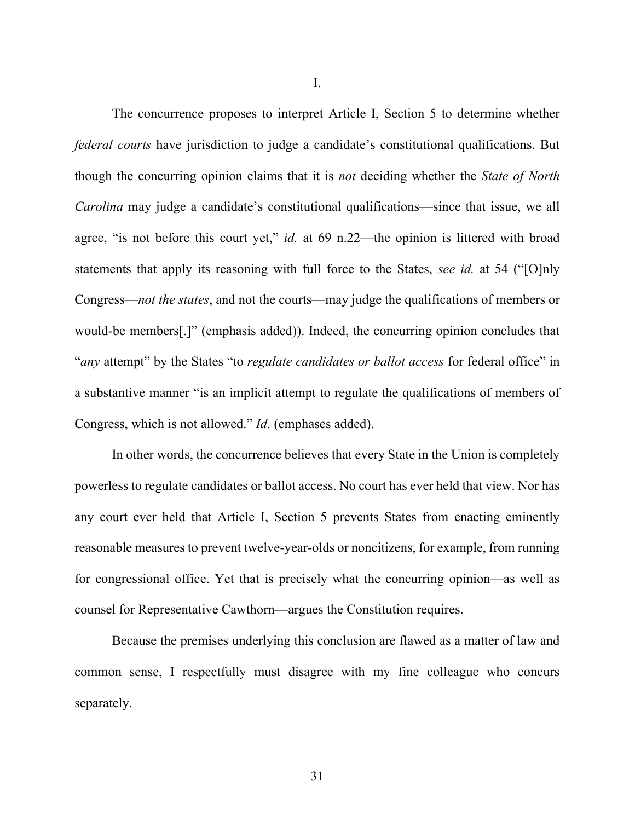I.

The concurrence proposes to interpret Article I, Section 5 to determine whether *federal courts* have jurisdiction to judge a candidate's constitutional qualifications. But though the concurring opinion claims that it is *not* deciding whether the *State of North Carolina* may judge a candidate's constitutional qualifications—since that issue, we all agree, "is not before this court yet," *id.* at 69 n.22—the opinion is littered with broad statements that apply its reasoning with full force to the States, *see id.* at 54 ("[O]nly Congress—*not the states*, and not the courts—may judge the qualifications of members or would-be members[.]" (emphasis added)). Indeed, the concurring opinion concludes that "*any* attempt" by the States "to *regulate candidates or ballot access* for federal office" in a substantive manner "is an implicit attempt to regulate the qualifications of members of Congress, which is not allowed." *Id.* (emphases added).

In other words, the concurrence believes that every State in the Union is completely powerless to regulate candidates or ballot access. No court has ever held that view. Nor has any court ever held that Article I, Section 5 prevents States from enacting eminently reasonable measures to prevent twelve-year-olds or noncitizens, for example, from running for congressional office. Yet that is precisely what the concurring opinion—as well as counsel for Representative Cawthorn—argues the Constitution requires.

Because the premises underlying this conclusion are flawed as a matter of law and common sense, I respectfully must disagree with my fine colleague who concurs separately.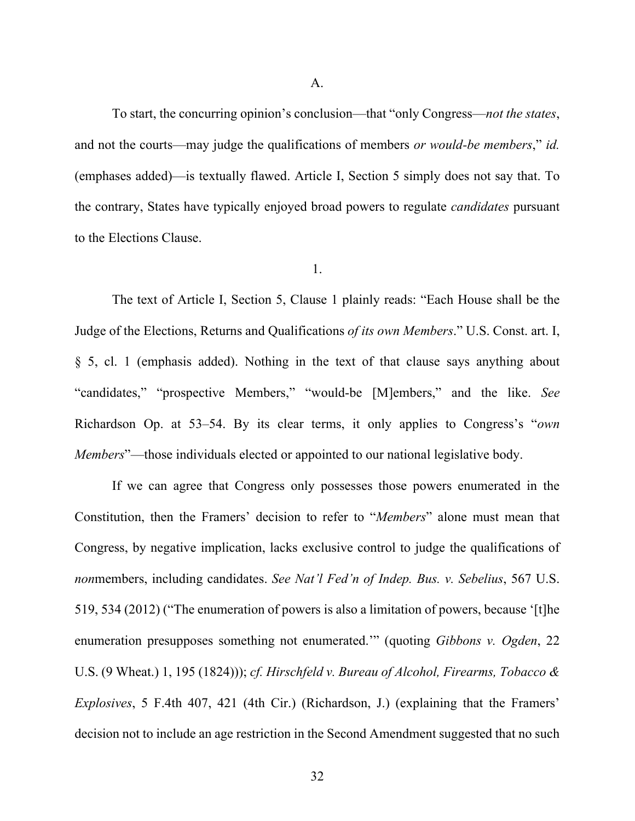To start, the concurring opinion's conclusion—that "only Congress—*not the states*, and not the courts—may judge the qualifications of members *or would-be members*," *id.* (emphases added)—is textually flawed. Article I, Section 5 simply does not say that. To the contrary, States have typically enjoyed broad powers to regulate *candidates* pursuant to the Elections Clause.

### 1.

The text of Article I, Section 5, Clause 1 plainly reads: "Each House shall be the Judge of the Elections, Returns and Qualifications *of its own Members*." U.S. Const. art. I, § 5, cl. 1 (emphasis added). Nothing in the text of that clause says anything about "candidates," "prospective Members," "would-be [M]embers," and the like. *See*  Richardson Op. at 53–54. By its clear terms, it only applies to Congress's "*own Members*"—those individuals elected or appointed to our national legislative body.

If we can agree that Congress only possesses those powers enumerated in the Constitution, then the Framers' decision to refer to "*Members*" alone must mean that Congress, by negative implication, lacks exclusive control to judge the qualifications of *non*members, including candidates. *See Nat'l Fed'n of Indep. Bus. v. Sebelius*, 567 U.S. 519, 534 (2012) ("The enumeration of powers is also a limitation of powers, because '[t]he enumeration presupposes something not enumerated.'" (quoting *Gibbons v. Ogden*, 22 U.S. (9 Wheat.) 1, 195 (1824))); *cf. Hirschfeld v. Bureau of Alcohol, Firearms, Tobacco & Explosives*, 5 F.4th 407, 421 (4th Cir.) (Richardson, J.) (explaining that the Framers' decision not to include an age restriction in the Second Amendment suggested that no such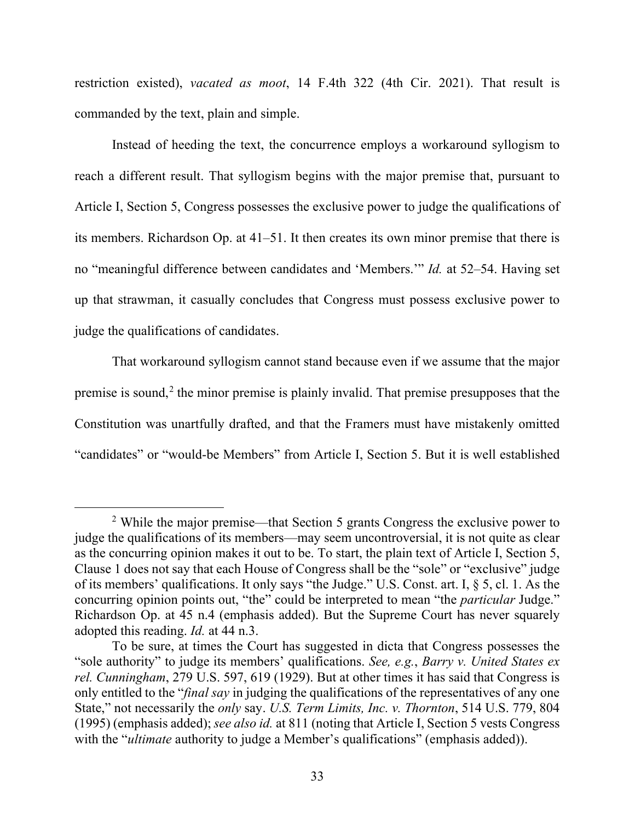restriction existed), *vacated as moot*, 14 F.4th 322 (4th Cir. 2021). That result is commanded by the text, plain and simple.

Instead of heeding the text, the concurrence employs a workaround syllogism to reach a different result. That syllogism begins with the major premise that, pursuant to Article I, Section 5, Congress possesses the exclusive power to judge the qualifications of its members. Richardson Op. at 41–51. It then creates its own minor premise that there is no "meaningful difference between candidates and 'Members.'" *Id.* at 52–54. Having set up that strawman, it casually concludes that Congress must possess exclusive power to judge the qualifications of candidates.

That workaround syllogism cannot stand because even if we assume that the major premise is sound,<sup>[2](#page-32-0)</sup> the minor premise is plainly invalid. That premise presupposes that the Constitution was unartfully drafted, and that the Framers must have mistakenly omitted "candidates" or "would-be Members" from Article I, Section 5. But it is well established

<span id="page-32-0"></span><sup>&</sup>lt;sup>2</sup> While the major premise—that Section 5 grants Congress the exclusive power to judge the qualifications of its members—may seem uncontroversial, it is not quite as clear as the concurring opinion makes it out to be. To start, the plain text of Article I, Section 5, Clause 1 does not say that each House of Congress shall be the "sole" or "exclusive" judge of its members' qualifications. It only says "the Judge." U.S. Const. art. I, § 5, cl. 1. As the concurring opinion points out, "the" could be interpreted to mean "the *particular* Judge." Richardson Op. at 45 n.4 (emphasis added). But the Supreme Court has never squarely adopted this reading. *Id.* at 44 n.3.

To be sure, at times the Court has suggested in dicta that Congress possesses the "sole authority" to judge its members' qualifications. *See, e.g.*, *Barry v. United States ex rel. Cunningham*, 279 U.S. 597, 619 (1929). But at other times it has said that Congress is only entitled to the "*final say* in judging the qualifications of the representatives of any one State," not necessarily the *only* say. *U.S. Term Limits, Inc. v. Thornton*, 514 U.S. 779, 804 (1995) (emphasis added); *see also id.* at 811 (noting that Article I, Section 5 vests Congress with the "*ultimate* authority to judge a Member's qualifications" (emphasis added)).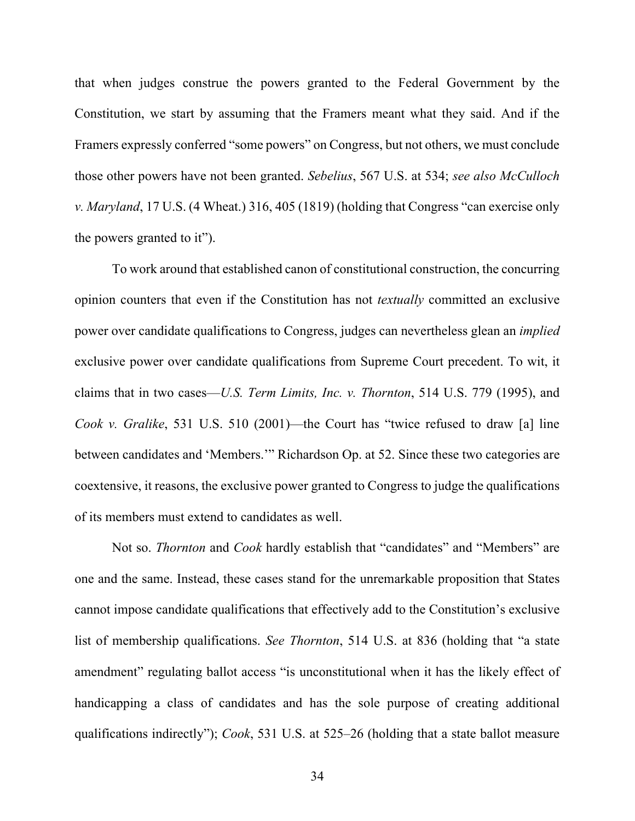that when judges construe the powers granted to the Federal Government by the Constitution, we start by assuming that the Framers meant what they said. And if the Framers expressly conferred "some powers" on Congress, but not others, we must conclude those other powers have not been granted. *Sebelius*, 567 U.S. at 534; *see also McCulloch v. Maryland*, 17 U.S. (4 Wheat.) 316, 405 (1819) (holding that Congress "can exercise only the powers granted to it").

To work around that established canon of constitutional construction, the concurring opinion counters that even if the Constitution has not *textually* committed an exclusive power over candidate qualifications to Congress, judges can nevertheless glean an *implied* exclusive power over candidate qualifications from Supreme Court precedent. To wit, it claims that in two cases—*U.S. Term Limits, Inc. v. Thornton*, 514 U.S. 779 (1995), and *Cook v. Gralike*, 531 U.S. 510 (2001)—the Court has "twice refused to draw [a] line between candidates and 'Members.'" Richardson Op. at 52. Since these two categories are coextensive, it reasons, the exclusive power granted to Congress to judge the qualifications of its members must extend to candidates as well.

Not so. *Thornton* and *Cook* hardly establish that "candidates" and "Members" are one and the same. Instead, these cases stand for the unremarkable proposition that States cannot impose candidate qualifications that effectively add to the Constitution's exclusive list of membership qualifications. *See Thornton*, 514 U.S. at 836 (holding that "a state amendment" regulating ballot access "is unconstitutional when it has the likely effect of handicapping a class of candidates and has the sole purpose of creating additional qualifications indirectly"); *Cook*, 531 U.S. at 525–26 (holding that a state ballot measure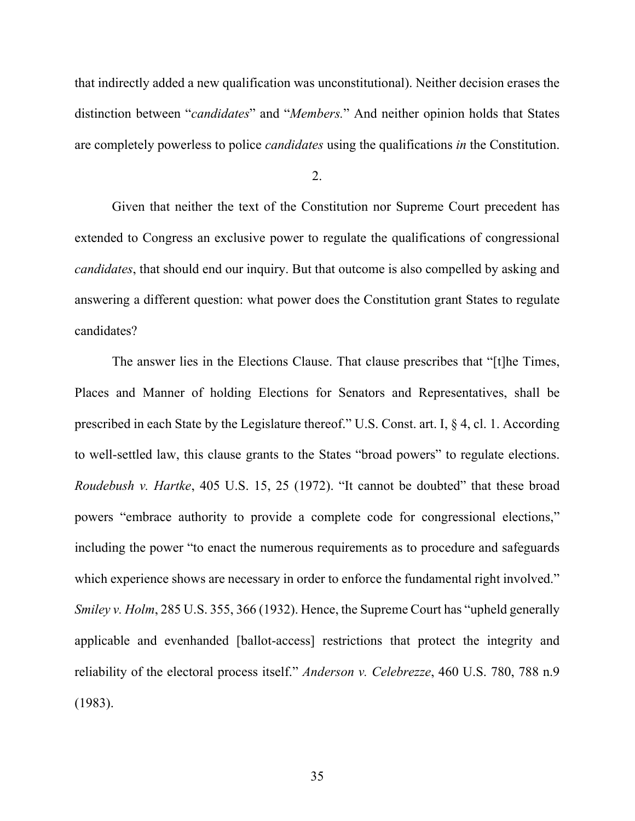that indirectly added a new qualification was unconstitutional). Neither decision erases the distinction between "*candidates*" and "*Members.*" And neither opinion holds that States are completely powerless to police *candidates* using the qualifications *in* the Constitution.

Given that neither the text of the Constitution nor Supreme Court precedent has extended to Congress an exclusive power to regulate the qualifications of congressional *candidates*, that should end our inquiry. But that outcome is also compelled by asking and answering a different question: what power does the Constitution grant States to regulate candidates?

The answer lies in the Elections Clause. That clause prescribes that "[t]he Times, Places and Manner of holding Elections for Senators and Representatives, shall be prescribed in each State by the Legislature thereof." U.S. Const. art. I, § 4, cl. 1. According to well-settled law, this clause grants to the States "broad powers" to regulate elections. *Roudebush v. Hartke*, 405 U.S. 15, 25 (1972). "It cannot be doubted" that these broad powers "embrace authority to provide a complete code for congressional elections," including the power "to enact the numerous requirements as to procedure and safeguards which experience shows are necessary in order to enforce the fundamental right involved." *Smiley v. Holm*, 285 U.S. 355, 366 (1932). Hence, the Supreme Court has "upheld generally applicable and evenhanded [ballot-access] restrictions that protect the integrity and reliability of the electoral process itself." *Anderson v. Celebrezze*, 460 U.S. 780, 788 n.9 (1983).

<sup>2.</sup>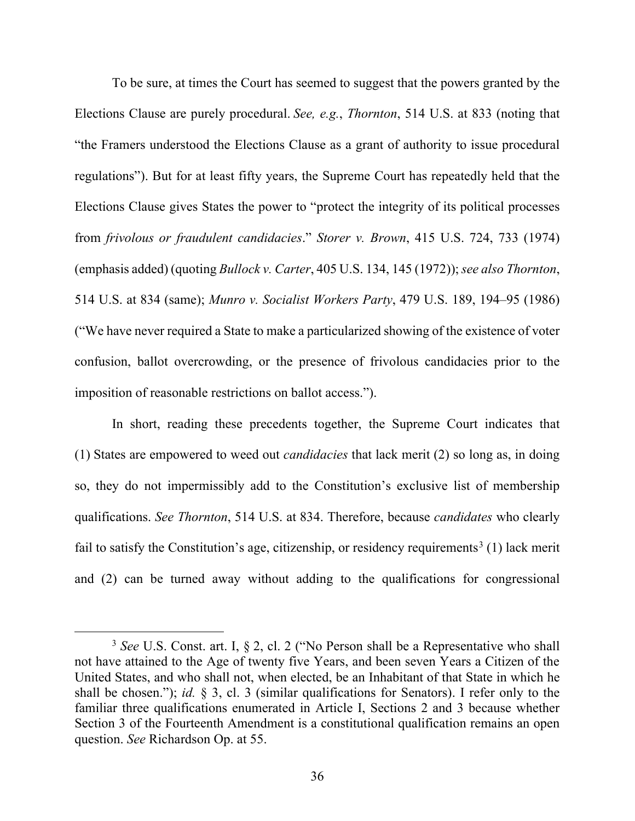To be sure, at times the Court has seemed to suggest that the powers granted by the Elections Clause are purely procedural. *See, e.g.*, *Thornton*, 514 U.S. at 833 (noting that "the Framers understood the Elections Clause as a grant of authority to issue procedural regulations"). But for at least fifty years, the Supreme Court has repeatedly held that the Elections Clause gives States the power to "protect the integrity of its political processes from *frivolous or fraudulent candidacies*." *Storer v. Brown*, 415 U.S. 724, 733 (1974) (emphasis added) (quoting *Bullock v. Carter*, 405 U.S. 134, 145 (1972)); *see also Thornton*, 514 U.S. at 834 (same); *Munro v. Socialist Workers Party*, 479 U.S. 189, 194–95 (1986) ("We have never required a State to make a particularized showing of the existence of voter confusion, ballot overcrowding, or the presence of frivolous candidacies prior to the imposition of reasonable restrictions on ballot access.").

In short, reading these precedents together, the Supreme Court indicates that (1) States are empowered to weed out *candidacies* that lack merit (2) so long as, in doing so, they do not impermissibly add to the Constitution's exclusive list of membership qualifications. *See Thornton*, 514 U.S. at 834. Therefore, because *candidates* who clearly fail to satisfy the Constitution's age, citizenship, or residency requirements<sup>[3](#page-35-0)</sup> (1) lack merit and (2) can be turned away without adding to the qualifications for congressional

<span id="page-35-0"></span><sup>3</sup> *See* U.S. Const. art. I, § 2, cl. 2 ("No Person shall be a Representative who shall not have attained to the Age of twenty five Years, and been seven Years a Citizen of the United States, and who shall not, when elected, be an Inhabitant of that State in which he shall be chosen."); *id.* § 3, cl. 3 (similar qualifications for Senators). I refer only to the familiar three qualifications enumerated in Article I, Sections 2 and 3 because whether Section 3 of the Fourteenth Amendment is a constitutional qualification remains an open question. *See* Richardson Op. at 55.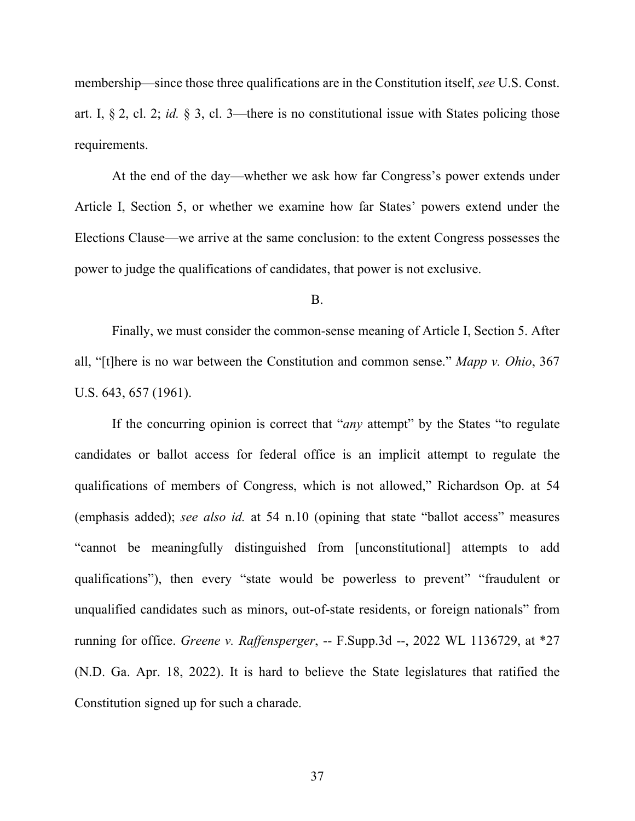membership—since those three qualifications are in the Constitution itself, *see* U.S. Const. art. I, § 2, cl. 2; *id.* § 3, cl. 3—there is no constitutional issue with States policing those requirements.

At the end of the day—whether we ask how far Congress's power extends under Article I, Section 5, or whether we examine how far States' powers extend under the Elections Clause—we arrive at the same conclusion: to the extent Congress possesses the power to judge the qualifications of candidates, that power is not exclusive.

#### B.

Finally, we must consider the common-sense meaning of Article I, Section 5. After all, "[t]here is no war between the Constitution and common sense." *Mapp v. Ohio*, 367 U.S. 643, 657 (1961).

If the concurring opinion is correct that "*any* attempt" by the States "to regulate candidates or ballot access for federal office is an implicit attempt to regulate the qualifications of members of Congress, which is not allowed," Richardson Op. at 54 (emphasis added); *see also id.* at 54 n.10 (opining that state "ballot access" measures "cannot be meaningfully distinguished from [unconstitutional] attempts to add qualifications"), then every "state would be powerless to prevent" "fraudulent or unqualified candidates such as minors, out-of-state residents, or foreign nationals" from running for office. *Greene v. Raffensperger*, -- F.Supp.3d --, 2022 WL 1136729, at \*27 (N.D. Ga. Apr. 18, 2022). It is hard to believe the State legislatures that ratified the Constitution signed up for such a charade.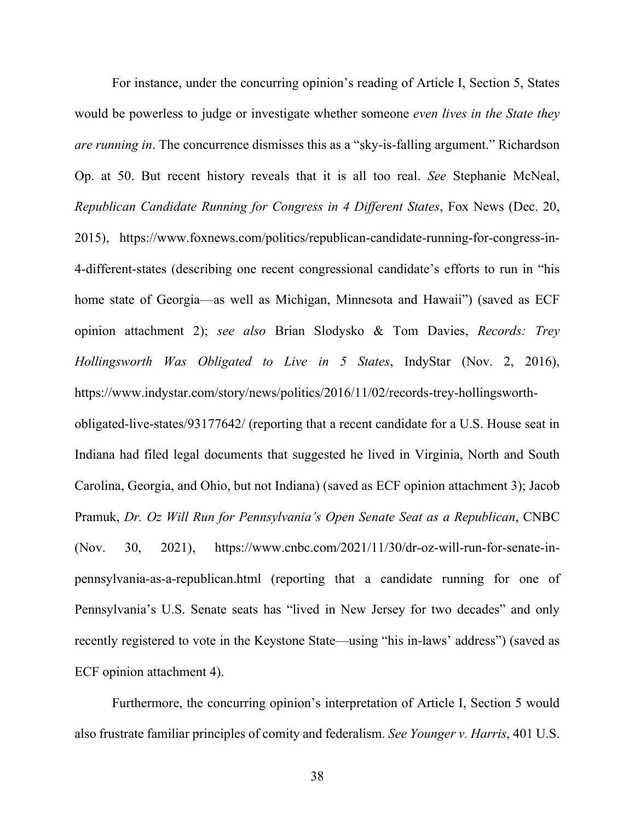For instance, under the concurring opinion's reading of Article I, Section 5, States would be powerless to judge or investigate whether someone *even lives in the State they are running in*. The concurrence dismisses this as a "sky-is-falling argument." Richardson Op. at 50. But recent history reveals that it is all too real. *See* Stephanie McNeal, *Republican Candidate Running for Congress in 4 Different States*, Fox News (Dec. 20, 2015), https://www.foxnews.com/politics/republican-candidate-running-for-congress-in-4-different-states (describing one recent congressional candidate's efforts to run in "his home state of Georgia—as well as Michigan, Minnesota and Hawaii") (saved as ECF opinion attachment 2); *see also* Brian Slodysko & Tom Davies, *Records: Trey Hollingsworth Was Obligated to Live in 5 States*, IndyStar (Nov. 2, 2016), https://www.indystar.com/story/news/politics/2016/11/02/records-trey-hollingsworthobligated-live-states/93177642/ (reporting that a recent candidate for a U.S. House seat in Indiana had filed legal documents that suggested he lived in Virginia, North and South Carolina, Georgia, and Ohio, but not Indiana) (saved as ECF opinion attachment 3); Jacob Pramuk, *Dr. Oz Will Run for Pennsylvania's Open Senate Seat as a Republican*, CNBC

(Nov. 30, 2021), https://www.cnbc.com/2021/11/30/dr-oz-will-run-for-senate-inpennsylvania-as-a-republican.html (reporting that a candidate running for one of Pennsylvania's U.S. Senate seats has "lived in New Jersey for two decades" and only recently registered to vote in the Keystone State—using "his in-laws' address") (saved as ECF opinion attachment 4).

Furthermore, the concurring opinion's interpretation of Article I, Section 5 would also frustrate familiar principles of comity and federalism. *See Younger v. Harris*, 401 U.S.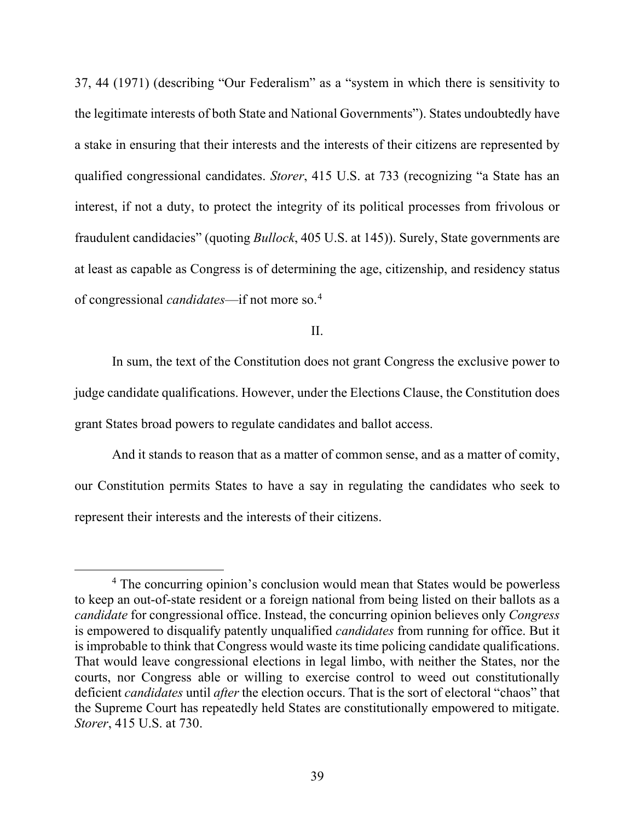37, 44 (1971) (describing "Our Federalism" as a "system in which there is sensitivity to the legitimate interests of both State and National Governments"). States undoubtedly have a stake in ensuring that their interests and the interests of their citizens are represented by qualified congressional candidates. *Storer*, 415 U.S. at 733 (recognizing "a State has an interest, if not a duty, to protect the integrity of its political processes from frivolous or fraudulent candidacies" (quoting *Bullock*, 405 U.S. at 145)). Surely, State governments are at least as capable as Congress is of determining the age, citizenship, and residency status of congressional *candidates*—if not more so.[4](#page-38-0)

II.

In sum, the text of the Constitution does not grant Congress the exclusive power to judge candidate qualifications. However, under the Elections Clause, the Constitution does grant States broad powers to regulate candidates and ballot access.

And it stands to reason that as a matter of common sense, and as a matter of comity, our Constitution permits States to have a say in regulating the candidates who seek to represent their interests and the interests of their citizens.

<span id="page-38-0"></span><sup>&</sup>lt;sup>4</sup> The concurring opinion's conclusion would mean that States would be powerless to keep an out-of-state resident or a foreign national from being listed on their ballots as a *candidate* for congressional office. Instead, the concurring opinion believes only *Congress* is empowered to disqualify patently unqualified *candidates* from running for office. But it is improbable to think that Congress would waste its time policing candidate qualifications. That would leave congressional elections in legal limbo, with neither the States, nor the courts, nor Congress able or willing to exercise control to weed out constitutionally deficient *candidates* until *after* the election occurs. That is the sort of electoral "chaos" that the Supreme Court has repeatedly held States are constitutionally empowered to mitigate. *Storer*, 415 U.S. at 730.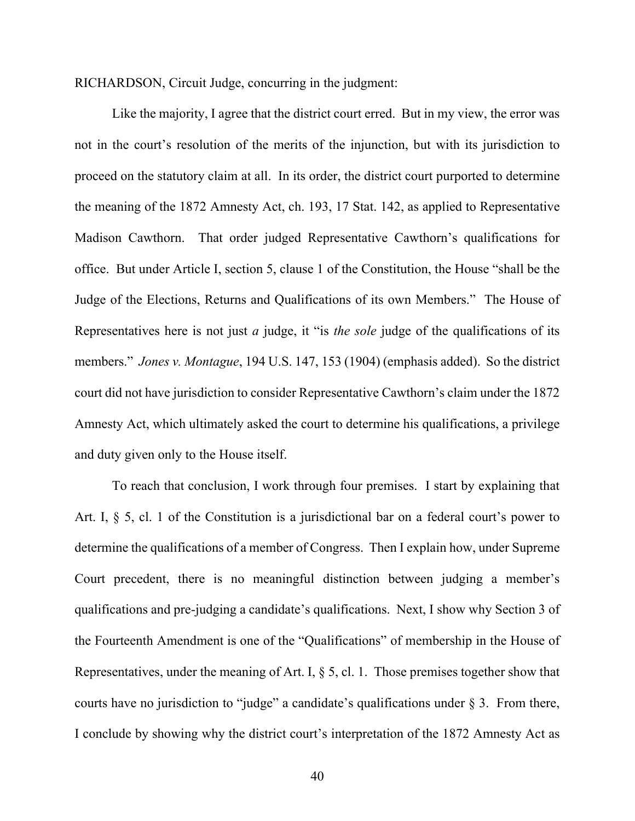RICHARDSON, Circuit Judge, concurring in the judgment:

Like the majority, I agree that the district court erred. But in my view, the error was not in the court's resolution of the merits of the injunction, but with its jurisdiction to proceed on the statutory claim at all. In its order, the district court purported to determine the meaning of the 1872 Amnesty Act, ch. 193, 17 Stat. 142, as applied to Representative Madison Cawthorn. That order judged Representative Cawthorn's qualifications for office. But under Article I, section 5, clause 1 of the Constitution, the House "shall be the Judge of the Elections, Returns and Qualifications of its own Members." The House of Representatives here is not just *a* judge, it "is *the sole* judge of the qualifications of its members." *Jones v. Montague*, 194 U.S. 147, 153 (1904) (emphasis added). So the district court did not have jurisdiction to consider Representative Cawthorn's claim under the 1872 Amnesty Act, which ultimately asked the court to determine his qualifications, a privilege and duty given only to the House itself.

To reach that conclusion, I work through four premises. I start by explaining that Art. I, § 5, cl. 1 of the Constitution is a jurisdictional bar on a federal court's power to determine the qualifications of a member of Congress. Then I explain how, under Supreme Court precedent, there is no meaningful distinction between judging a member's qualifications and pre-judging a candidate's qualifications. Next, I show why Section 3 of the Fourteenth Amendment is one of the "Qualifications" of membership in the House of Representatives, under the meaning of Art. I, § 5, cl. 1. Those premises together show that courts have no jurisdiction to "judge" a candidate's qualifications under § 3. From there, I conclude by showing why the district court's interpretation of the 1872 Amnesty Act as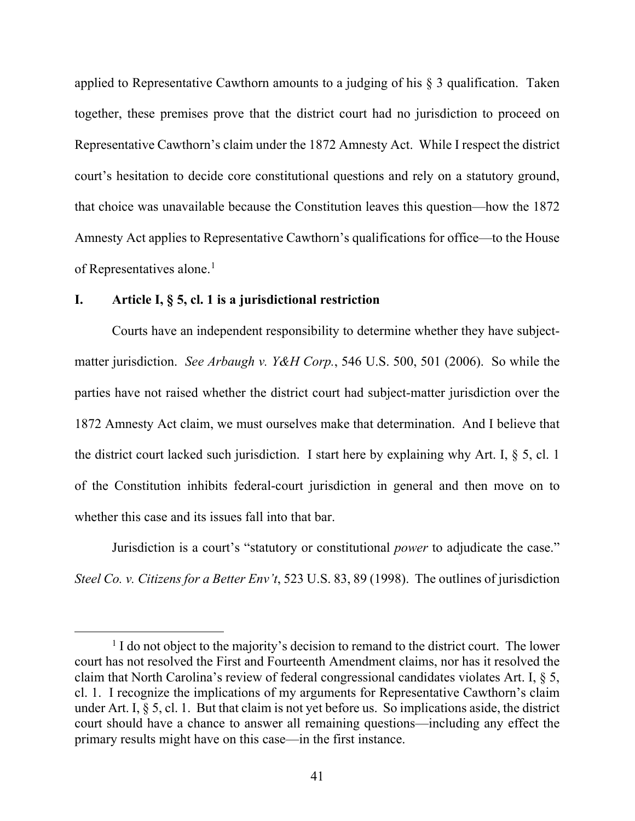applied to Representative Cawthorn amounts to a judging of his § 3 qualification. Taken together, these premises prove that the district court had no jurisdiction to proceed on Representative Cawthorn's claim under the 1872 Amnesty Act. While I respect the district court's hesitation to decide core constitutional questions and rely on a statutory ground, that choice was unavailable because the Constitution leaves this question—how the 1872 Amnesty Act applies to Representative Cawthorn's qualifications for office—to the House of Representatives alone.<sup>[1](#page-40-0)</sup>

## **I. Article I, § 5, cl. 1 is a jurisdictional restriction**

Courts have an independent responsibility to determine whether they have subjectmatter jurisdiction. *See Arbaugh v. Y&H Corp.*, 546 U.S. 500, 501 (2006). So while the parties have not raised whether the district court had subject-matter jurisdiction over the 1872 Amnesty Act claim, we must ourselves make that determination. And I believe that the district court lacked such jurisdiction. I start here by explaining why Art. I, § 5, cl. 1 of the Constitution inhibits federal-court jurisdiction in general and then move on to whether this case and its issues fall into that bar.

Jurisdiction is a court's "statutory or constitutional *power* to adjudicate the case." *Steel Co. v. Citizens for a Better Env't*, 523 U.S. 83, 89 (1998). The outlines of jurisdiction

<span id="page-40-0"></span> $<sup>1</sup>$  I do not object to the majority's decision to remand to the district court. The lower</sup> court has not resolved the First and Fourteenth Amendment claims, nor has it resolved the claim that North Carolina's review of federal congressional candidates violates Art. I, § 5, cl. 1. I recognize the implications of my arguments for Representative Cawthorn's claim under Art. I, § 5, cl. 1. But that claim is not yet before us. So implications aside, the district court should have a chance to answer all remaining questions—including any effect the primary results might have on this case—in the first instance.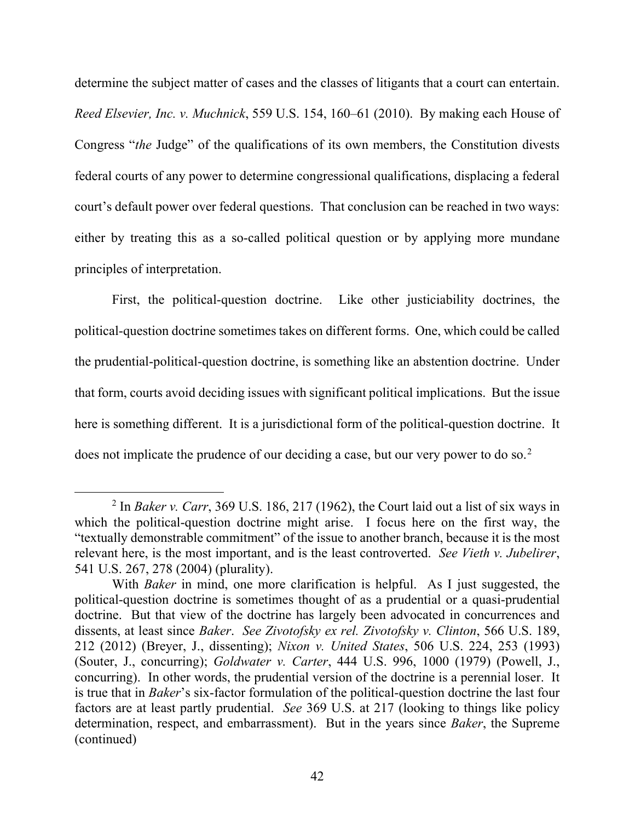determine the subject matter of cases and the classes of litigants that a court can entertain. *Reed Elsevier, Inc. v. Muchnick*, 559 U.S. 154, 160–61 (2010). By making each House of Congress "*the* Judge" of the qualifications of its own members, the Constitution divests federal courts of any power to determine congressional qualifications, displacing a federal court's default power over federal questions. That conclusion can be reached in two ways: either by treating this as a so-called political question or by applying more mundane principles of interpretation.

First, the political-question doctrine. Like other justiciability doctrines, the political-question doctrine sometimes takes on different forms. One, which could be called the prudential-political-question doctrine, is something like an abstention doctrine. Under that form, courts avoid deciding issues with significant political implications. But the issue here is something different. It is a jurisdictional form of the political-question doctrine. It does not implicate the prudence of our deciding a case, but our very power to do so.<sup>[2](#page-41-0)</sup>

<span id="page-41-0"></span><sup>2</sup> In *Baker v. Carr*, 369 U.S. 186, 217 (1962), the Court laid out a list of six ways in which the political-question doctrine might arise. I focus here on the first way, the "textually demonstrable commitment" of the issue to another branch, because it is the most relevant here, is the most important, and is the least controverted. *See Vieth v. Jubelirer*, 541 U.S. 267, 278 (2004) (plurality).

With *Baker* in mind, one more clarification is helpful. As I just suggested, the political-question doctrine is sometimes thought of as a prudential or a quasi-prudential doctrine. But that view of the doctrine has largely been advocated in concurrences and dissents, at least since *Baker*. *See Zivotofsky ex rel. Zivotofsky v. Clinton*, 566 U.S. 189, 212 (2012) (Breyer, J., dissenting); *Nixon v. United States*, 506 U.S. 224, 253 (1993) (Souter, J., concurring); *Goldwater v. Carter*, 444 U.S. 996, 1000 (1979) (Powell, J., concurring). In other words, the prudential version of the doctrine is a perennial loser. It is true that in *Baker*'s six-factor formulation of the political-question doctrine the last four factors are at least partly prudential. *See* 369 U.S. at 217 (looking to things like policy determination, respect, and embarrassment). But in the years since *Baker*, the Supreme (continued)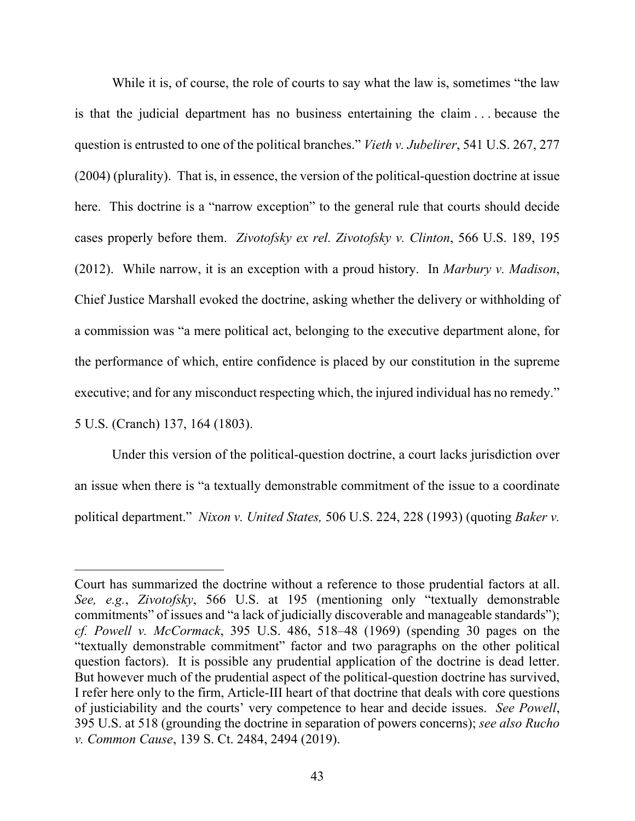While it is, of course, the role of courts to say what the law is, sometimes "the law is that the judicial department has no business entertaining the claim . . . because the question is entrusted to one of the political branches." *Vieth v. Jubelirer*, 541 U.S. 267, 277 (2004) (plurality). That is, in essence, the version of the political-question doctrine at issue here. This doctrine is a "narrow exception" to the general rule that courts should decide cases properly before them. *Zivotofsky ex rel. Zivotofsky v. Clinton*, 566 U.S. 189, 195 (2012). While narrow, it is an exception with a proud history. In *Marbury v. Madison*, Chief Justice Marshall evoked the doctrine, asking whether the delivery or withholding of a commission was "a mere political act, belonging to the executive department alone, for the performance of which, entire confidence is placed by our constitution in the supreme executive; and for any misconduct respecting which, the injured individual has no remedy."

5 U.S. (Cranch) 137, 164 (1803).

Under this version of the political-question doctrine, a court lacks jurisdiction over an issue when there is "a textually demonstrable commitment of the issue to a coordinate political department." *Nixon v. United States,* 506 U.S. 224, 228 (1993) (quoting *Baker v.* 

Court has summarized the doctrine without a reference to those prudential factors at all. *See, e.g.*, *Zivotofsky*, 566 U.S. at 195 (mentioning only "textually demonstrable commitments" of issues and "a lack of judicially discoverable and manageable standards"); *cf. Powell v. McCormack*, 395 U.S. 486, 518–48 (1969) (spending 30 pages on the "textually demonstrable commitment" factor and two paragraphs on the other political question factors). It is possible any prudential application of the doctrine is dead letter. But however much of the prudential aspect of the political-question doctrine has survived, I refer here only to the firm, Article-III heart of that doctrine that deals with core questions of justiciability and the courts' very competence to hear and decide issues. *See Powell*, 395 U.S. at 518 (grounding the doctrine in separation of powers concerns); *see also Rucho v. Common Cause*, 139 S. Ct. 2484, 2494 (2019).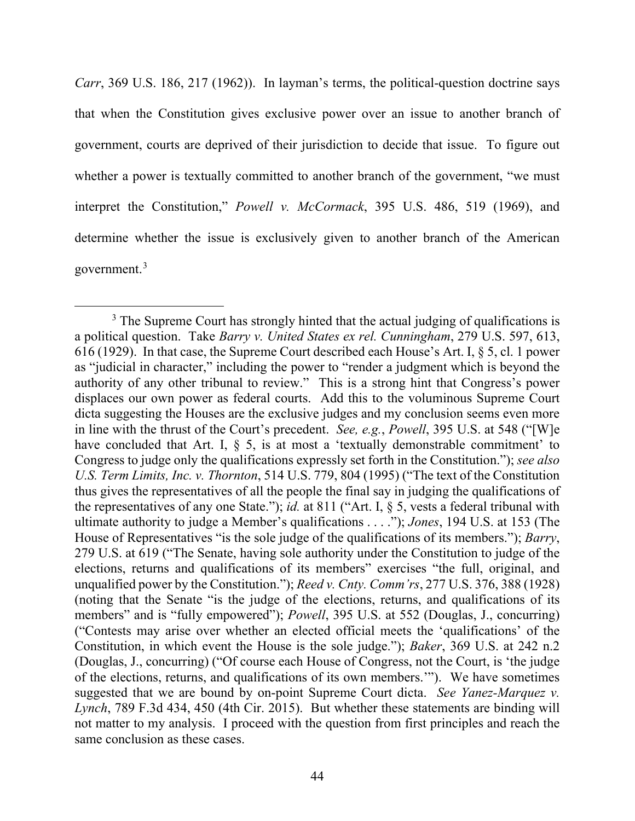*Carr*, 369 U.S. 186, 217 (1962)). In layman's terms, the political-question doctrine says that when the Constitution gives exclusive power over an issue to another branch of government, courts are deprived of their jurisdiction to decide that issue. To figure out whether a power is textually committed to another branch of the government, "we must interpret the Constitution," *Powell v. McCormack*, 395 U.S. 486, 519 (1969), and determine whether the issue is exclusively given to another branch of the American government.<sup>[3](#page-43-0)</sup>

<span id="page-43-0"></span><sup>&</sup>lt;sup>3</sup> The Supreme Court has strongly hinted that the actual judging of qualifications is a political question. Take *Barry v. United States ex rel. Cunningham*, 279 U.S. 597, 613, 616 (1929). In that case, the Supreme Court described each House's Art. I, § 5, cl. 1 power as "judicial in character," including the power to "render a judgment which is beyond the authority of any other tribunal to review." This is a strong hint that Congress's power displaces our own power as federal courts. Add this to the voluminous Supreme Court dicta suggesting the Houses are the exclusive judges and my conclusion seems even more in line with the thrust of the Court's precedent. *See, e.g.*, *Powell*, 395 U.S. at 548 ("[W]e have concluded that Art. I,  $\S$  5, is at most a 'textually demonstrable commitment' to Congress to judge only the qualifications expressly set forth in the Constitution."); *see also U.S. Term Limits, Inc. v. Thornton*, 514 U.S. 779, 804 (1995) ("The text of the Constitution thus gives the representatives of all the people the final say in judging the qualifications of the representatives of any one State."); *id.* at 811 ("Art. I, § 5, vests a federal tribunal with ultimate authority to judge a Member's qualifications . . . ."); *Jones*, 194 U.S. at 153 (The House of Representatives "is the sole judge of the qualifications of its members."); *Barry*, 279 U.S. at 619 ("The Senate, having sole authority under the Constitution to judge of the elections, returns and qualifications of its members" exercises "the full, original, and unqualified power by the Constitution."); *Reed v. Cnty. Comm'rs*, 277 U.S. 376, 388 (1928) (noting that the Senate "is the judge of the elections, returns, and qualifications of its members" and is "fully empowered"); *Powell*, 395 U.S. at 552 (Douglas, J., concurring) ("Contests may arise over whether an elected official meets the 'qualifications' of the Constitution, in which event the House is the sole judge."); *Baker*, 369 U.S. at 242 n.2 (Douglas, J., concurring) ("Of course each House of Congress, not the Court, is 'the judge of the elections, returns, and qualifications of its own members.'"). We have sometimes suggested that we are bound by on-point Supreme Court dicta. *See Yanez-Marquez v. Lynch*, 789 F.3d 434, 450 (4th Cir. 2015). But whether these statements are binding will not matter to my analysis. I proceed with the question from first principles and reach the same conclusion as these cases.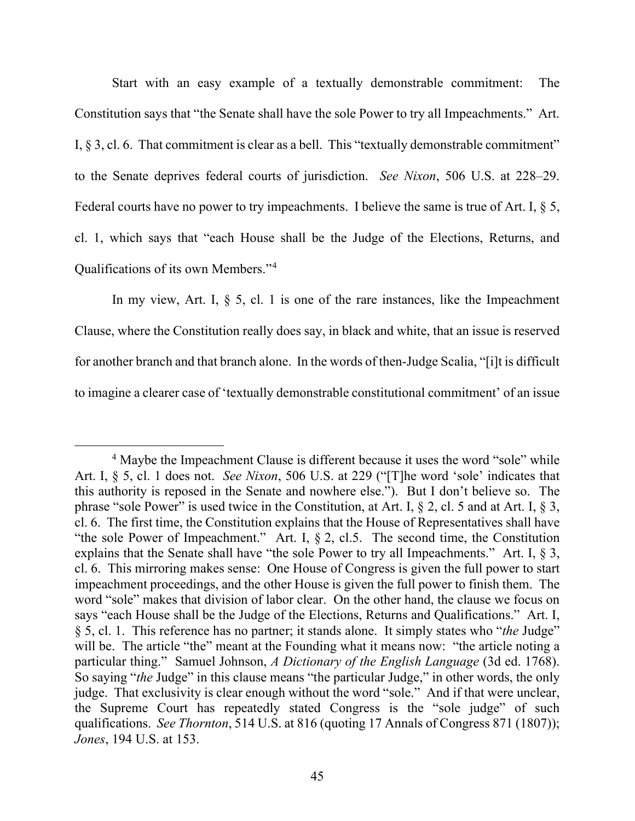Start with an easy example of a textually demonstrable commitment: The Constitution says that "the Senate shall have the sole Power to try all Impeachments." Art. I, § 3, cl. 6. That commitment is clear as a bell. This "textually demonstrable commitment" to the Senate deprives federal courts of jurisdiction. *See Nixon*, 506 U.S. at 228–29. Federal courts have no power to try impeachments. I believe the same is true of Art. I, § 5, cl. 1, which says that "each House shall be the Judge of the Elections, Returns, and Qualifications of its own Members."[4](#page-44-0)

In my view, Art. I,  $\S$  5, cl. 1 is one of the rare instances, like the Impeachment Clause, where the Constitution really does say, in black and white, that an issue is reserved for another branch and that branch alone. In the words of then-Judge Scalia, "[i]t is difficult to imagine a clearer case of 'textually demonstrable constitutional commitment' of an issue

<span id="page-44-0"></span><sup>&</sup>lt;sup>4</sup> Maybe the Impeachment Clause is different because it uses the word "sole" while Art. I, § 5, cl. 1 does not. *See Nixon*, 506 U.S. at 229 ("[T]he word 'sole' indicates that this authority is reposed in the Senate and nowhere else."). But I don't believe so. The phrase "sole Power" is used twice in the Constitution, at Art. I, § 2, cl. 5 and at Art. I, § 3, cl. 6. The first time, the Constitution explains that the House of Representatives shall have "the sole Power of Impeachment." Art. I, § 2, cl.5. The second time, the Constitution explains that the Senate shall have "the sole Power to try all Impeachments." Art. I,  $\S$  3, cl. 6. This mirroring makes sense: One House of Congress is given the full power to start impeachment proceedings, and the other House is given the full power to finish them. The word "sole" makes that division of labor clear. On the other hand, the clause we focus on says "each House shall be the Judge of the Elections, Returns and Qualifications." Art. I, § 5, cl. 1. This reference has no partner; it stands alone. It simply states who "*the* Judge" will be. The article "the" meant at the Founding what it means now: "the article noting a particular thing." Samuel Johnson, *A Dictionary of the English Language* (3d ed. 1768). So saying "*the* Judge" in this clause means "the particular Judge," in other words, the only judge. That exclusivity is clear enough without the word "sole." And if that were unclear, the Supreme Court has repeatedly stated Congress is the "sole judge" of such qualifications. *See Thornton*, 514 U.S. at 816 (quoting 17 Annals of Congress 871 (1807)); *Jones*, 194 U.S. at 153.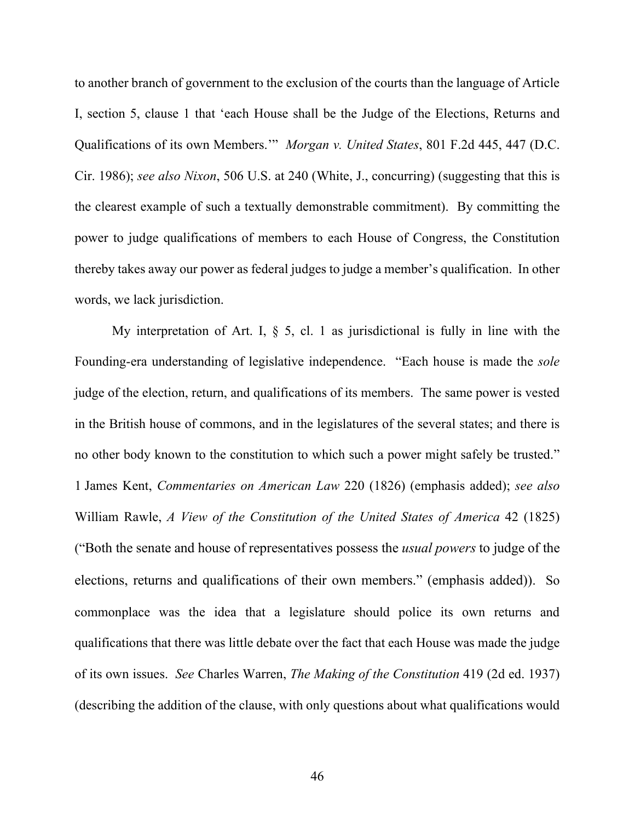to another branch of government to the exclusion of the courts than the language of Article I, section 5, clause 1 that 'each House shall be the Judge of the Elections, Returns and Qualifications of its own Members.'" *Morgan v. United States*, 801 F.2d 445, 447 (D.C. Cir. 1986); *see also Nixon*, 506 U.S. at 240 (White, J., concurring) (suggesting that this is the clearest example of such a textually demonstrable commitment). By committing the power to judge qualifications of members to each House of Congress, the Constitution thereby takes away our power as federal judges to judge a member's qualification. In other words, we lack jurisdiction.

My interpretation of Art. I,  $\S$  5, cl. 1 as jurisdictional is fully in line with the Founding-era understanding of legislative independence. "Each house is made the *sole* judge of the election, return, and qualifications of its members. The same power is vested in the British house of commons, and in the legislatures of the several states; and there is no other body known to the constitution to which such a power might safely be trusted." 1 James Kent, *Commentaries on American Law* 220 (1826) (emphasis added); *see also* William Rawle, *A View of the Constitution of the United States of America* 42 (1825) ("Both the senate and house of representatives possess the *usual powers* to judge of the elections, returns and qualifications of their own members." (emphasis added)). So commonplace was the idea that a legislature should police its own returns and qualifications that there was little debate over the fact that each House was made the judge of its own issues. *See* Charles Warren, *The Making of the Constitution* 419 (2d ed. 1937) (describing the addition of the clause, with only questions about what qualifications would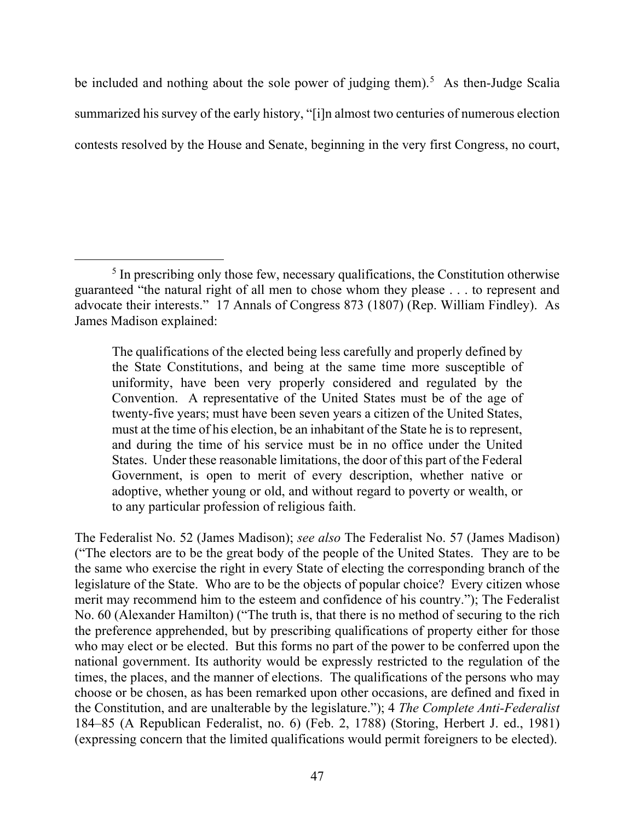be included and nothing about the sole power of judging them).<sup>[5](#page-46-0)</sup> As then-Judge Scalia summarized his survey of the early history, "[i]n almost two centuries of numerous election contests resolved by the House and Senate, beginning in the very first Congress, no court,

The qualifications of the elected being less carefully and properly defined by the State Constitutions, and being at the same time more susceptible of uniformity, have been very properly considered and regulated by the Convention. A representative of the United States must be of the age of twenty-five years; must have been seven years a citizen of the United States, must at the time of his election, be an inhabitant of the State he is to represent, and during the time of his service must be in no office under the United States. Under these reasonable limitations, the door of this part of the Federal Government, is open to merit of every description, whether native or adoptive, whether young or old, and without regard to poverty or wealth, or to any particular profession of religious faith.

The Federalist No. 52 (James Madison); *see also* The Federalist No. 57 (James Madison) ("The electors are to be the great body of the people of the United States. They are to be the same who exercise the right in every State of electing the corresponding branch of the legislature of the State. Who are to be the objects of popular choice? Every citizen whose merit may recommend him to the esteem and confidence of his country."); The Federalist No. 60 (Alexander Hamilton) ("The truth is, that there is no method of securing to the rich the preference apprehended, but by prescribing qualifications of property either for those who may elect or be elected. But this forms no part of the power to be conferred upon the national government. Its authority would be expressly restricted to the regulation of the times, the places, and the manner of elections. The qualifications of the persons who may choose or be chosen, as has been remarked upon other occasions, are defined and fixed in the Constitution, and are unalterable by the legislature."); 4 *The Complete Anti-Federalist* 184–85 (A Republican Federalist, no. 6) (Feb. 2, 1788) (Storing, Herbert J. ed., 1981) (expressing concern that the limited qualifications would permit foreigners to be elected).

<span id="page-46-0"></span> $<sup>5</sup>$  In prescribing only those few, necessary qualifications, the Constitution otherwise</sup> guaranteed "the natural right of all men to chose whom they please . . . to represent and advocate their interests." 17 Annals of Congress 873 (1807) (Rep. William Findley). As James Madison explained: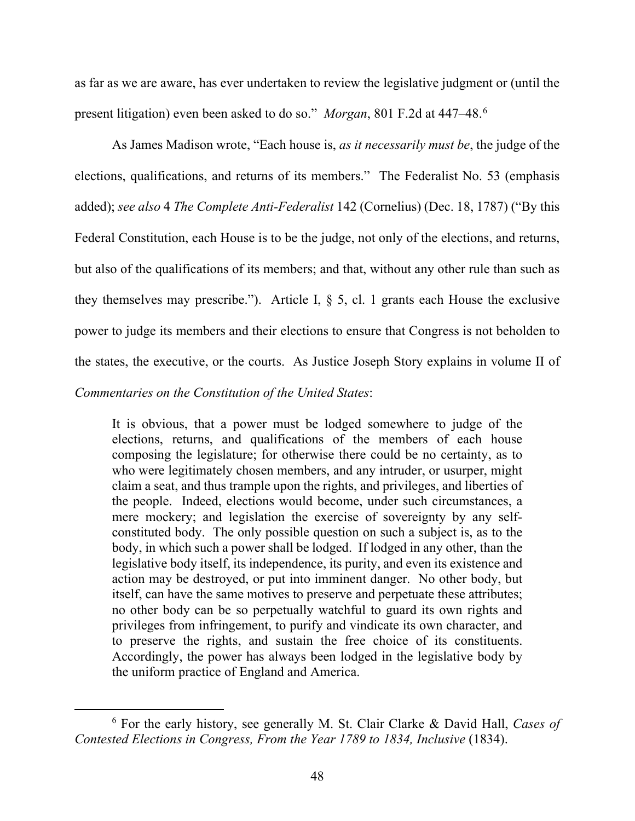as far as we are aware, has ever undertaken to review the legislative judgment or (until the present litigation) even been asked to do so." *Morgan*, 801 F.2d at 447–48.[6](#page-47-0)

As James Madison wrote, "Each house is, *as it necessarily must be*, the judge of the elections, qualifications, and returns of its members." The Federalist No. 53 (emphasis added); *see also* 4 *The Complete Anti-Federalist* 142 (Cornelius) (Dec. 18, 1787) ("By this Federal Constitution, each House is to be the judge, not only of the elections, and returns, but also of the qualifications of its members; and that, without any other rule than such as they themselves may prescribe."). Article I, § 5, cl. 1 grants each House the exclusive power to judge its members and their elections to ensure that Congress is not beholden to the states, the executive, or the courts. As Justice Joseph Story explains in volume II of *Commentaries on the Constitution of the United States*:

It is obvious, that a power must be lodged somewhere to judge of the elections, returns, and qualifications of the members of each house composing the legislature; for otherwise there could be no certainty, as to who were legitimately chosen members, and any intruder, or usurper, might claim a seat, and thus trample upon the rights, and privileges, and liberties of the people. Indeed, elections would become, under such circumstances, a mere mockery; and legislation the exercise of sovereignty by any selfconstituted body. The only possible question on such a subject is, as to the body, in which such a power shall be lodged. If lodged in any other, than the legislative body itself, its independence, its purity, and even its existence and action may be destroyed, or put into imminent danger. No other body, but itself, can have the same motives to preserve and perpetuate these attributes; no other body can be so perpetually watchful to guard its own rights and privileges from infringement, to purify and vindicate its own character, and to preserve the rights, and sustain the free choice of its constituents. Accordingly, the power has always been lodged in the legislative body by the uniform practice of England and America.

<span id="page-47-0"></span><sup>6</sup> For the early history, see generally M. St. Clair Clarke & David Hall, *Cases of Contested Elections in Congress, From the Year 1789 to 1834, Inclusive* (1834).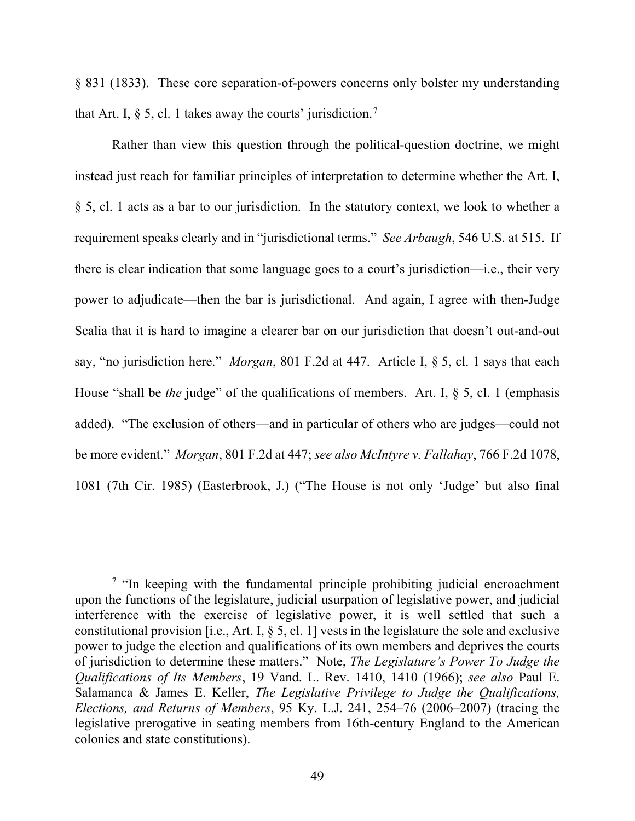§ 831 (1833). These core separation-of-powers concerns only bolster my understanding that Art. I,  $\S$  5, cl. 1 takes away the courts' jurisdiction.<sup>[7](#page-48-0)</sup>

Rather than view this question through the political-question doctrine, we might instead just reach for familiar principles of interpretation to determine whether the Art. I, § 5, cl. 1 acts as a bar to our jurisdiction. In the statutory context, we look to whether a requirement speaks clearly and in "jurisdictional terms." *See Arbaugh*, 546 U.S. at 515. If there is clear indication that some language goes to a court's jurisdiction—i.e., their very power to adjudicate—then the bar is jurisdictional. And again, I agree with then-Judge Scalia that it is hard to imagine a clearer bar on our jurisdiction that doesn't out-and-out say, "no jurisdiction here." *Morgan*, 801 F.2d at 447. Article I, § 5, cl. 1 says that each House "shall be *the* judge" of the qualifications of members. Art. I, § 5, cl. 1 (emphasis added). "The exclusion of others—and in particular of others who are judges—could not be more evident." *Morgan*, 801 F.2d at 447; *see also McIntyre v. Fallahay*, 766 F.2d 1078, 1081 (7th Cir. 1985) (Easterbrook, J.) ("The House is not only 'Judge' but also final

<span id="page-48-0"></span><sup>&</sup>lt;sup>7</sup> "In keeping with the fundamental principle prohibiting judicial encroachment upon the functions of the legislature, judicial usurpation of legislative power, and judicial interference with the exercise of legislative power, it is well settled that such a constitutional provision [i.e., Art. I,  $\S$  5, cl. 1] vests in the legislature the sole and exclusive power to judge the election and qualifications of its own members and deprives the courts of jurisdiction to determine these matters." Note, *The Legislature's Power To Judge the Qualifications of Its Members*, 19 Vand. L. Rev. 1410, 1410 (1966); *see also* Paul E. Salamanca & James E. Keller, *The Legislative Privilege to Judge the Qualifications, Elections, and Returns of Members*, 95 Ky. L.J. 241, 254–76 (2006–2007) (tracing the legislative prerogative in seating members from 16th-century England to the American colonies and state constitutions).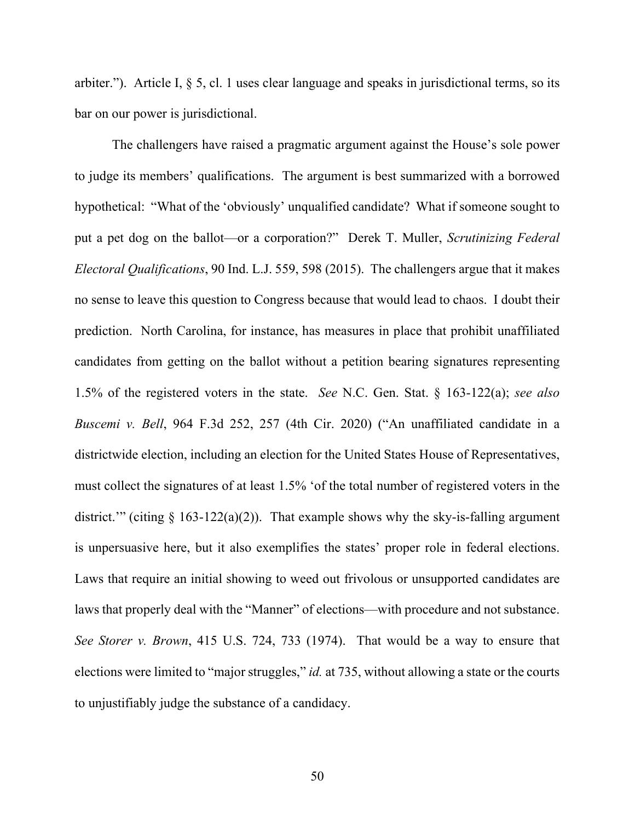arbiter."). Article I, § 5, cl. 1 uses clear language and speaks in jurisdictional terms, so its bar on our power is jurisdictional.

The challengers have raised a pragmatic argument against the House's sole power to judge its members' qualifications. The argument is best summarized with a borrowed hypothetical: "What of the 'obviously' unqualified candidate? What if someone sought to put a pet dog on the ballot—or a corporation?" Derek T. Muller, *Scrutinizing Federal Electoral Qualifications*, 90 Ind. L.J. 559, 598 (2015). The challengers argue that it makes no sense to leave this question to Congress because that would lead to chaos. I doubt their prediction. North Carolina, for instance, has measures in place that prohibit unaffiliated candidates from getting on the ballot without a petition bearing signatures representing 1.5% of the registered voters in the state. *See* N.C. Gen. Stat. § 163-122(a); *see also Buscemi v. Bell*, 964 F.3d 252, 257 (4th Cir. 2020) ("An unaffiliated candidate in a districtwide election, including an election for the United States House of Representatives, must collect the signatures of at least 1.5% 'of the total number of registered voters in the district." (citing  $\S$  163-122(a)(2)). That example shows why the sky-is-falling argument is unpersuasive here, but it also exemplifies the states' proper role in federal elections. Laws that require an initial showing to weed out frivolous or unsupported candidates are laws that properly deal with the "Manner" of elections—with procedure and not substance. *See Storer v. Brown*, 415 U.S. 724, 733 (1974). That would be a way to ensure that elections were limited to "major struggles," *id.* at 735, without allowing a state or the courts to unjustifiably judge the substance of a candidacy.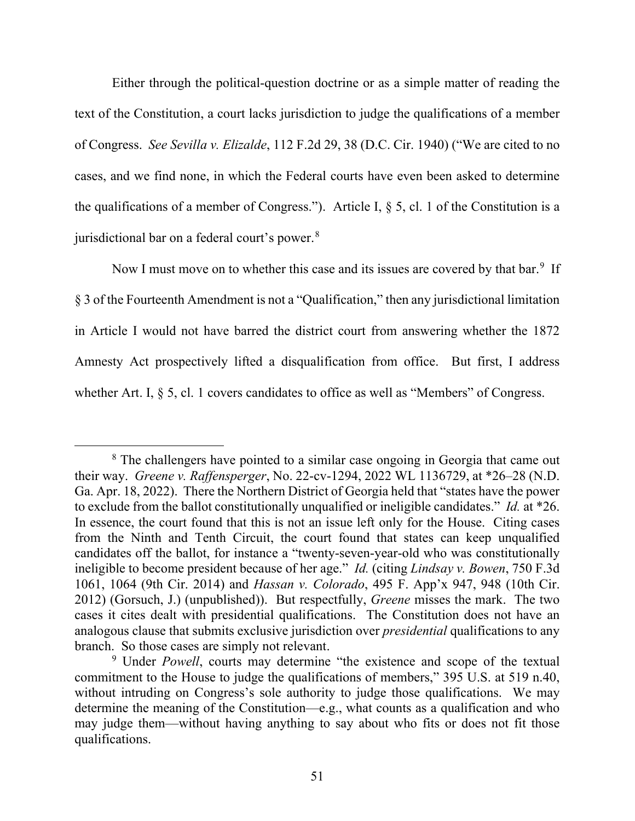Either through the political-question doctrine or as a simple matter of reading the text of the Constitution, a court lacks jurisdiction to judge the qualifications of a member of Congress. *See Sevilla v. Elizalde*, 112 F.2d 29, 38 (D.C. Cir. 1940) ("We are cited to no cases, and we find none, in which the Federal courts have even been asked to determine the qualifications of a member of Congress."). Article I, § 5, cl. 1 of the Constitution is a jurisdictional bar on a federal court's power.<sup>[8](#page-50-0)</sup>

Now I must move on to whether this case and its issues are covered by that bar.<sup>[9](#page-50-1)</sup> If § 3 of the Fourteenth Amendment is not a "Qualification," then any jurisdictional limitation in Article I would not have barred the district court from answering whether the 1872 Amnesty Act prospectively lifted a disqualification from office. But first, I address whether Art. I, § 5, cl. 1 covers candidates to office as well as "Members" of Congress.

<span id="page-50-0"></span><sup>&</sup>lt;sup>8</sup> The challengers have pointed to a similar case ongoing in Georgia that came out their way. *Greene v. Raffensperger*, No. 22-cv-1294, 2022 WL 1136729, at \*26–28 (N.D. Ga. Apr. 18, 2022). There the Northern District of Georgia held that "states have the power to exclude from the ballot constitutionally unqualified or ineligible candidates." *Id.* at \*26. In essence, the court found that this is not an issue left only for the House. Citing cases from the Ninth and Tenth Circuit, the court found that states can keep unqualified candidates off the ballot, for instance a "twenty-seven-year-old who was constitutionally ineligible to become president because of her age." *Id.* (citing *Lindsay v. Bowen*, 750 F.3d 1061, 1064 (9th Cir. 2014) and *Hassan v. Colorado*, 495 F. App'x 947, 948 (10th Cir. 2012) (Gorsuch, J.) (unpublished)). But respectfully, *Greene* misses the mark. The two cases it cites dealt with presidential qualifications. The Constitution does not have an analogous clause that submits exclusive jurisdiction over *presidential* qualifications to any branch. So those cases are simply not relevant.

<span id="page-50-1"></span><sup>&</sup>lt;sup>9</sup> Under *Powell*, courts may determine "the existence and scope of the textual commitment to the House to judge the qualifications of members," 395 U.S. at 519 n.40, without intruding on Congress's sole authority to judge those qualifications. We may determine the meaning of the Constitution—e.g., what counts as a qualification and who may judge them—without having anything to say about who fits or does not fit those qualifications.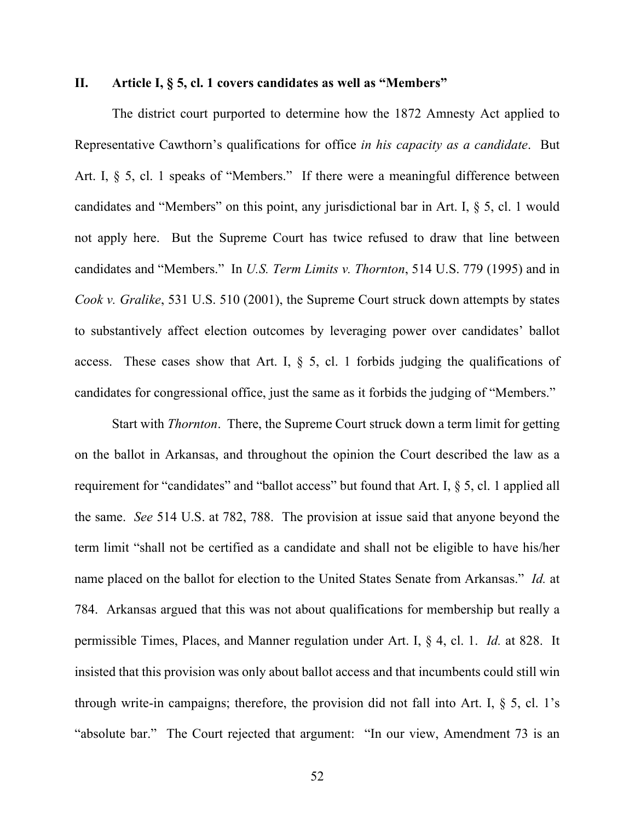#### **II. Article I, § 5, cl. 1 covers candidates as well as "Members"**

The district court purported to determine how the 1872 Amnesty Act applied to Representative Cawthorn's qualifications for office *in his capacity as a candidate*. But Art. I, § 5, cl. 1 speaks of "Members." If there were a meaningful difference between candidates and "Members" on this point, any jurisdictional bar in Art. I, § 5, cl. 1 would not apply here. But the Supreme Court has twice refused to draw that line between candidates and "Members." In *U.S. Term Limits v. Thornton*, 514 U.S. 779 (1995) and in *Cook v. Gralike*, 531 U.S. 510 (2001), the Supreme Court struck down attempts by states to substantively affect election outcomes by leveraging power over candidates' ballot access. These cases show that Art. I,  $\S$  5, cl. 1 forbids judging the qualifications of candidates for congressional office, just the same as it forbids the judging of "Members."

Start with *Thornton*. There, the Supreme Court struck down a term limit for getting on the ballot in Arkansas, and throughout the opinion the Court described the law as a requirement for "candidates" and "ballot access" but found that Art. I, § 5, cl. 1 applied all the same. *See* 514 U.S. at 782, 788. The provision at issue said that anyone beyond the term limit "shall not be certified as a candidate and shall not be eligible to have his/her name placed on the ballot for election to the United States Senate from Arkansas." *Id.* at 784. Arkansas argued that this was not about qualifications for membership but really a permissible Times, Places, and Manner regulation under Art. I, § 4, cl. 1. *Id.* at 828. It insisted that this provision was only about ballot access and that incumbents could still win through write-in campaigns; therefore, the provision did not fall into Art. I,  $\S$  5, cl. 1's "absolute bar." The Court rejected that argument: "In our view, Amendment 73 is an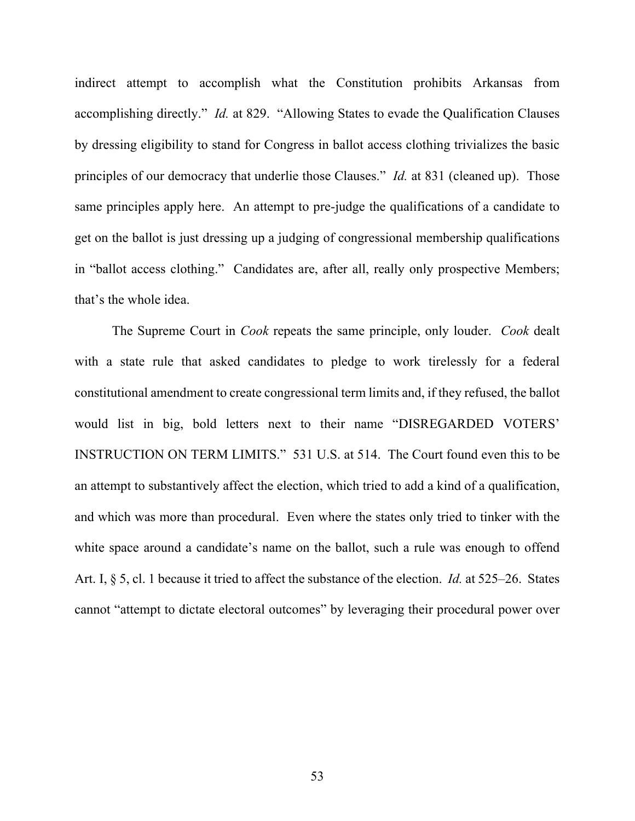indirect attempt to accomplish what the Constitution prohibits Arkansas from accomplishing directly." *Id.* at 829. "Allowing States to evade the Qualification Clauses by dressing eligibility to stand for Congress in ballot access clothing trivializes the basic principles of our democracy that underlie those Clauses." *Id.* at 831 (cleaned up). Those same principles apply here. An attempt to pre-judge the qualifications of a candidate to get on the ballot is just dressing up a judging of congressional membership qualifications in "ballot access clothing." Candidates are, after all, really only prospective Members; that's the whole idea.

The Supreme Court in *Cook* repeats the same principle, only louder. *Cook* dealt with a state rule that asked candidates to pledge to work tirelessly for a federal constitutional amendment to create congressional term limits and, if they refused, the ballot would list in big, bold letters next to their name "DISREGARDED VOTERS' INSTRUCTION ON TERM LIMITS." 531 U.S. at 514. The Court found even this to be an attempt to substantively affect the election, which tried to add a kind of a qualification, and which was more than procedural. Even where the states only tried to tinker with the white space around a candidate's name on the ballot, such a rule was enough to offend Art. I, § 5, cl. 1 because it tried to affect the substance of the election. *Id.* at 525–26. States cannot "attempt to dictate electoral outcomes" by leveraging their procedural power over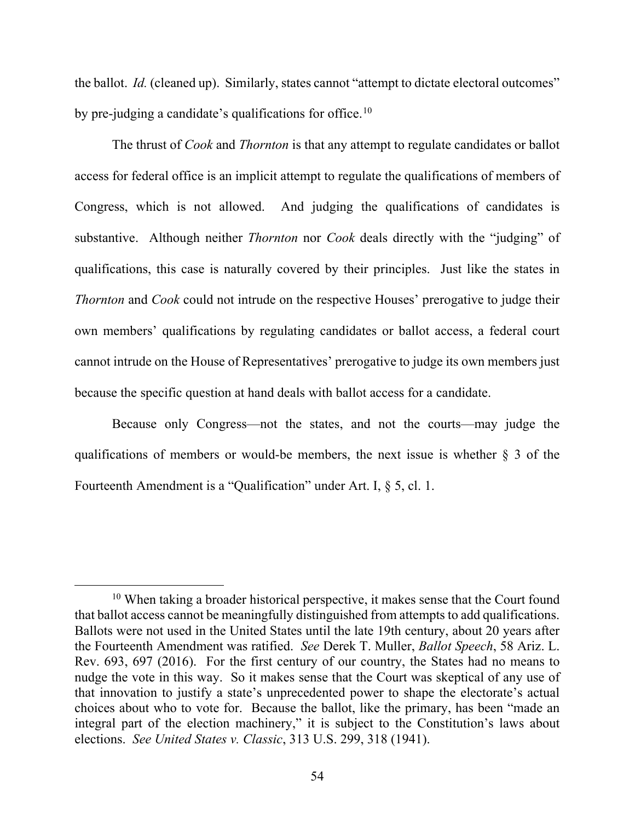the ballot. *Id.* (cleaned up). Similarly, states cannot "attempt to dictate electoral outcomes" by pre-judging a candidate's qualifications for office.<sup>[10](#page-53-0)</sup>

The thrust of *Cook* and *Thornton* is that any attempt to regulate candidates or ballot access for federal office is an implicit attempt to regulate the qualifications of members of Congress, which is not allowed. And judging the qualifications of candidates is substantive. Although neither *Thornton* nor *Cook* deals directly with the "judging" of qualifications, this case is naturally covered by their principles. Just like the states in *Thornton* and *Cook* could not intrude on the respective Houses' prerogative to judge their own members' qualifications by regulating candidates or ballot access, a federal court cannot intrude on the House of Representatives' prerogative to judge its own members just because the specific question at hand deals with ballot access for a candidate.

Because only Congress—not the states, and not the courts—may judge the qualifications of members or would-be members, the next issue is whether § 3 of the Fourteenth Amendment is a "Qualification" under Art. I, § 5, cl. 1.

<span id="page-53-0"></span><sup>&</sup>lt;sup>10</sup> When taking a broader historical perspective, it makes sense that the Court found that ballot access cannot be meaningfully distinguished from attempts to add qualifications. Ballots were not used in the United States until the late 19th century, about 20 years after the Fourteenth Amendment was ratified. *See* Derek T. Muller, *Ballot Speech*, 58 Ariz. L. Rev. 693, 697 (2016). For the first century of our country, the States had no means to nudge the vote in this way. So it makes sense that the Court was skeptical of any use of that innovation to justify a state's unprecedented power to shape the electorate's actual choices about who to vote for. Because the ballot, like the primary, has been "made an integral part of the election machinery," it is subject to the Constitution's laws about elections. *See United States v. Classic*, 313 U.S. 299, 318 (1941).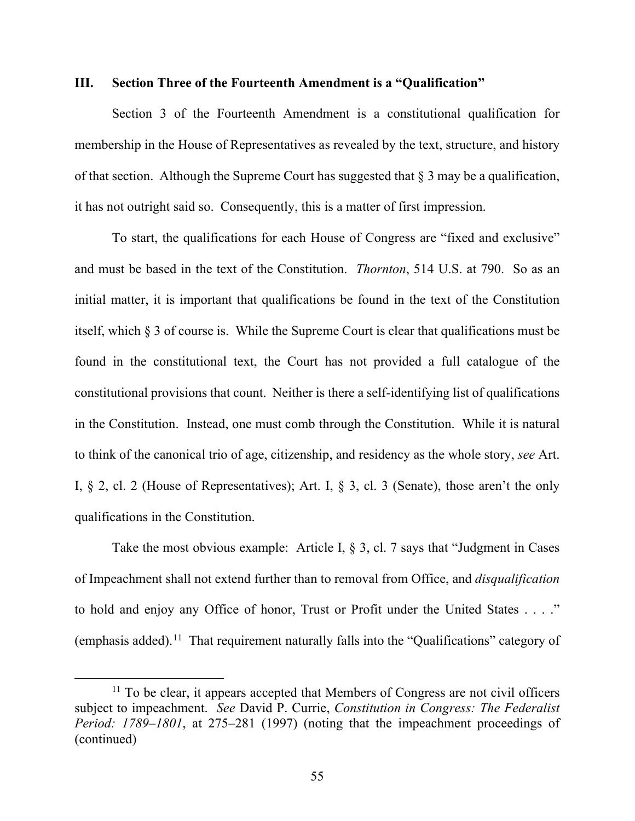### **III. Section Three of the Fourteenth Amendment is a "Qualification"**

Section 3 of the Fourteenth Amendment is a constitutional qualification for membership in the House of Representatives as revealed by the text, structure, and history of that section. Although the Supreme Court has suggested that  $\S$  3 may be a qualification, it has not outright said so. Consequently, this is a matter of first impression.

To start, the qualifications for each House of Congress are "fixed and exclusive" and must be based in the text of the Constitution. *Thornton*, 514 U.S. at 790. So as an initial matter, it is important that qualifications be found in the text of the Constitution itself, which § 3 of course is. While the Supreme Court is clear that qualifications must be found in the constitutional text, the Court has not provided a full catalogue of the constitutional provisions that count. Neither is there a self-identifying list of qualifications in the Constitution. Instead, one must comb through the Constitution. While it is natural to think of the canonical trio of age, citizenship, and residency as the whole story, *see* Art. I, § 2, cl. 2 (House of Representatives); Art. I, § 3, cl. 3 (Senate), those aren't the only qualifications in the Constitution.

Take the most obvious example: Article I, § 3, cl. 7 says that "Judgment in Cases of Impeachment shall not extend further than to removal from Office, and *disqualification* to hold and enjoy any Office of honor, Trust or Profit under the United States . . . ." (emphasis added).<sup>11</sup> That requirement naturally falls into the "Qualifications" category of

<span id="page-54-0"></span> $11$  To be clear, it appears accepted that Members of Congress are not civil officers subject to impeachment. *See* David P. Currie, *Constitution in Congress: The Federalist Period: 1789–1801*, at 275–281 (1997) (noting that the impeachment proceedings of (continued)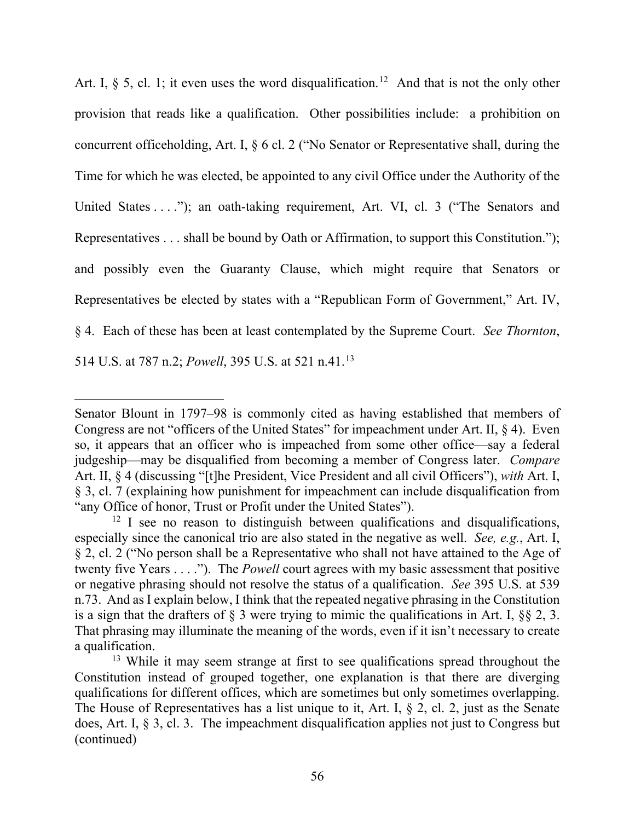Art. I,  $\S$  5, cl. 1; it even uses the word disqualification.<sup>[12](#page-55-0)</sup> And that is not the only other provision that reads like a qualification. Other possibilities include: a prohibition on concurrent officeholding, Art. I, § 6 cl. 2 ("No Senator or Representative shall, during the Time for which he was elected, be appointed to any civil Office under the Authority of the United States . . . ."); an oath-taking requirement, Art. VI, cl. 3 ("The Senators and Representatives . . . shall be bound by Oath or Affirmation, to support this Constitution."); and possibly even the Guaranty Clause, which might require that Senators or Representatives be elected by states with a "Republican Form of Government," Art. IV, § 4. Each of these has been at least contemplated by the Supreme Court. *See Thornton*, 514 U.S. at 787 n.2; *Powell*, 395 U.S. at 521 n.41.[13](#page-55-1)

Senator Blount in 1797–98 is commonly cited as having established that members of Congress are not "officers of the United States" for impeachment under Art. II, § 4). Even so, it appears that an officer who is impeached from some other office—say a federal judgeship—may be disqualified from becoming a member of Congress later. *Compare*  Art. II, § 4 (discussing "[t]he President, Vice President and all civil Officers"), *with* Art. I, § 3, cl. 7 (explaining how punishment for impeachment can include disqualification from "any Office of honor, Trust or Profit under the United States").

<span id="page-55-0"></span> $12 \text{ I}$  see no reason to distinguish between qualifications and disqualifications, especially since the canonical trio are also stated in the negative as well. *See, e.g.*, Art. I, § 2, cl. 2 ("No person shall be a Representative who shall not have attained to the Age of twenty five Years . . . ."). The *Powell* court agrees with my basic assessment that positive or negative phrasing should not resolve the status of a qualification. *See* 395 U.S. at 539 n.73. And as I explain below, I think that the repeated negative phrasing in the Constitution is a sign that the drafters of  $\S$  3 were trying to mimic the qualifications in Art. I,  $\S$  $\S$  2, 3. That phrasing may illuminate the meaning of the words, even if it isn't necessary to create a qualification.

<span id="page-55-1"></span><sup>&</sup>lt;sup>13</sup> While it may seem strange at first to see qualifications spread throughout the Constitution instead of grouped together, one explanation is that there are diverging qualifications for different offices, which are sometimes but only sometimes overlapping. The House of Representatives has a list unique to it, Art. I, § 2, cl. 2, just as the Senate does, Art. I, § 3, cl. 3. The impeachment disqualification applies not just to Congress but (continued)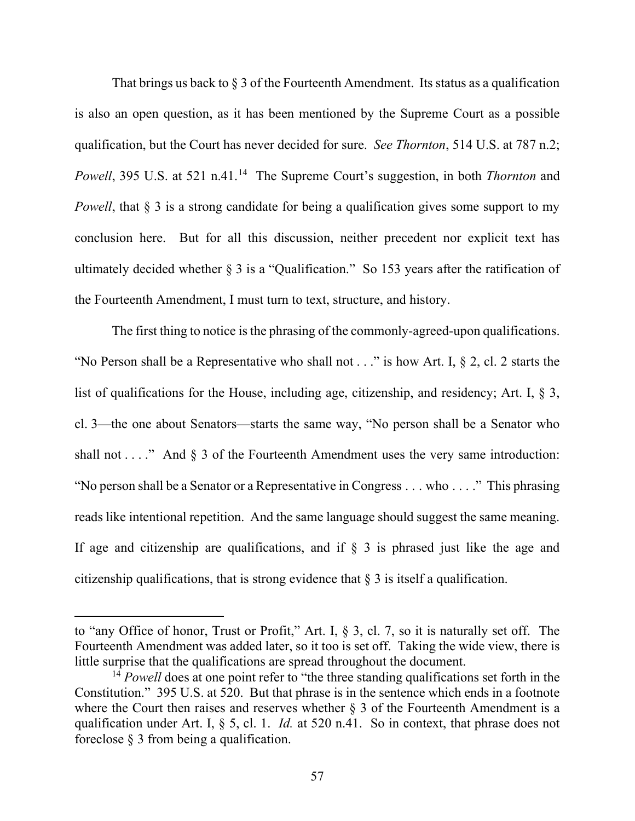That brings us back to  $\S$  3 of the Fourteenth Amendment. Its status as a qualification is also an open question, as it has been mentioned by the Supreme Court as a possible qualification, but the Court has never decided for sure. *See Thornton*, 514 U.S. at 787 n.2; *Powell*, 395 U.S. at 521 n.41.<sup>14</sup> The Supreme Court's suggestion, in both *Thornton* and *Powell*, that § 3 is a strong candidate for being a qualification gives some support to my conclusion here. But for all this discussion, neither precedent nor explicit text has ultimately decided whether § 3 is a "Qualification." So 153 years after the ratification of the Fourteenth Amendment, I must turn to text, structure, and history.

The first thing to notice is the phrasing of the commonly-agreed-upon qualifications. "No Person shall be a Representative who shall not  $\dots$ " is how Art. I, § 2, cl. 2 starts the list of qualifications for the House, including age, citizenship, and residency; Art. I, § 3, cl. 3—the one about Senators—starts the same way, "No person shall be a Senator who shall not . . . ." And  $\S$  3 of the Fourteenth Amendment uses the very same introduction: "No person shall be a Senator or a Representative in Congress . . . who . . . ." This phrasing reads like intentional repetition. And the same language should suggest the same meaning. If age and citizenship are qualifications, and if  $\S$  3 is phrased just like the age and citizenship qualifications, that is strong evidence that  $\S$  3 is itself a qualification.

to "any Office of honor, Trust or Profit," Art. I, § 3, cl. 7, so it is naturally set off. The Fourteenth Amendment was added later, so it too is set off. Taking the wide view, there is little surprise that the qualifications are spread throughout the document.

<span id="page-56-0"></span><sup>&</sup>lt;sup>14</sup> *Powell* does at one point refer to "the three standing qualifications set forth in the Constitution." 395 U.S. at 520. But that phrase is in the sentence which ends in a footnote where the Court then raises and reserves whether  $\S$  3 of the Fourteenth Amendment is a qualification under Art. I, § 5, cl. 1. *Id.* at 520 n.41. So in context, that phrase does not foreclose § 3 from being a qualification.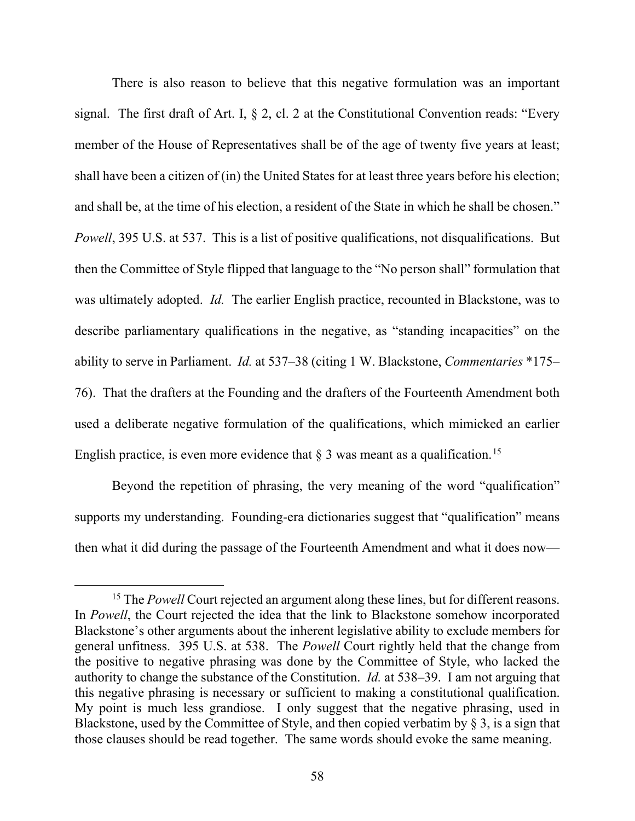There is also reason to believe that this negative formulation was an important signal. The first draft of Art. I,  $\S$  2, cl. 2 at the Constitutional Convention reads: "Every member of the House of Representatives shall be of the age of twenty five years at least; shall have been a citizen of (in) the United States for at least three years before his election; and shall be, at the time of his election, a resident of the State in which he shall be chosen." *Powell*, 395 U.S. at 537. This is a list of positive qualifications, not disqualifications. But then the Committee of Style flipped that language to the "No person shall" formulation that was ultimately adopted. *Id.* The earlier English practice, recounted in Blackstone, was to describe parliamentary qualifications in the negative, as "standing incapacities" on the ability to serve in Parliament. *Id.* at 537–38 (citing 1 W. Blackstone, *Commentaries* \*175– 76). That the drafters at the Founding and the drafters of the Fourteenth Amendment both used a deliberate negative formulation of the qualifications, which mimicked an earlier English practice, is even more evidence that  $\S 3$  was meant as a qualification.<sup>15</sup>

Beyond the repetition of phrasing, the very meaning of the word "qualification" supports my understanding. Founding-era dictionaries suggest that "qualification" means then what it did during the passage of the Fourteenth Amendment and what it does now—

<span id="page-57-0"></span><sup>&</sup>lt;sup>15</sup> The *Powell* Court rejected an argument along these lines, but for different reasons. In *Powell*, the Court rejected the idea that the link to Blackstone somehow incorporated Blackstone's other arguments about the inherent legislative ability to exclude members for general unfitness. 395 U.S. at 538. The *Powell* Court rightly held that the change from the positive to negative phrasing was done by the Committee of Style, who lacked the authority to change the substance of the Constitution. *Id.* at 538–39. I am not arguing that this negative phrasing is necessary or sufficient to making a constitutional qualification. My point is much less grandiose. I only suggest that the negative phrasing, used in Blackstone, used by the Committee of Style, and then copied verbatim by  $\S$  3, is a sign that those clauses should be read together. The same words should evoke the same meaning.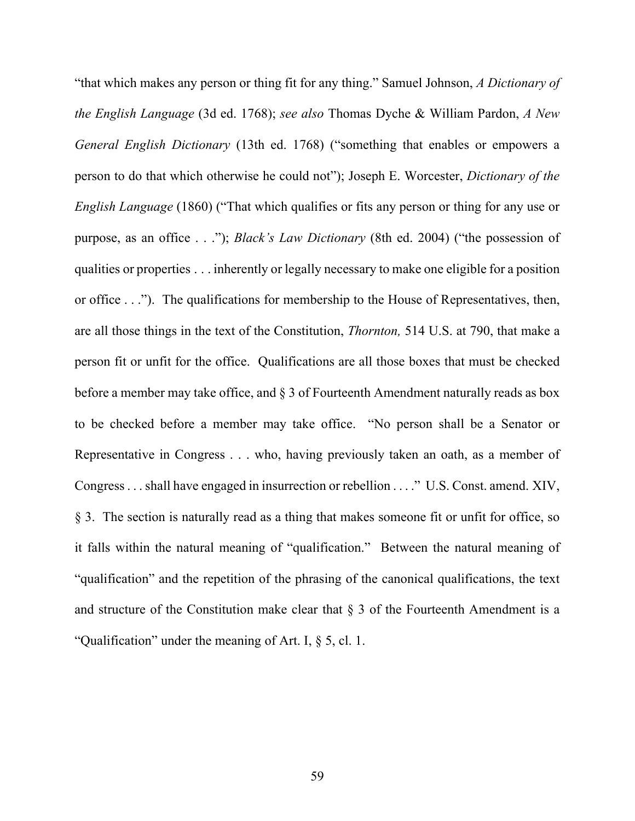"that which makes any person or thing fit for any thing." Samuel Johnson, *A Dictionary of the English Language* (3d ed. 1768); *see also* Thomas Dyche & William Pardon, *A New General English Dictionary* (13th ed. 1768) ("something that enables or empowers a person to do that which otherwise he could not"); Joseph E. Worcester, *Dictionary of the English Language* (1860) ("That which qualifies or fits any person or thing for any use or purpose, as an office . . ."); *Black's Law Dictionary* (8th ed. 2004) ("the possession of qualities or properties . . . inherently or legally necessary to make one eligible for a position or office . . ."). The qualifications for membership to the House of Representatives, then, are all those things in the text of the Constitution, *Thornton,* 514 U.S. at 790, that make a person fit or unfit for the office. Qualifications are all those boxes that must be checked before a member may take office, and § 3 of Fourteenth Amendment naturally reads as box to be checked before a member may take office. "No person shall be a Senator or Representative in Congress . . . who, having previously taken an oath, as a member of Congress . . . shall have engaged in insurrection or rebellion . . . ." U.S. Const. amend. XIV, § 3. The section is naturally read as a thing that makes someone fit or unfit for office, so it falls within the natural meaning of "qualification." Between the natural meaning of "qualification" and the repetition of the phrasing of the canonical qualifications, the text and structure of the Constitution make clear that  $\S$  3 of the Fourteenth Amendment is a "Qualification" under the meaning of Art. I, § 5, cl. 1.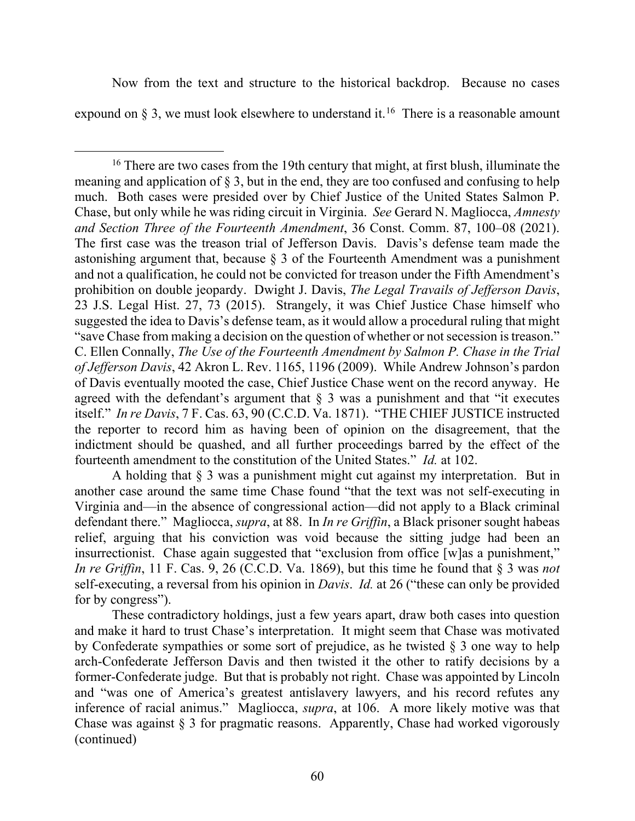Now from the text and structure to the historical backdrop. Because no cases expound on  $\S$  3, we must look elsewhere to understand it.<sup>[16](#page-59-0)</sup> There is a reasonable amount

<span id="page-59-0"></span><sup>16</sup> There are two cases from the 19th century that might, at first blush, illuminate the meaning and application of  $\S$  3, but in the end, they are too confused and confusing to help much. Both cases were presided over by Chief Justice of the United States Salmon P. Chase, but only while he was riding circuit in Virginia. *See* Gerard N. Magliocca, *Amnesty and Section Three of the Fourteenth Amendment*, 36 Const. Comm. 87, 100–08 (2021). The first case was the treason trial of Jefferson Davis. Davis's defense team made the astonishing argument that, because § 3 of the Fourteenth Amendment was a punishment and not a qualification, he could not be convicted for treason under the Fifth Amendment's prohibition on double jeopardy. Dwight J. Davis, *The Legal Travails of Jefferson Davis*, 23 J.S. Legal Hist. 27, 73 (2015). Strangely, it was Chief Justice Chase himself who suggested the idea to Davis's defense team, as it would allow a procedural ruling that might "save Chase from making a decision on the question of whether or not secession is treason." C. Ellen Connally, *The Use of the Fourteenth Amendment by Salmon P. Chase in the Trial of Jefferson Davis*, 42 Akron L. Rev. 1165, 1196 (2009). While Andrew Johnson's pardon of Davis eventually mooted the case, Chief Justice Chase went on the record anyway. He agreed with the defendant's argument that  $\S$  3 was a punishment and that "it executes itself." *In re Davis*, 7 F. Cas. 63, 90 (C.C.D. Va. 1871). "THE CHIEF JUSTICE instructed the reporter to record him as having been of opinion on the disagreement, that the indictment should be quashed, and all further proceedings barred by the effect of the fourteenth amendment to the constitution of the United States." *Id.* at 102.

A holding that  $\S$  3 was a punishment might cut against my interpretation. But in another case around the same time Chase found "that the text was not self-executing in Virginia and—in the absence of congressional action—did not apply to a Black criminal defendant there." Magliocca, *supra*, at 88. In *In re Griffin*, a Black prisoner sought habeas relief, arguing that his conviction was void because the sitting judge had been an insurrectionist. Chase again suggested that "exclusion from office [w]as a punishment," *In re Griffin*, 11 F. Cas. 9, 26 (C.C.D. Va. 1869), but this time he found that § 3 was *not* self-executing, a reversal from his opinion in *Davis*. *Id.* at 26 ("these can only be provided for by congress").

These contradictory holdings, just a few years apart, draw both cases into question and make it hard to trust Chase's interpretation. It might seem that Chase was motivated by Confederate sympathies or some sort of prejudice, as he twisted § 3 one way to help arch-Confederate Jefferson Davis and then twisted it the other to ratify decisions by a former-Confederate judge. But that is probably not right. Chase was appointed by Lincoln and "was one of America's greatest antislavery lawyers, and his record refutes any inference of racial animus." Magliocca, *supra*, at 106. A more likely motive was that Chase was against § 3 for pragmatic reasons. Apparently, Chase had worked vigorously (continued)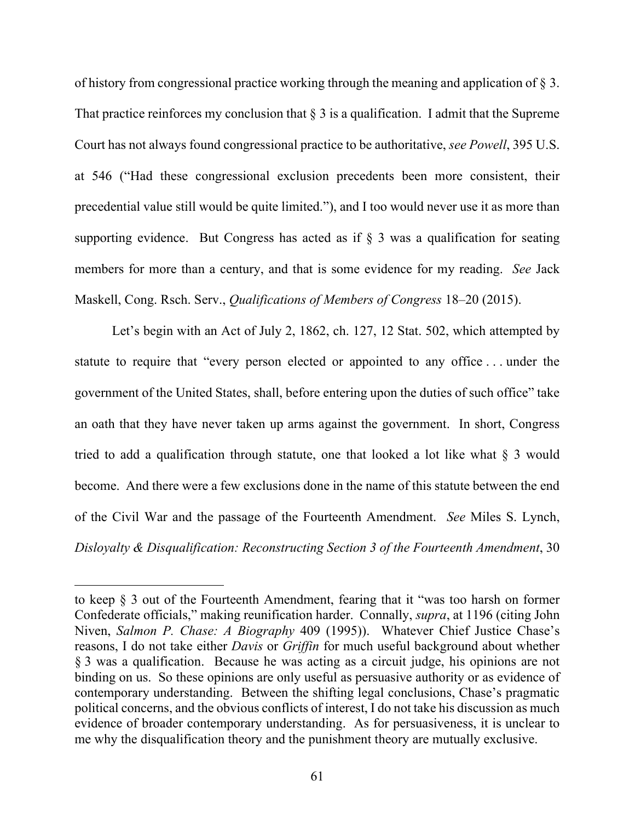of history from congressional practice working through the meaning and application of § 3. That practice reinforces my conclusion that  $\S 3$  is a qualification. I admit that the Supreme Court has not always found congressional practice to be authoritative, *see Powell*, 395 U.S. at 546 ("Had these congressional exclusion precedents been more consistent, their precedential value still would be quite limited."), and I too would never use it as more than supporting evidence. But Congress has acted as if § 3 was a qualification for seating members for more than a century, and that is some evidence for my reading. *See* Jack Maskell, Cong. Rsch. Serv., *Qualifications of Members of Congress* 18–20 (2015).

Let's begin with an Act of July 2, 1862, ch. 127, 12 Stat. 502, which attempted by statute to require that "every person elected or appointed to any office . . . under the government of the United States, shall, before entering upon the duties of such office" take an oath that they have never taken up arms against the government. In short, Congress tried to add a qualification through statute, one that looked a lot like what § 3 would become. And there were a few exclusions done in the name of this statute between the end of the Civil War and the passage of the Fourteenth Amendment. *See* Miles S. Lynch, *Disloyalty & Disqualification: Reconstructing Section 3 of the Fourteenth Amendment*, 30

to keep § 3 out of the Fourteenth Amendment, fearing that it "was too harsh on former Confederate officials," making reunification harder. Connally, *supra*, at 1196 (citing John Niven, *Salmon P. Chase: A Biography* 409 (1995)). Whatever Chief Justice Chase's reasons, I do not take either *Davis* or *Griffin* for much useful background about whether § 3 was a qualification. Because he was acting as a circuit judge, his opinions are not binding on us. So these opinions are only useful as persuasive authority or as evidence of contemporary understanding. Between the shifting legal conclusions, Chase's pragmatic political concerns, and the obvious conflicts of interest, I do not take his discussion as much evidence of broader contemporary understanding. As for persuasiveness, it is unclear to me why the disqualification theory and the punishment theory are mutually exclusive.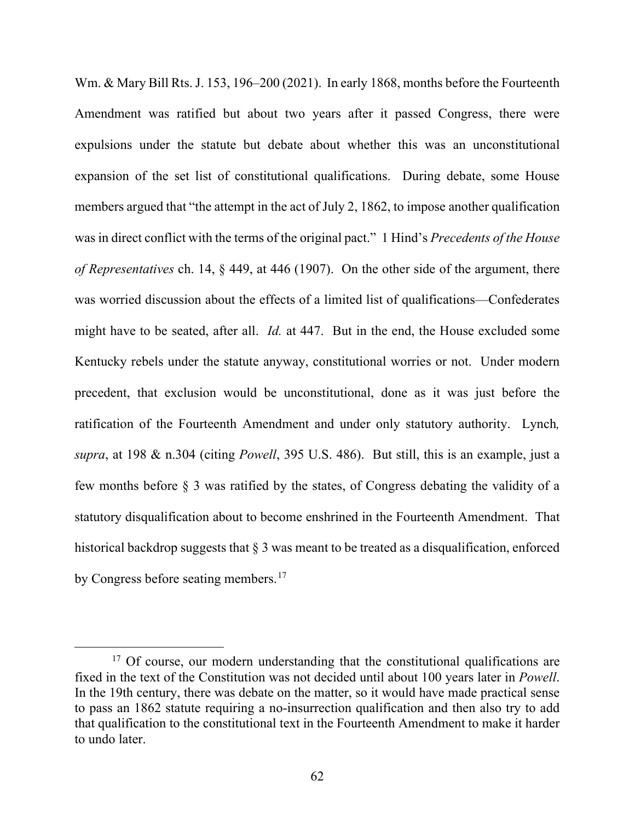Wm. & Mary Bill Rts. J. 153, 196–200 (2021). In early 1868, months before the Fourteenth Amendment was ratified but about two years after it passed Congress, there were expulsions under the statute but debate about whether this was an unconstitutional expansion of the set list of constitutional qualifications. During debate, some House members argued that "the attempt in the act of July 2, 1862, to impose another qualification was in direct conflict with the terms of the original pact." 1 Hind's *Precedents of the House of Representatives* ch. 14, § 449, at 446 (1907). On the other side of the argument, there was worried discussion about the effects of a limited list of qualifications—Confederates might have to be seated, after all. *Id.* at 447. But in the end, the House excluded some Kentucky rebels under the statute anyway, constitutional worries or not. Under modern precedent, that exclusion would be unconstitutional, done as it was just before the ratification of the Fourteenth Amendment and under only statutory authority. Lynch*, supra*, at 198 & n.304 (citing *Powell*, 395 U.S. 486). But still, this is an example, just a few months before § 3 was ratified by the states, of Congress debating the validity of a statutory disqualification about to become enshrined in the Fourteenth Amendment. That historical backdrop suggests that  $\S 3$  was meant to be treated as a disqualification, enforced by Congress before seating members.<sup>[17](#page-61-0)</sup>

<span id="page-61-0"></span><sup>&</sup>lt;sup>17</sup> Of course, our modern understanding that the constitutional qualifications are fixed in the text of the Constitution was not decided until about 100 years later in *Powell*. In the 19th century, there was debate on the matter, so it would have made practical sense to pass an 1862 statute requiring a no-insurrection qualification and then also try to add that qualification to the constitutional text in the Fourteenth Amendment to make it harder to undo later.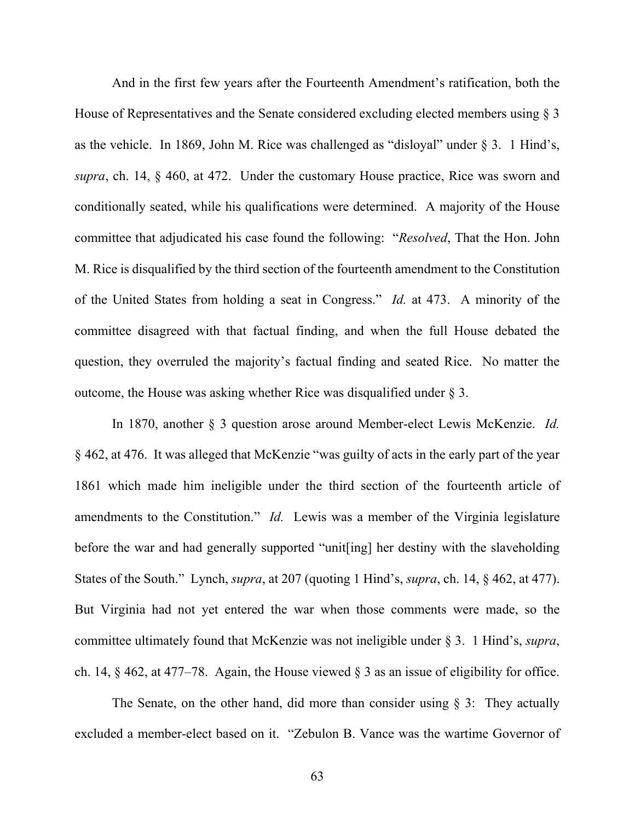And in the first few years after the Fourteenth Amendment's ratification, both the House of Representatives and the Senate considered excluding elected members using § 3 as the vehicle. In 1869, John M. Rice was challenged as "disloyal" under  $\S 3$ . 1 Hind's, *supra*, ch. 14, § 460, at 472. Under the customary House practice, Rice was sworn and conditionally seated, while his qualifications were determined. A majority of the House committee that adjudicated his case found the following: "*Resolved*, That the Hon. John M. Rice is disqualified by the third section of the fourteenth amendment to the Constitution of the United States from holding a seat in Congress." *Id.* at 473. A minority of the committee disagreed with that factual finding, and when the full House debated the question, they overruled the majority's factual finding and seated Rice. No matter the outcome, the House was asking whether Rice was disqualified under § 3.

In 1870, another § 3 question arose around Member-elect Lewis McKenzie. *Id.*  § 462, at 476. It was alleged that McKenzie "was guilty of acts in the early part of the year 1861 which made him ineligible under the third section of the fourteenth article of amendments to the Constitution." *Id.* Lewis was a member of the Virginia legislature before the war and had generally supported "unit[ing] her destiny with the slaveholding States of the South." Lynch, *supra*, at 207 (quoting 1 Hind's, *supra*, ch. 14, § 462, at 477). But Virginia had not yet entered the war when those comments were made, so the committee ultimately found that McKenzie was not ineligible under § 3. 1 Hind's, *supra*, ch. 14, § 462, at 477–78. Again, the House viewed § 3 as an issue of eligibility for office.

The Senate, on the other hand, did more than consider using  $\S$  3: They actually excluded a member-elect based on it. "Zebulon B. Vance was the wartime Governor of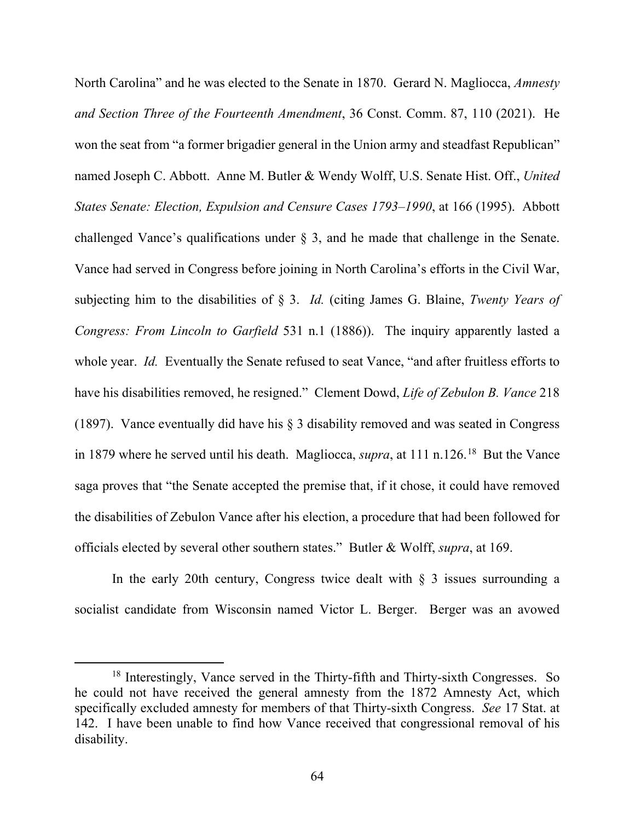North Carolina" and he was elected to the Senate in 1870. Gerard N. Magliocca, *Amnesty and Section Three of the Fourteenth Amendment*, 36 Const. Comm. 87, 110 (2021). He won the seat from "a former brigadier general in the Union army and steadfast Republican" named Joseph C. Abbott. Anne M. Butler & Wendy Wolff, U.S. Senate Hist. Off., *United States Senate: Election, Expulsion and Censure Cases 1793–1990*, at 166 (1995). Abbott challenged Vance's qualifications under § 3, and he made that challenge in the Senate. Vance had served in Congress before joining in North Carolina's efforts in the Civil War, subjecting him to the disabilities of § 3. *Id.* (citing James G. Blaine, *Twenty Years of Congress: From Lincoln to Garfield* 531 n.1 (1886)). The inquiry apparently lasted a whole year. *Id.* Eventually the Senate refused to seat Vance, "and after fruitless efforts to have his disabilities removed, he resigned." Clement Dowd, *Life of Zebulon B. Vance* 218 (1897). Vance eventually did have his  $\S$  3 disability removed and was seated in Congress in 1879 where he served until his death. Magliocca, *supra*, at 111 n.126.<sup>18</sup> But the Vance saga proves that "the Senate accepted the premise that, if it chose, it could have removed the disabilities of Zebulon Vance after his election, a procedure that had been followed for officials elected by several other southern states." Butler & Wolff, *supra*, at 169.

In the early 20th century, Congress twice dealt with  $\S$  3 issues surrounding a socialist candidate from Wisconsin named Victor L. Berger. Berger was an avowed

<span id="page-63-0"></span><sup>&</sup>lt;sup>18</sup> Interestingly, Vance served in the Thirty-fifth and Thirty-sixth Congresses. So he could not have received the general amnesty from the 1872 Amnesty Act, which specifically excluded amnesty for members of that Thirty-sixth Congress. *See* 17 Stat. at 142. I have been unable to find how Vance received that congressional removal of his disability.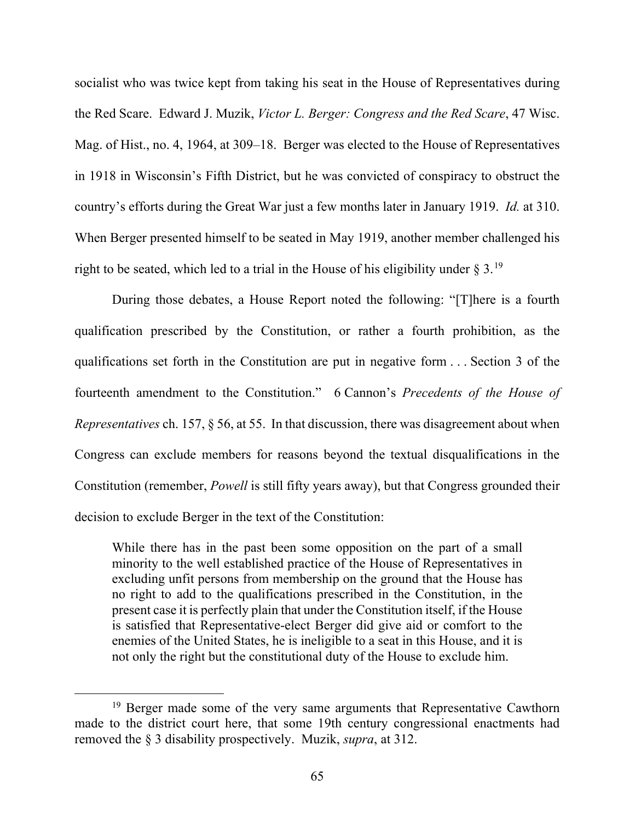socialist who was twice kept from taking his seat in the House of Representatives during the Red Scare. Edward J. Muzik, *Victor L. Berger: Congress and the Red Scare*, 47 Wisc. Mag. of Hist., no. 4, 1964, at 309–18. Berger was elected to the House of Representatives in 1918 in Wisconsin's Fifth District, but he was convicted of conspiracy to obstruct the country's efforts during the Great War just a few months later in January 1919. *Id.* at 310. When Berger presented himself to be seated in May 1919, another member challenged his right to be seated, which led to a trial in the House of his eligibility under  $\S 3.19$  $\S 3.19$ 

During those debates, a House Report noted the following: "[T]here is a fourth qualification prescribed by the Constitution, or rather a fourth prohibition, as the qualifications set forth in the Constitution are put in negative form . . . Section 3 of the fourteenth amendment to the Constitution." 6 Cannon's *Precedents of the House of Representatives* ch. 157, § 56, at 55. In that discussion, there was disagreement about when Congress can exclude members for reasons beyond the textual disqualifications in the Constitution (remember, *Powell* is still fifty years away), but that Congress grounded their decision to exclude Berger in the text of the Constitution:

While there has in the past been some opposition on the part of a small minority to the well established practice of the House of Representatives in excluding unfit persons from membership on the ground that the House has no right to add to the qualifications prescribed in the Constitution, in the present case it is perfectly plain that under the Constitution itself, if the House is satisfied that Representative-elect Berger did give aid or comfort to the enemies of the United States, he is ineligible to a seat in this House, and it is not only the right but the constitutional duty of the House to exclude him.

<span id="page-64-0"></span><sup>&</sup>lt;sup>19</sup> Berger made some of the very same arguments that Representative Cawthorn made to the district court here, that some 19th century congressional enactments had removed the § 3 disability prospectively. Muzik, *supra*, at 312.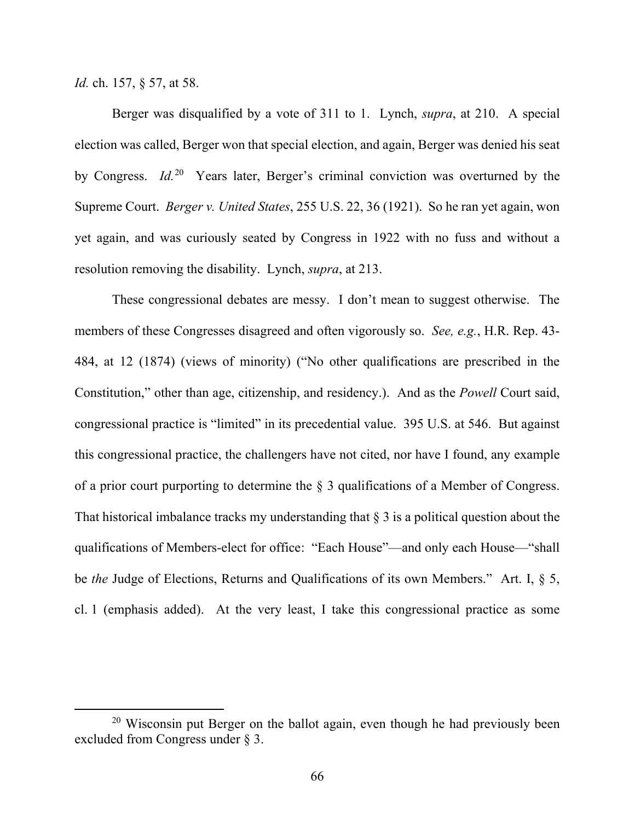*Id.* ch. 157, § 57, at 58.

Berger was disqualified by a vote of 311 to 1. Lynch, *supra*, at 210. A special election was called, Berger won that special election, and again, Berger was denied his seat by Congress. *Id.*[20](#page-65-0) Years later, Berger's criminal conviction was overturned by the Supreme Court. *Berger v. United States*, 255 U.S. 22, 36 (1921). So he ran yet again, won yet again, and was curiously seated by Congress in 1922 with no fuss and without a resolution removing the disability. Lynch, *supra*, at 213.

These congressional debates are messy. I don't mean to suggest otherwise. The members of these Congresses disagreed and often vigorously so. *See, e.g.*, H.R. Rep. 43- 484, at 12 (1874) (views of minority) ("No other qualifications are prescribed in the Constitution," other than age, citizenship, and residency.). And as the *Powell* Court said, congressional practice is "limited" in its precedential value. 395 U.S. at 546. But against this congressional practice, the challengers have not cited, nor have I found, any example of a prior court purporting to determine the § 3 qualifications of a Member of Congress. That historical imbalance tracks my understanding that  $\S 3$  is a political question about the qualifications of Members-elect for office: "Each House"—and only each House—"shall be *the* Judge of Elections, Returns and Qualifications of its own Members." Art. I, § 5, cl. 1 (emphasis added). At the very least, I take this congressional practice as some

<span id="page-65-0"></span><sup>&</sup>lt;sup>20</sup> Wisconsin put Berger on the ballot again, even though he had previously been excluded from Congress under § 3.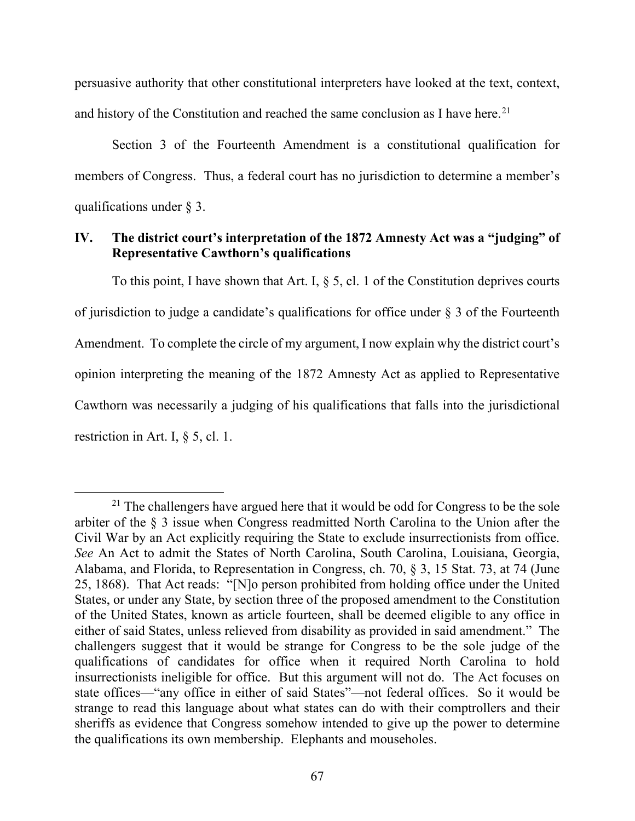persuasive authority that other constitutional interpreters have looked at the text, context, and history of the Constitution and reached the same conclusion as I have here.<sup>[21](#page-66-0)</sup>

Section 3 of the Fourteenth Amendment is a constitutional qualification for members of Congress. Thus, a federal court has no jurisdiction to determine a member's qualifications under § 3.

# **IV. The district court's interpretation of the 1872 Amnesty Act was a "judging" of Representative Cawthorn's qualifications**

To this point, I have shown that Art. I,  $\S$  5, cl. 1 of the Constitution deprives courts of jurisdiction to judge a candidate's qualifications for office under § 3 of the Fourteenth Amendment. To complete the circle of my argument, I now explain why the district court's opinion interpreting the meaning of the 1872 Amnesty Act as applied to Representative Cawthorn was necessarily a judging of his qualifications that falls into the jurisdictional restriction in Art. I, § 5, cl. 1.

<span id="page-66-0"></span> $21$  The challengers have argued here that it would be odd for Congress to be the sole arbiter of the § 3 issue when Congress readmitted North Carolina to the Union after the Civil War by an Act explicitly requiring the State to exclude insurrectionists from office. *See* An Act to admit the States of North Carolina, South Carolina, Louisiana, Georgia, Alabama, and Florida, to Representation in Congress, ch. 70, § 3, 15 Stat. 73, at 74 (June 25, 1868). That Act reads: "[N]o person prohibited from holding office under the United States, or under any State, by section three of the proposed amendment to the Constitution of the United States, known as article fourteen, shall be deemed eligible to any office in either of said States, unless relieved from disability as provided in said amendment." The challengers suggest that it would be strange for Congress to be the sole judge of the qualifications of candidates for office when it required North Carolina to hold insurrectionists ineligible for office. But this argument will not do. The Act focuses on state offices—"any office in either of said States"—not federal offices. So it would be strange to read this language about what states can do with their comptrollers and their sheriffs as evidence that Congress somehow intended to give up the power to determine the qualifications its own membership. Elephants and mouseholes.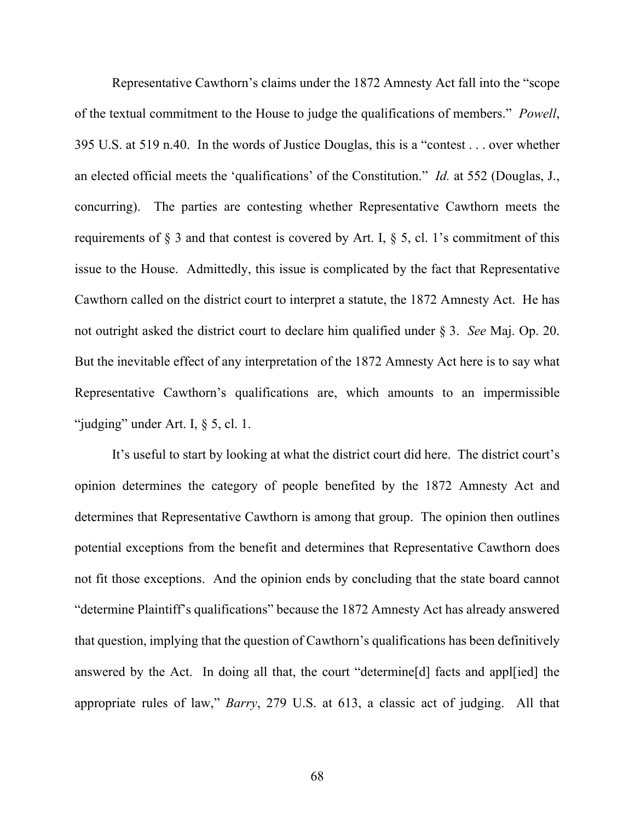Representative Cawthorn's claims under the 1872 Amnesty Act fall into the "scope of the textual commitment to the House to judge the qualifications of members." *Powell*, 395 U.S. at 519 n.40. In the words of Justice Douglas, this is a "contest . . . over whether an elected official meets the 'qualifications' of the Constitution." *Id.* at 552 (Douglas, J., concurring). The parties are contesting whether Representative Cawthorn meets the requirements of  $\S$  3 and that contest is covered by Art. I,  $\S$  5, cl. 1's commitment of this issue to the House. Admittedly, this issue is complicated by the fact that Representative Cawthorn called on the district court to interpret a statute, the 1872 Amnesty Act. He has not outright asked the district court to declare him qualified under § 3. *See* Maj. Op. 20. But the inevitable effect of any interpretation of the 1872 Amnesty Act here is to say what Representative Cawthorn's qualifications are, which amounts to an impermissible "judging" under Art. I,  $\S$  5, cl. 1.

It's useful to start by looking at what the district court did here. The district court's opinion determines the category of people benefited by the 1872 Amnesty Act and determines that Representative Cawthorn is among that group. The opinion then outlines potential exceptions from the benefit and determines that Representative Cawthorn does not fit those exceptions. And the opinion ends by concluding that the state board cannot "determine Plaintiff's qualifications" because the 1872 Amnesty Act has already answered that question, implying that the question of Cawthorn's qualifications has been definitively answered by the Act. In doing all that, the court "determine[d] facts and appl[ied] the appropriate rules of law," *Barry*, 279 U.S. at 613, a classic act of judging. All that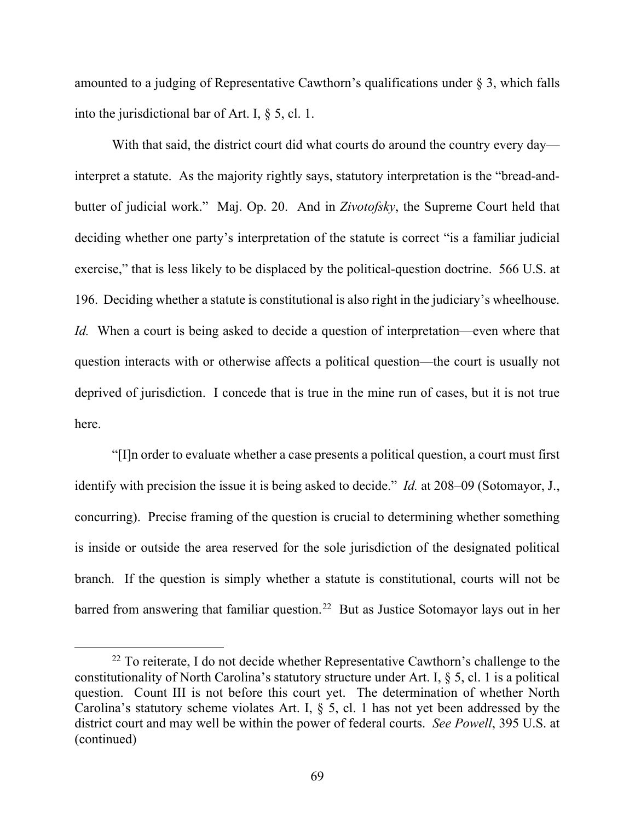amounted to a judging of Representative Cawthorn's qualifications under § 3, which falls into the jurisdictional bar of Art. I, § 5, cl. 1.

With that said, the district court did what courts do around the country every day interpret a statute. As the majority rightly says, statutory interpretation is the "bread-andbutter of judicial work." Maj. Op. 20. And in *Zivotofsky*, the Supreme Court held that deciding whether one party's interpretation of the statute is correct "is a familiar judicial exercise," that is less likely to be displaced by the political-question doctrine. 566 U.S. at 196. Deciding whether a statute is constitutional is also right in the judiciary's wheelhouse. *Id.* When a court is being asked to decide a question of interpretation—even where that question interacts with or otherwise affects a political question—the court is usually not deprived of jurisdiction. I concede that is true in the mine run of cases, but it is not true here.

"[I]n order to evaluate whether a case presents a political question, a court must first identify with precision the issue it is being asked to decide." *Id.* at 208–09 (Sotomayor, J., concurring). Precise framing of the question is crucial to determining whether something is inside or outside the area reserved for the sole jurisdiction of the designated political branch. If the question is simply whether a statute is constitutional, courts will not be barred from answering that familiar question.<sup>22</sup> But as Justice Sotomayor lays out in her

<span id="page-68-0"></span> $22$  To reiterate, I do not decide whether Representative Cawthorn's challenge to the constitutionality of North Carolina's statutory structure under Art. I, § 5, cl. 1 is a political question. Count III is not before this court yet. The determination of whether North Carolina's statutory scheme violates Art. I, § 5, cl. 1 has not yet been addressed by the district court and may well be within the power of federal courts. *See Powell*, 395 U.S. at (continued)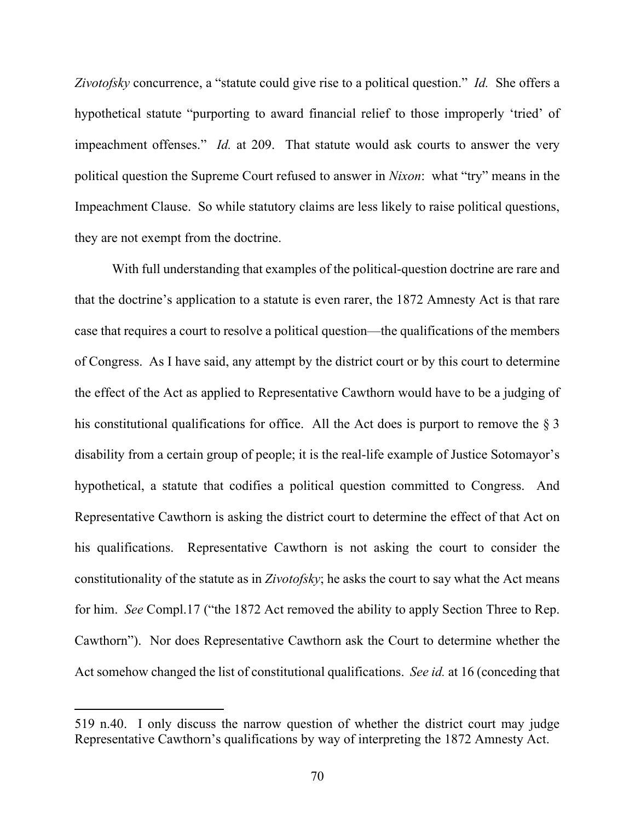*Zivotofsky* concurrence, a "statute could give rise to a political question." *Id.* She offers a hypothetical statute "purporting to award financial relief to those improperly 'tried' of impeachment offenses." *Id.* at 209. That statute would ask courts to answer the very political question the Supreme Court refused to answer in *Nixon*: what "try" means in the Impeachment Clause. So while statutory claims are less likely to raise political questions, they are not exempt from the doctrine.

With full understanding that examples of the political-question doctrine are rare and that the doctrine's application to a statute is even rarer, the 1872 Amnesty Act is that rare case that requires a court to resolve a political question—the qualifications of the members of Congress. As I have said, any attempt by the district court or by this court to determine the effect of the Act as applied to Representative Cawthorn would have to be a judging of his constitutional qualifications for office. All the Act does is purport to remove the  $\S$  3 disability from a certain group of people; it is the real-life example of Justice Sotomayor's hypothetical, a statute that codifies a political question committed to Congress. And Representative Cawthorn is asking the district court to determine the effect of that Act on his qualifications. Representative Cawthorn is not asking the court to consider the constitutionality of the statute as in *Zivotofsky*; he asks the court to say what the Act means for him. *See* Compl.17 ("the 1872 Act removed the ability to apply Section Three to Rep. Cawthorn"). Nor does Representative Cawthorn ask the Court to determine whether the Act somehow changed the list of constitutional qualifications. *See id.* at 16 (conceding that

<sup>519</sup> n.40. I only discuss the narrow question of whether the district court may judge Representative Cawthorn's qualifications by way of interpreting the 1872 Amnesty Act.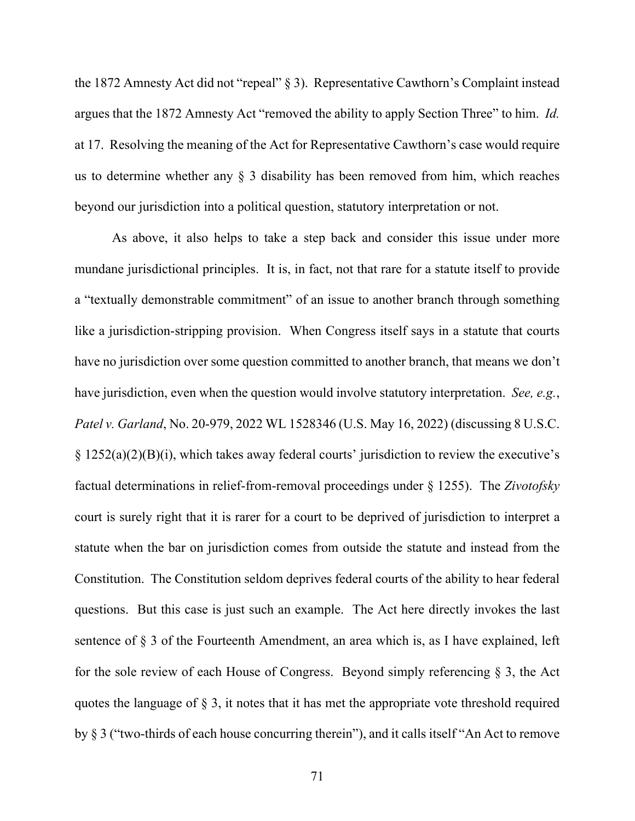the 1872 Amnesty Act did not "repeal" § 3). Representative Cawthorn's Complaint instead argues that the 1872 Amnesty Act "removed the ability to apply Section Three" to him. *Id.*  at 17. Resolving the meaning of the Act for Representative Cawthorn's case would require us to determine whether any § 3 disability has been removed from him, which reaches beyond our jurisdiction into a political question, statutory interpretation or not.

As above, it also helps to take a step back and consider this issue under more mundane jurisdictional principles. It is, in fact, not that rare for a statute itself to provide a "textually demonstrable commitment" of an issue to another branch through something like a jurisdiction-stripping provision. When Congress itself says in a statute that courts have no jurisdiction over some question committed to another branch, that means we don't have jurisdiction, even when the question would involve statutory interpretation. *See, e.g.*, *Patel v. Garland*, No. 20-979, 2022 WL 1528346 (U.S. May 16, 2022) (discussing 8 U.S.C.  $\S 1252(a)(2)(B)(i)$ , which takes away federal courts' jurisdiction to review the executive's factual determinations in relief-from-removal proceedings under § 1255). The *Zivotofsky*  court is surely right that it is rarer for a court to be deprived of jurisdiction to interpret a statute when the bar on jurisdiction comes from outside the statute and instead from the Constitution. The Constitution seldom deprives federal courts of the ability to hear federal questions. But this case is just such an example. The Act here directly invokes the last sentence of § 3 of the Fourteenth Amendment, an area which is, as I have explained, left for the sole review of each House of Congress. Beyond simply referencing § 3, the Act quotes the language of § 3, it notes that it has met the appropriate vote threshold required by § 3 ("two-thirds of each house concurring therein"), and it calls itself "An Act to remove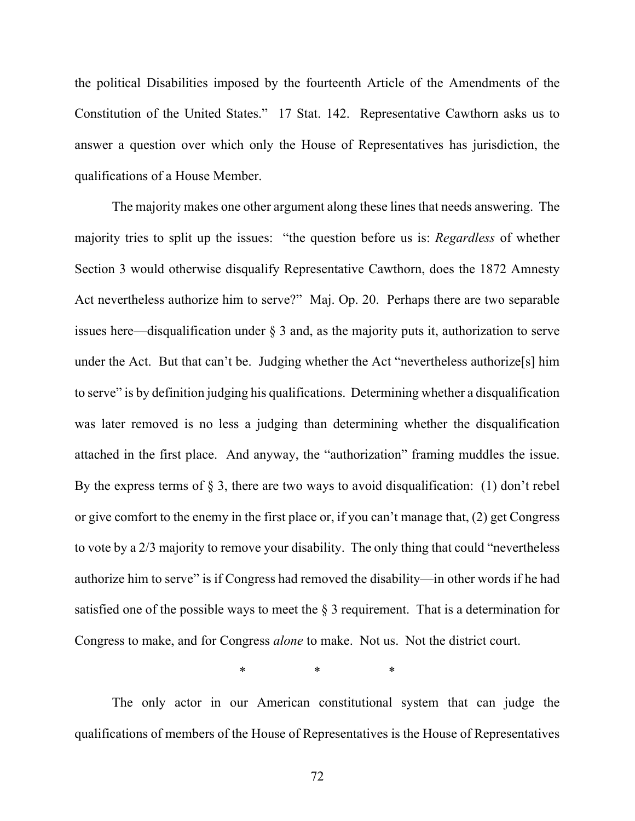the political Disabilities imposed by the fourteenth Article of the Amendments of the Constitution of the United States." 17 Stat. 142. Representative Cawthorn asks us to answer a question over which only the House of Representatives has jurisdiction, the qualifications of a House Member.

The majority makes one other argument along these lines that needs answering. The majority tries to split up the issues: "the question before us is: *Regardless* of whether Section 3 would otherwise disqualify Representative Cawthorn, does the 1872 Amnesty Act nevertheless authorize him to serve?" Maj. Op. 20. Perhaps there are two separable issues here—disqualification under § 3 and, as the majority puts it, authorization to serve under the Act. But that can't be. Judging whether the Act "nevertheless authorize[s] him to serve" is by definition judging his qualifications. Determining whether a disqualification was later removed is no less a judging than determining whether the disqualification attached in the first place. And anyway, the "authorization" framing muddles the issue. By the express terms of  $\S$  3, there are two ways to avoid disqualification: (1) don't rebel or give comfort to the enemy in the first place or, if you can't manage that, (2) get Congress to vote by a 2/3 majority to remove your disability. The only thing that could "nevertheless authorize him to serve" is if Congress had removed the disability—in other words if he had satisfied one of the possible ways to meet the  $\S$  3 requirement. That is a determination for Congress to make, and for Congress *alone* to make. Not us. Not the district court.

\* \* \* \*

The only actor in our American constitutional system that can judge the qualifications of members of the House of Representatives is the House of Representatives